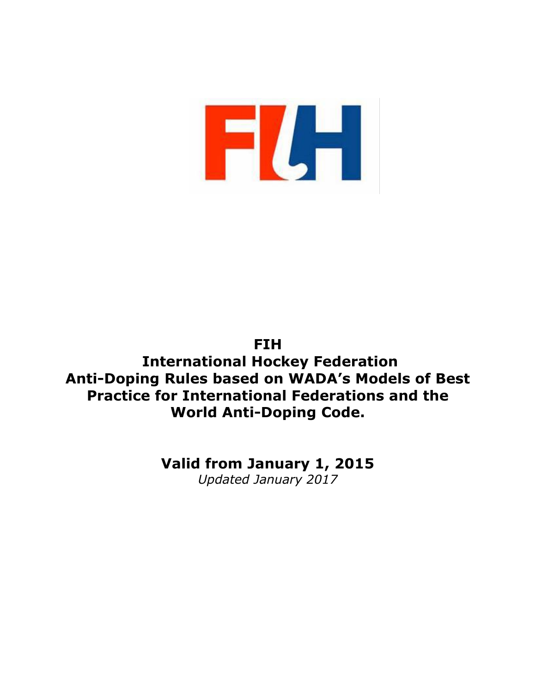

# **FIH International Hockey Federation Anti-Doping Rules based on WADA's Models of Best Practice for International Federations and the World Anti-Doping Code.**

**Valid from January 1, 2015** *Updated January 2017*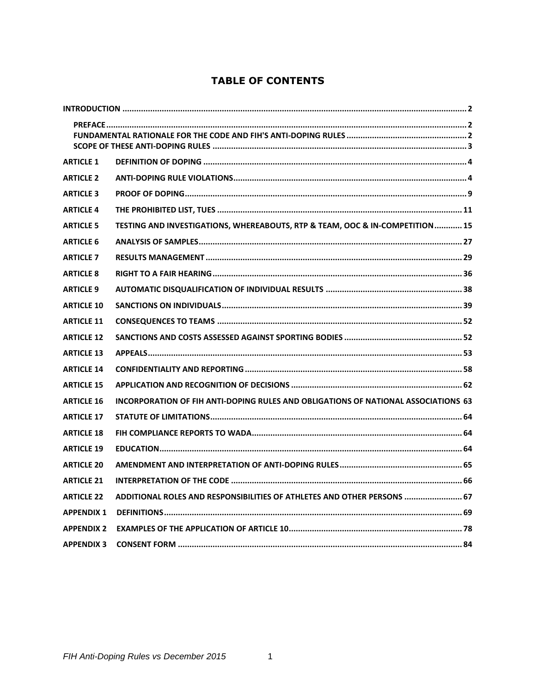# **TABLE OF CONTENTS**

| <b>ARTICLE 1</b>  |                                                                                    |
|-------------------|------------------------------------------------------------------------------------|
| <b>ARTICLE 2</b>  |                                                                                    |
| <b>ARTICLE 3</b>  |                                                                                    |
| <b>ARTICLE 4</b>  |                                                                                    |
| <b>ARTICLE 5</b>  | TESTING AND INVESTIGATIONS, WHEREABOUTS, RTP & TEAM, OOC & IN-COMPETITION  15      |
| <b>ARTICLE 6</b>  |                                                                                    |
| <b>ARTICLE 7</b>  |                                                                                    |
| <b>ARTICLE 8</b>  |                                                                                    |
| <b>ARTICLE 9</b>  |                                                                                    |
| <b>ARTICLE 10</b> |                                                                                    |
| <b>ARTICLE 11</b> |                                                                                    |
| <b>ARTICLE 12</b> |                                                                                    |
| <b>ARTICLE 13</b> |                                                                                    |
| <b>ARTICLE 14</b> |                                                                                    |
| <b>ARTICLE 15</b> |                                                                                    |
| <b>ARTICLE 16</b> | INCORPORATION OF FIH ANTI-DOPING RULES AND OBLIGATIONS OF NATIONAL ASSOCIATIONS 63 |
| <b>ARTICLE 17</b> |                                                                                    |
| <b>ARTICLE 18</b> |                                                                                    |
| <b>ARTICLE 19</b> |                                                                                    |
| <b>ARTICLE 20</b> |                                                                                    |
| <b>ARTICLE 21</b> |                                                                                    |
| <b>ARTICLE 22</b> | ADDITIONAL ROLES AND RESPONSIBILITIES OF ATHLETES AND OTHER PERSONS  67            |
| <b>APPENDIX 1</b> |                                                                                    |
| <b>APPENDIX 2</b> |                                                                                    |
| <b>APPENDIX 3</b> |                                                                                    |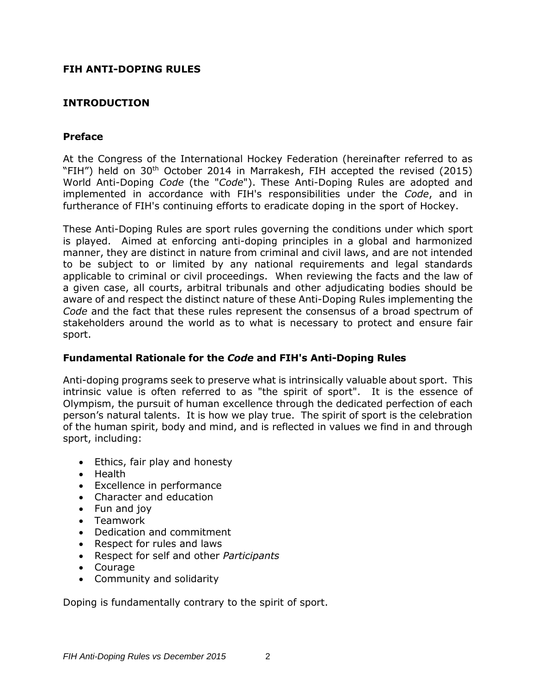### **FIH ANTI-DOPING RULES**

# <span id="page-2-0"></span>**INTRODUCTION**

### <span id="page-2-1"></span>**Preface**

At the Congress of the International Hockey Federation (hereinafter referred to as "FIH") held on 30<sup>th</sup> October 2014 in Marrakesh, FIH accepted the revised (2015) World Anti-Doping *Code* (the "*Code*"). These Anti-Doping Rules are adopted and implemented in accordance with FIH's responsibilities under the *Code*, and in furtherance of FIH's continuing efforts to eradicate doping in the sport of Hockey.

These Anti-Doping Rules are sport rules governing the conditions under which sport is played. Aimed at enforcing anti-doping principles in a global and harmonized manner, they are distinct in nature from criminal and civil laws, and are not intended to be subject to or limited by any national requirements and legal standards applicable to criminal or civil proceedings. When reviewing the facts and the law of a given case, all courts, arbitral tribunals and other adjudicating bodies should be aware of and respect the distinct nature of these Anti-Doping Rules implementing the *Code* and the fact that these rules represent the consensus of a broad spectrum of stakeholders around the world as to what is necessary to protect and ensure fair sport.

### <span id="page-2-2"></span>**Fundamental Rationale for the** *Code* **and FIH's Anti-Doping Rules**

Anti-doping programs seek to preserve what is intrinsically valuable about sport. This intrinsic value is often referred to as "the spirit of sport". It is the essence of Olympism, the pursuit of human excellence through the dedicated perfection of each person's natural talents. It is how we play true. The spirit of sport is the celebration of the human spirit, body and mind, and is reflected in values we find in and through sport, including:

- Ethics, fair play and honesty
- Health
- Excellence in performance
- Character and education
- Fun and joy
- Teamwork
- Dedication and commitment
- Respect for rules and laws
- Respect for self and other *Participants*
- Courage
- Community and solidarity

Doping is fundamentally contrary to the spirit of sport.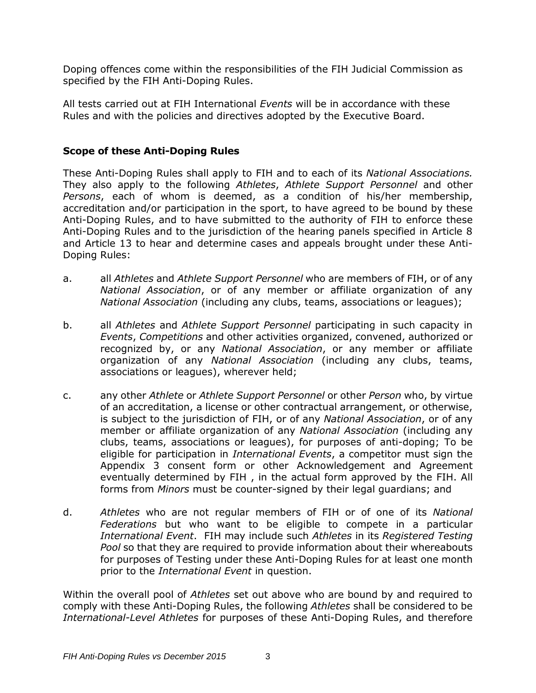Doping offences come within the responsibilities of the FIH Judicial Commission as specified by the FIH Anti-Doping Rules.

All tests carried out at FIH International *Events* will be in accordance with these Rules and with the policies and directives adopted by the Executive Board.

#### <span id="page-3-0"></span>**Scope of these Anti-Doping Rules**

These Anti-Doping Rules shall apply to FIH and to each of its *National Associations.*  They also apply to the following *Athletes*, *Athlete Support Personnel* and other *Persons*, each of whom is deemed, as a condition of his/her membership, accreditation and/or participation in the sport, to have agreed to be bound by these Anti-Doping Rules, and to have submitted to the authority of FIH to enforce these Anti-Doping Rules and to the jurisdiction of the hearing panels specified in Article 8 and Article 13 to hear and determine cases and appeals brought under these Anti-Doping Rules:

- a. all *Athletes* and *Athlete Support Personnel* who are members of FIH, or of any *National Association*, or of any member or affiliate organization of any *National Association* (including any clubs, teams, associations or leagues);
- b. all *Athletes* and *Athlete Support Personnel* participating in such capacity in *Events*, *Competitions* and other activities organized, convened, authorized or recognized by, or any *National Association*, or any member or affiliate organization of any *National Association* (including any clubs, teams, associations or leagues), wherever held;
- c. any other *Athlete* or *Athlete Support Personnel* or other *Person* who, by virtue of an accreditation, a license or other contractual arrangement, or otherwise, is subject to the jurisdiction of FIH, or of any *National Association*, or of any member or affiliate organization of any *National Association* (including any clubs, teams, associations or leagues), for purposes of anti-doping; To be eligible for participation in *International Events*, a competitor must sign the Appendix 3 consent form or other Acknowledgement and Agreement eventually determined by FIH , in the actual form approved by the FIH. All forms from *Minors* must be counter-signed by their legal guardians; and
- d. *Athletes* who are not regular members of FIH or of one of its *National Federations* but who want to be eligible to compete in a particular *International Event*. FIH may include such *Athletes* in its *Registered Testing Pool* so that they are required to provide information about their whereabouts for purposes of Testing under these Anti-Doping Rules for at least one month prior to the *International Event* in question.

Within the overall pool of *Athletes* set out above who are bound by and required to comply with these Anti-Doping Rules, the following *Athletes* shall be considered to be *International-Level Athletes* for purposes of these Anti-Doping Rules, and therefore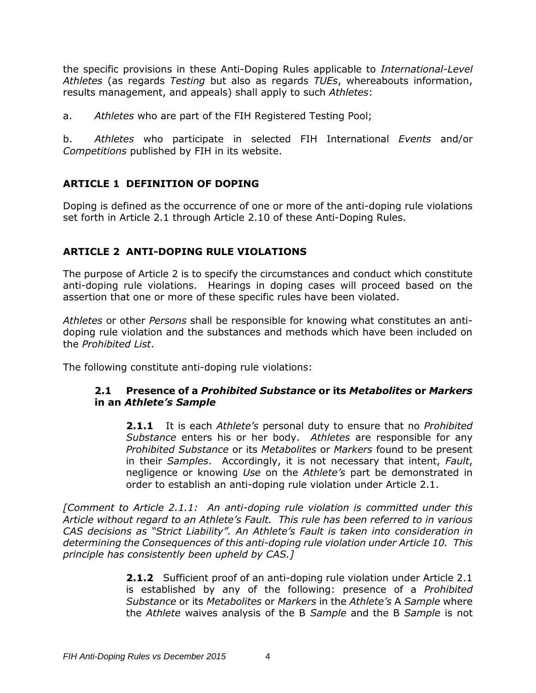the specific provisions in these Anti-Doping Rules applicable to *International-Level Athletes* (as regards *Testing* but also as regards *TUEs*, whereabouts information, results management, and appeals) shall apply to such *Athletes*:

a. *Athletes* who are part of the FIH Registered Testing Pool;

b. *Athletes* who participate in selected FIH International *Events* and/or *Competitions* published by FIH in its website.

# <span id="page-4-0"></span>**ARTICLE 1 DEFINITION OF DOPING**

Doping is defined as the occurrence of one or more of the anti-doping rule violations set forth in Article 2.1 through Article 2.10 of these Anti-Doping Rules.

# <span id="page-4-1"></span>**ARTICLE 2 ANTI-DOPING RULE VIOLATIONS**

The purpose of Article 2 is to specify the circumstances and conduct which constitute anti-doping rule violations. Hearings in doping cases will proceed based on the assertion that one or more of these specific rules have been violated.

*Athletes* or other *Persons* shall be responsible for knowing what constitutes an antidoping rule violation and the substances and methods which have been included on the *Prohibited List*.

The following constitute anti-doping rule violations:

### **2.1 Presence of a** *Prohibited Substance* **or its** *Metabolites* **or** *Markers* **in an** *Athlete's Sample*

**2.1.1** It is each *Athlete's* personal duty to ensure that no *Prohibited Substance* enters his or her body. *Athletes* are responsible for any *Prohibited Substance* or its *Metabolites* or *Markers* found to be present in their *Samples*. Accordingly, it is not necessary that intent, *Fault*, negligence or knowing *Use* on the *Athlete's* part be demonstrated in order to establish an anti-doping rule violation under Article 2.1.

*[Comment to Article 2.1.1: An anti-doping rule violation is committed under this Article without regard to an Athlete's Fault. This rule has been referred to in various CAS decisions as "Strict Liability". An Athlete's Fault is taken into consideration in determining the Consequences of this anti-doping rule violation under Article 10. This principle has consistently been upheld by CAS.]*

> **2.1.2** Sufficient proof of an anti-doping rule violation under Article 2.1 is established by any of the following: presence of a *Prohibited Substance* or its *Metabolites* or *Markers* in the *Athlete's* A *Sample* where the *Athlete* waives analysis of the B *Sample* and the B *Sample* is not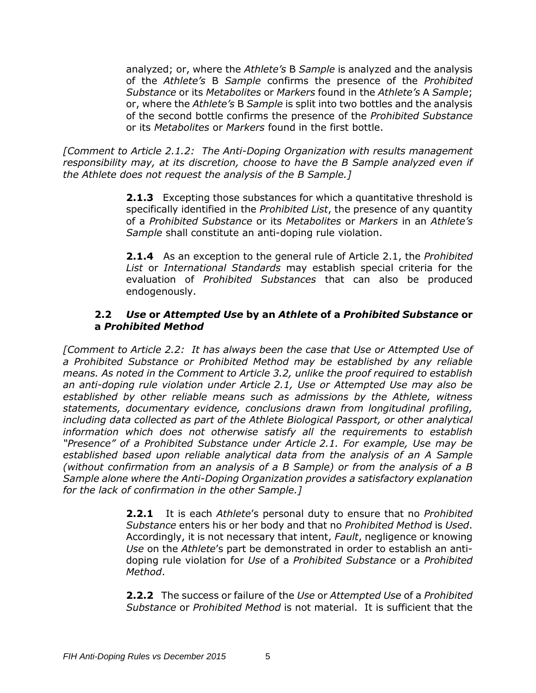analyzed; or, where the *Athlete's* B *Sample* is analyzed and the analysis of the *Athlete's* B *Sample* confirms the presence of the *Prohibited Substance* or its *Metabolites* or *Markers* found in the *Athlete's* A *Sample*; or, where the *Athlete's* B *Sample* is split into two bottles and the analysis of the second bottle confirms the presence of the *Prohibited Substance* or its *Metabolites* or *Markers* found in the first bottle.

*[Comment to Article 2.1.2: The Anti-Doping Organization with results management responsibility may, at its discretion, choose to have the B Sample analyzed even if the Athlete does not request the analysis of the B Sample.]*

> **2.1.3** Excepting those substances for which a quantitative threshold is specifically identified in the *Prohibited List*, the presence of any quantity of a *Prohibited Substance* or its *Metabolites* or *Markers* in an *Athlete's Sample* shall constitute an anti-doping rule violation.

> **2.1.4** As an exception to the general rule of Article 2.1, the *Prohibited List* or *International Standards* may establish special criteria for the evaluation of *Prohibited Substances* that can also be produced endogenously.

### **2.2** *Use* **or** *Attempted Use* **by an** *Athlete* **of a** *Prohibited Substance* **or a** *Prohibited Method*

*[Comment to Article 2.2: It has always been the case that Use or Attempted Use of a Prohibited Substance or Prohibited Method may be established by any reliable means. As noted in the Comment to Article 3.2, unlike the proof required to establish an anti-doping rule violation under Article 2.1, Use or Attempted Use may also be established by other reliable means such as admissions by the Athlete, witness statements, documentary evidence, conclusions drawn from longitudinal profiling, including data collected as part of the Athlete Biological Passport, or other analytical information which does not otherwise satisfy all the requirements to establish "Presence" of a Prohibited Substance under Article 2.1. For example, Use may be established based upon reliable analytical data from the analysis of an A Sample (without confirmation from an analysis of a B Sample) or from the analysis of a B Sample alone where the Anti-Doping Organization provides a satisfactory explanation for the lack of confirmation in the other Sample.]*

> **2.2.1** It is each *Athlete*'s personal duty to ensure that no *Prohibited Substance* enters his or her body and that no *Prohibited Method* is *Used*. Accordingly, it is not necessary that intent, *Fault*, negligence or knowing *Use* on the *Athlete*'s part be demonstrated in order to establish an antidoping rule violation for *Use* of a *Prohibited Substance* or a *Prohibited Method*.

> **2.2.2** The success or failure of the *Use* or *Attempted Use* of a *Prohibited Substance* or *Prohibited Method* is not material. It is sufficient that the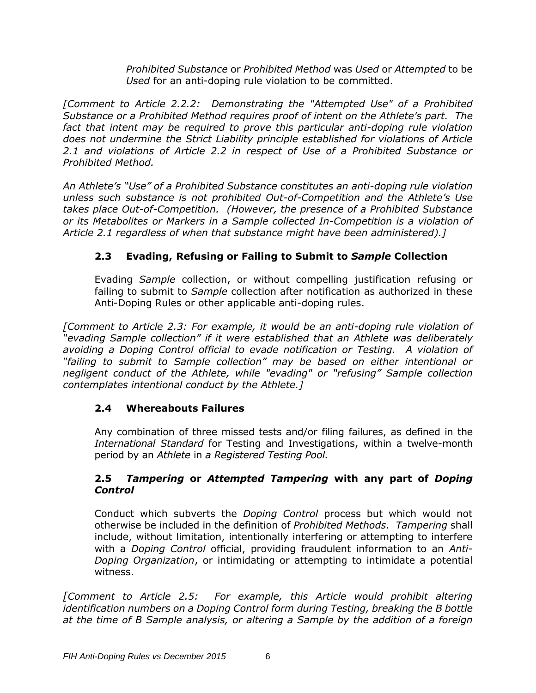*Prohibited Substance* or *Prohibited Method* was *Used* or *Attempted* to be *Used* for an anti-doping rule violation to be committed.

*[Comment to Article 2.2.2: Demonstrating the "Attempted Use" of a Prohibited Substance or a Prohibited Method requires proof of intent on the Athlete's part. The*  fact that intent may be required to prove this particular anti-doping rule violation *does not undermine the Strict Liability principle established for violations of Article 2.1 and violations of Article 2.2 in respect of Use of a Prohibited Substance or Prohibited Method.* 

*An Athlete's "Use" of a Prohibited Substance constitutes an anti-doping rule violation unless such substance is not prohibited Out-of-Competition and the Athlete's Use takes place Out-of-Competition. (However, the presence of a Prohibited Substance or its Metabolites or Markers in a Sample collected In-Competition is a violation of Article 2.1 regardless of when that substance might have been administered).]*

# **2.3 Evading, Refusing or Failing to Submit to** *Sample* **Collection**

Evading *Sample* collection, or without compelling justification refusing or failing to submit to *Sample* collection after notification as authorized in these Anti-Doping Rules or other applicable anti-doping rules.

*[Comment to Article 2.3: For example, it would be an anti-doping rule violation of "evading Sample collection" if it were established that an Athlete was deliberately avoiding a Doping Control official to evade notification or Testing. A violation of "failing to submit to Sample collection" may be based on either intentional or negligent conduct of the Athlete, while "evading" or "refusing" Sample collection contemplates intentional conduct by the Athlete.]*

# **2.4 Whereabouts Failures**

Any combination of three missed tests and/or filing failures, as defined in the *International Standard* for Testing and Investigations, within a twelve-month period by an *Athlete* in *a Registered Testing Pool.*

# **2.5** *Tampering* **or** *Attempted Tampering* **with any part of** *Doping Control*

Conduct which subverts the *Doping Control* process but which would not otherwise be included in the definition of *Prohibited Methods. Tampering* shall include, without limitation, intentionally interfering or attempting to interfere with a *Doping Control* official, providing fraudulent information to an *Anti-Doping Organization*, or intimidating or attempting to intimidate a potential witness.

*[Comment to Article 2.5: For example, this Article would prohibit altering identification numbers on a Doping Control form during Testing, breaking the B bottle at the time of B Sample analysis, or altering a Sample by the addition of a foreign*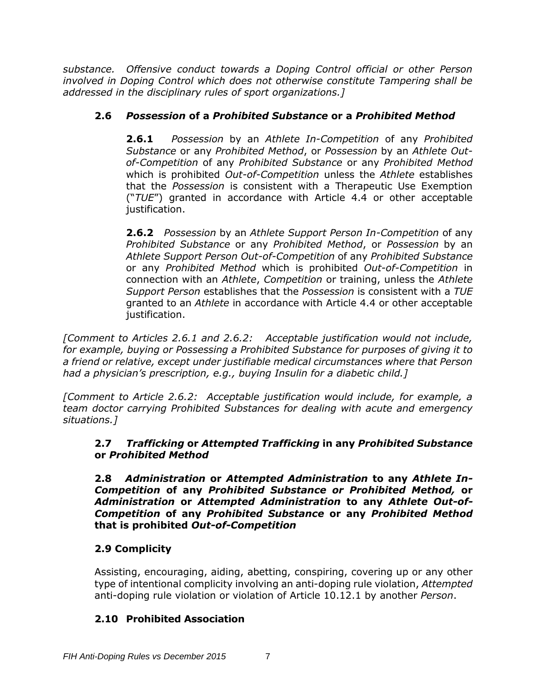*substance. Offensive conduct towards a Doping Control official or other Person involved in Doping Control which does not otherwise constitute Tampering shall be addressed in the disciplinary rules of sport organizations.]*

# **2.6** *Possession* **of a** *Prohibited Substance* **or a** *Prohibited Method*

**2.6.1** *Possession* by an *Athlete In-Competition* of any *Prohibited Substance* or any *Prohibited Method*, or *Possession* by an *Athlete Outof-Competition* of any *Prohibited Substance* or any *Prohibited Method*  which is prohibited *Out-of-Competition* unless the *Athlete* establishes that the *Possession* is consistent with a Therapeutic Use Exemption ("*TUE*") granted in accordance with Article 4.4 or other acceptable justification.

**2.6.2** *Possession* by an *Athlete Support Person In-Competition* of any *Prohibited Substance* or any *Prohibited Method*, or *Possession* by an *Athlete Support Person Out-of-Competition* of any *Prohibited Substance*  or any *Prohibited Method* which is prohibited *Out-of-Competition* in connection with an *Athlete*, *Competition* or training, unless the *Athlete Support Person* establishes that the *Possession* is consistent with a *TUE* granted to an *Athlete* in accordance with Article 4.4 or other acceptable justification.

*[Comment to Articles 2.6.1 and 2.6.2: Acceptable justification would not include, for example, buying or Possessing a Prohibited Substance for purposes of giving it to a friend or relative, except under justifiable medical circumstances where that Person had a physician's prescription, e.g., buying Insulin for a diabetic child.]*

*[Comment to Article 2.6.2: Acceptable justification would include, for example, a team doctor carrying Prohibited Substances for dealing with acute and emergency situations.]*

# **2.7** *Trafficking* **or** *Attempted Trafficking* **in any** *Prohibited Substance* **or** *Prohibited Method*

**2.8** *Administration* **or** *Attempted Administration* **to any** *Athlete In-Competition* **of any** *Prohibited Substance or Prohibited Method,* **or**  *Administration* **or** *Attempted Administration* **to any** *Athlete Out-of-Competition* **of any** *Prohibited Substance* **or any** *Prohibited Method*  **that is prohibited** *Out-of-Competition*

# **2.9 Complicity**

Assisting, encouraging, aiding, abetting, conspiring, covering up or any other type of intentional complicity involving an anti-doping rule violation, *Attempted* anti-doping rule violation or violation of Article 10.12.1 by another *Person*.

# **2.10 Prohibited Association**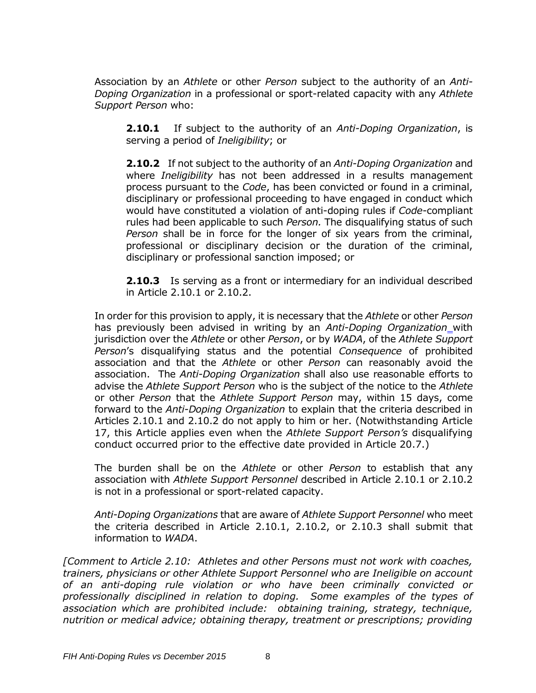Association by an *Athlete* or other *Person* subject to the authority of an *Anti-Doping Organization* in a professional or sport-related capacity with any *Athlete Support Person* who:

**2.10.1** If subject to the authority of an *Anti-Doping Organization*, is serving a period of *Ineligibility*; or

**2.10.2** If not subject to the authority of an *Anti-Doping Organization* and where *Ineligibility* has not been addressed in a results management process pursuant to the *Code*, has been convicted or found in a criminal, disciplinary or professional proceeding to have engaged in conduct which would have constituted a violation of anti-doping rules if *Code*-compliant rules had been applicable to such *Person.* The disqualifying status of such *Person* shall be in force for the longer of six years from the criminal, professional or disciplinary decision or the duration of the criminal, disciplinary or professional sanction imposed; or

**2.10.3** Is serving as a front or intermediary for an individual described in Article 2.10.1 or 2.10.2.

In order for this provision to apply, it is necessary that the *Athlete* or other *Person* has previously been advised in writing by an *Anti-Doping Organization* with jurisdiction over the *Athlete* or other *Person*, or by *WADA*, of the *Athlete Support Person*'s disqualifying status and the potential *Consequence* of prohibited association and that the *Athlete* or other *Person* can reasonably avoid the association. The *Anti-Doping Organization* shall also use reasonable efforts to advise the *Athlete Support Person* who is the subject of the notice to the *Athlete* or other *Person* that the *Athlete Support Person* may, within 15 days, come forward to the *Anti-Doping Organization* to explain that the criteria described in Articles 2.10.1 and 2.10.2 do not apply to him or her. (Notwithstanding Article 17, this Article applies even when the *Athlete Support Person's* disqualifying conduct occurred prior to the effective date provided in Article 20.7.)

The burden shall be on the *Athlete* or other *Person* to establish that any association with *Athlete Support Personnel* described in Article 2.10.1 or 2.10.2 is not in a professional or sport-related capacity.

*Anti-Doping Organizations* that are aware of *Athlete Support Personnel* who meet the criteria described in Article 2.10.1, 2.10.2, or 2.10.3 shall submit that information to *WADA*.

*[Comment to Article 2.10: Athletes and other Persons must not work with coaches, trainers, physicians or other Athlete Support Personnel who are Ineligible on account of an anti-doping rule violation or who have been criminally convicted or professionally disciplined in relation to doping. Some examples of the types of association which are prohibited include: obtaining training, strategy, technique, nutrition or medical advice; obtaining therapy, treatment or prescriptions; providing*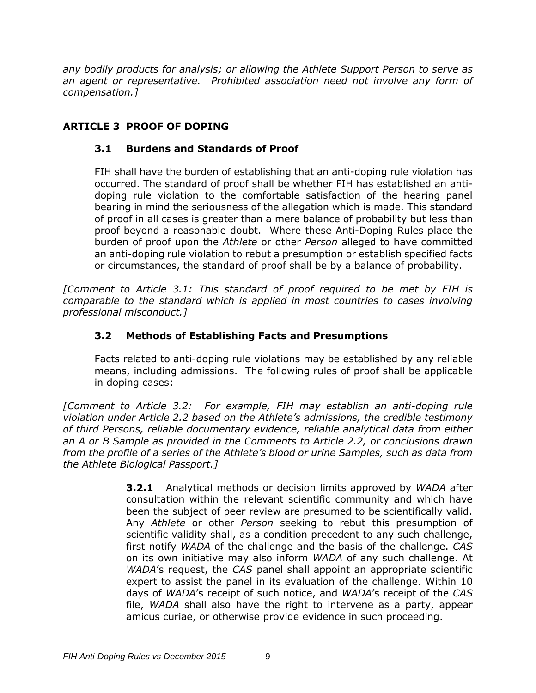*any bodily products for analysis; or allowing the Athlete Support Person to serve as an agent or representative. Prohibited association need not involve any form of compensation.]*

# <span id="page-9-0"></span>**ARTICLE 3 PROOF OF DOPING**

# **3.1 Burdens and Standards of Proof**

FIH shall have the burden of establishing that an anti-doping rule violation has occurred. The standard of proof shall be whether FIH has established an antidoping rule violation to the comfortable satisfaction of the hearing panel bearing in mind the seriousness of the allegation which is made. This standard of proof in all cases is greater than a mere balance of probability but less than proof beyond a reasonable doubt. Where these Anti-Doping Rules place the burden of proof upon the *Athlete* or other *Person* alleged to have committed an anti-doping rule violation to rebut a presumption or establish specified facts or circumstances, the standard of proof shall be by a balance of probability.

*[Comment to Article 3.1: This standard of proof required to be met by FIH is comparable to the standard which is applied in most countries to cases involving professional misconduct.]*

# **3.2 Methods of Establishing Facts and Presumptions**

Facts related to anti-doping rule violations may be established by any reliable means, including admissions. The following rules of proof shall be applicable in doping cases:

*[Comment to Article 3.2: For example, FIH may establish an anti-doping rule violation under Article 2.2 based on the Athlete's admissions, the credible testimony of third Persons, reliable documentary evidence, reliable analytical data from either an A or B Sample as provided in the Comments to Article 2.2, or conclusions drawn from the profile of a series of the Athlete's blood or urine Samples, such as data from the Athlete Biological Passport.]*

> **3.2.1** Analytical methods or decision limits approved by *WADA* after consultation within the relevant scientific community and which have been the subject of peer review are presumed to be scientifically valid. Any *Athlete* or other *Person* seeking to rebut this presumption of scientific validity shall, as a condition precedent to any such challenge, first notify *WADA* of the challenge and the basis of the challenge. *CAS* on its own initiative may also inform *WADA* of any such challenge. At *WADA*'s request, the *CAS* panel shall appoint an appropriate scientific expert to assist the panel in its evaluation of the challenge. Within 10 days of *WADA*'s receipt of such notice, and *WADA*'s receipt of the *CAS* file, *WADA* shall also have the right to intervene as a party, appear amicus curiae, or otherwise provide evidence in such proceeding.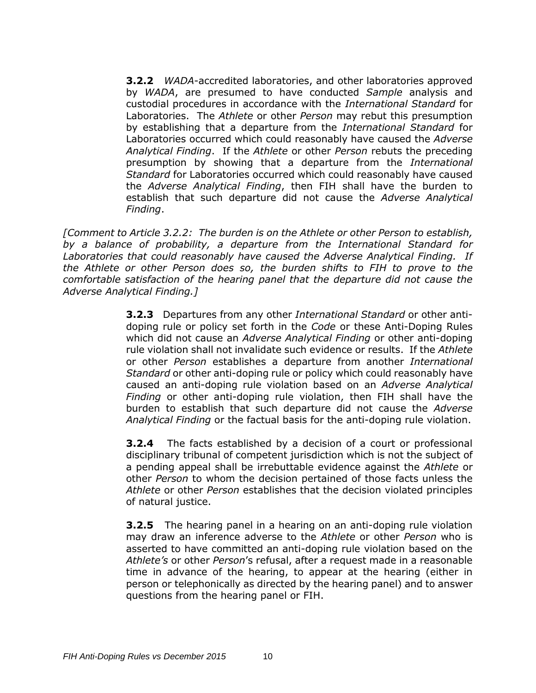**3.2.2** *WADA*-accredited laboratories, and other laboratories approved by *WADA*, are presumed to have conducted *Sample* analysis and custodial procedures in accordance with the *International Standard* for Laboratories. The *Athlete* or other *Person* may rebut this presumption by establishing that a departure from the *International Standard* for Laboratories occurred which could reasonably have caused the *Adverse Analytical Finding*. If the *Athlete* or other *Person* rebuts the preceding presumption by showing that a departure from the *International Standard* for Laboratories occurred which could reasonably have caused the *Adverse Analytical Finding*, then FIH shall have the burden to establish that such departure did not cause the *Adverse Analytical Finding*.

*[Comment to Article 3.2.2: The burden is on the Athlete or other Person to establish, by a balance of probability, a departure from the International Standard for Laboratories that could reasonably have caused the Adverse Analytical Finding. If the Athlete or other Person does so, the burden shifts to FIH to prove to the comfortable satisfaction of the hearing panel that the departure did not cause the Adverse Analytical Finding.]*

> **3.2.3** Departures from any other *International Standard* or other antidoping rule or policy set forth in the *Code* or these Anti-Doping Rules which did not cause an *Adverse Analytical Finding* or other anti-doping rule violation shall not invalidate such evidence or results. If the *Athlete* or other *Person* establishes a departure from another *International Standard* or other anti-doping rule or policy which could reasonably have caused an anti-doping rule violation based on an *Adverse Analytical Finding* or other anti-doping rule violation, then FIH shall have the burden to establish that such departure did not cause the *Adverse Analytical Finding* or the factual basis for the anti-doping rule violation.

> **3.2.4** The facts established by a decision of a court or professional disciplinary tribunal of competent jurisdiction which is not the subject of a pending appeal shall be irrebuttable evidence against the *Athlete* or other *Person* to whom the decision pertained of those facts unless the *Athlete* or other *Person* establishes that the decision violated principles of natural justice.

> **3.2.5** The hearing panel in a hearing on an anti-doping rule violation may draw an inference adverse to the *Athlete* or other *Person* who is asserted to have committed an anti-doping rule violation based on the *Athlete's* or other *Person*'s refusal, after a request made in a reasonable time in advance of the hearing, to appear at the hearing (either in person or telephonically as directed by the hearing panel) and to answer questions from the hearing panel or FIH.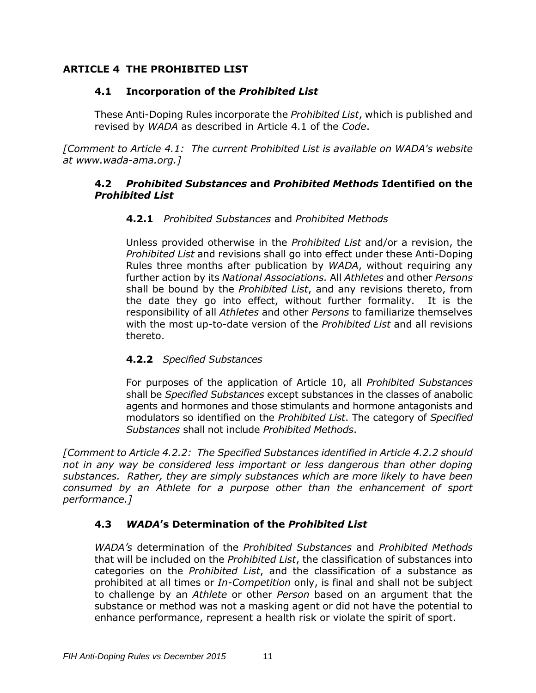# <span id="page-11-0"></span>**ARTICLE 4 THE PROHIBITED LIST**

# **4.1 Incorporation of the** *Prohibited List*

These Anti-Doping Rules incorporate the *Prohibited List*, which is published and revised by *WADA* as described in Article 4.1 of the *Code*.

*[Comment to Article 4.1: The current Prohibited List is available on WADA's website at [www.wada-ama.org.](http://www.wada-ama.org/)]*

### **4.2** *Prohibited Substances* **and** *Prohibited Methods* **Identified on the**  *Prohibited List*

### **4.2.1** *Prohibited Substances* and *Prohibited Methods*

Unless provided otherwise in the *Prohibited List* and/or a revision, the *Prohibited List* and revisions shall go into effect under these Anti-Doping Rules three months after publication by *WADA*, without requiring any further action by its *National Associations.* All *Athletes* and other *Persons* shall be bound by the *Prohibited List*, and any revisions thereto, from the date they go into effect, without further formality. It is the responsibility of all *Athletes* and other *Persons* to familiarize themselves with the most up-to-date version of the *Prohibited List* and all revisions thereto.

### **4.2.2** *Specified Substances*

For purposes of the application of Article 10, all *Prohibited Substances* shall be *Specified Substances* except substances in the classes of anabolic agents and hormones and those stimulants and hormone antagonists and modulators so identified on the *Prohibited List*. The category of *Specified Substances* shall not include *Prohibited Methods*.

*[Comment to Article 4.2.2: The Specified Substances identified in Article 4.2.2 should not in any way be considered less important or less dangerous than other doping substances. Rather, they are simply substances which are more likely to have been consumed by an Athlete for a purpose other than the enhancement of sport performance.]*

# **4.3** *WADA***'s Determination of the** *Prohibited List*

*WADA's* determination of the *Prohibited Substances* and *Prohibited Methods* that will be included on the *Prohibited List*, the classification of substances into categories on the *Prohibited List*, and the classification of a substance as prohibited at all times or *In-Competition* only, is final and shall not be subject to challenge by an *Athlete* or other *Person* based on an argument that the substance or method was not a masking agent or did not have the potential to enhance performance, represent a health risk or violate the spirit of sport.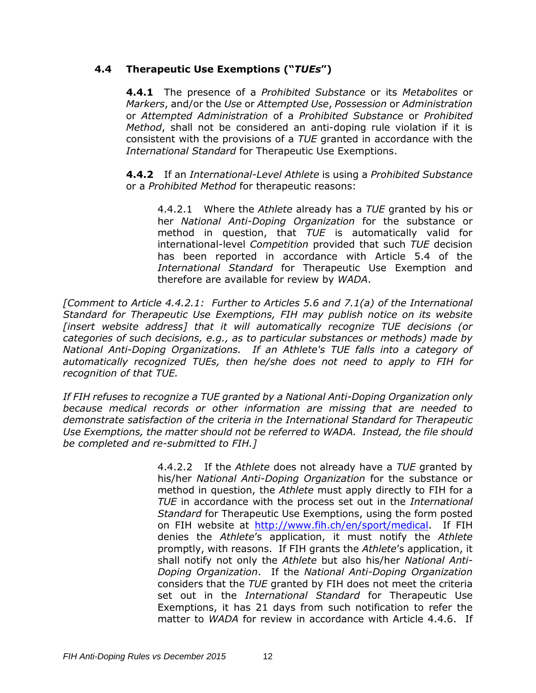### **4.4 Therapeutic Use Exemptions ("***TUEs***")**

**4.4.1** The presence of a *Prohibited Substance* or its *Metabolites* or *Markers*, and/or the *Use* or *Attempted Use*, *Possession* or *Administration* or *Attempted Administration* of a *Prohibited Substance* or *Prohibited Method*, shall not be considered an anti-doping rule violation if it is consistent with the provisions of a *TUE* granted in accordance with the *International Standard* for Therapeutic Use Exemptions.

**4.4.2** If an *International-Level Athlete* is using a *Prohibited Substance*  or a *Prohibited Method* for therapeutic reasons:

4.4.2.1 Where the *Athlete* already has a *TUE* granted by his or her *National Anti-Doping Organization* for the substance or method in question, that *TUE* is automatically valid for international-level *Competition* provided that such *TUE* decision has been reported in accordance with Article 5.4 of the *International Standard* for Therapeutic Use Exemption and therefore are available for review by *WADA*.

*[Comment to Article 4.4.2.1: Further to Articles 5.6 and 7.1(a) of the International Standard for Therapeutic Use Exemptions, FIH may publish notice on its website [insert website address] that it will automatically recognize TUE decisions (or categories of such decisions, e.g., as to particular substances or methods) made by National Anti-Doping Organizations. If an Athlete's TUE falls into a category of automatically recognized TUEs, then he/she does not need to apply to FIH for recognition of that TUE.*

*If FIH refuses to recognize a TUE granted by a National Anti-Doping Organization only because medical records or other information are missing that are needed to demonstrate satisfaction of the criteria in the International Standard for Therapeutic Use Exemptions, the matter should not be referred to WADA. Instead, the file should be completed and re-submitted to FIH.]*

> 4.4.2.2 If the *Athlete* does not already have a *TUE* granted by his/her *National Anti-Doping Organization* for the substance or method in question, the *Athlete* must apply directly to FIH for a *TUE* in accordance with the process set out in the *International Standard* for Therapeutic Use Exemptions, using the form posted on FIH website at [http://www.fih.ch/en/sport/medical.](http://www.fih.ch/en/sport/medical) If FIH denies the *Athlete*'s application, it must notify the *Athlete* promptly, with reasons. If FIH grants the *Athlete*'s application, it shall notify not only the *Athlete* but also his/her *National Anti-Doping Organization*. If the *National Anti-Doping Organization* considers that the *TUE* granted by FIH does not meet the criteria set out in the *International Standard* for Therapeutic Use Exemptions, it has 21 days from such notification to refer the matter to *WADA* for review in accordance with Article 4.4.6. If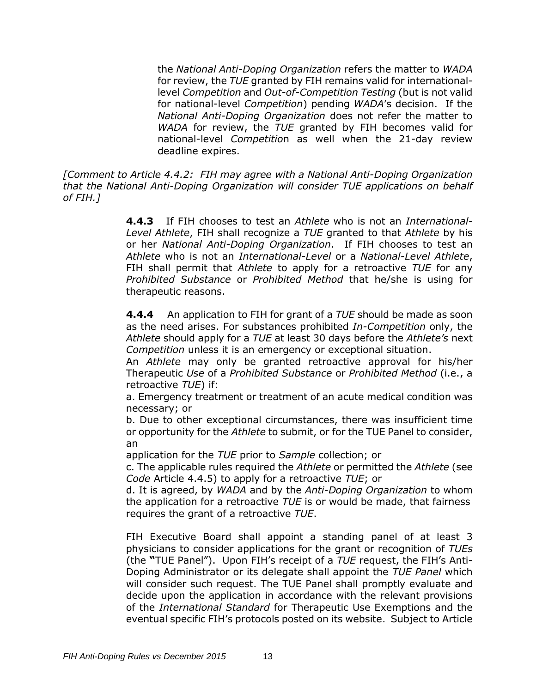the *National Anti-Doping Organization* refers the matter to *WADA* for review, the *TUE* granted by FIH remains valid for internationallevel *Competition* and *Out-of-Competition Testing* (but is not valid for national-level *Competition*) pending *WADA*'s decision. If the *National Anti-Doping Organization* does not refer the matter to *WADA* for review, the *TUE* granted by FIH becomes valid for national-level *Competitio*n as well when the 21-day review deadline expires.

*[Comment to Article 4.4.2: FIH may agree with a National Anti-Doping Organization that the National Anti-Doping Organization will consider TUE applications on behalf of FIH.]*

> **4.4.3** If FIH chooses to test an *Athlete* who is not an *International-Level Athlete*, FIH shall recognize a *TUE* granted to that *Athlete* by his or her *National Anti-Doping Organization*. If FIH chooses to test an *Athlete* who is not an *International-Level* or a *National-Level Athlete*, FIH shall permit that *Athlete* to apply for a retroactive *TUE* for any *Prohibited Substance* or *Prohibited Method* that he/she is using for therapeutic reasons.

> **4.4.4** An application to FIH for grant of a *TUE* should be made as soon as the need arises. For substances prohibited *In-Competition* only, the *Athlete* should apply for a *TUE* at least 30 days before the *Athlete's* next *Competition* unless it is an emergency or exceptional situation.

> An *Athlete* may only be granted retroactive approval for his/her Therapeutic *Use* of a *Prohibited Substance* or *Prohibited Method* (i.e., a retroactive *TUE*) if:

> a. Emergency treatment or treatment of an acute medical condition was necessary; or

> b. Due to other exceptional circumstances, there was insufficient time or opportunity for the *Athlete* to submit, or for the TUE Panel to consider, an

application for the *TUE* prior to *Sample* collection; or

c. The applicable rules required the *Athlete* or permitted the *Athlete* (see *Code* Article 4.4.5) to apply for a retroactive *TUE*; or

d. It is agreed, by *WADA* and by the *Anti-Doping Organization* to whom the application for a retroactive *TUE* is or would be made, that fairness requires the grant of a retroactive *TUE*.

FIH Executive Board shall appoint a standing panel of at least 3 physicians to consider applications for the grant or recognition of *TUEs* (the **"**TUE Panel"). Upon FIH's receipt of a *TUE* request, the FIH's Anti-Doping Administrator or its delegate shall appoint the *TUE Panel* which will consider such request. The TUE Panel shall promptly evaluate and decide upon the application in accordance with the relevant provisions of the *International Standard* for Therapeutic Use Exemptions and the eventual specific FIH's protocols posted on its website. Subject to Article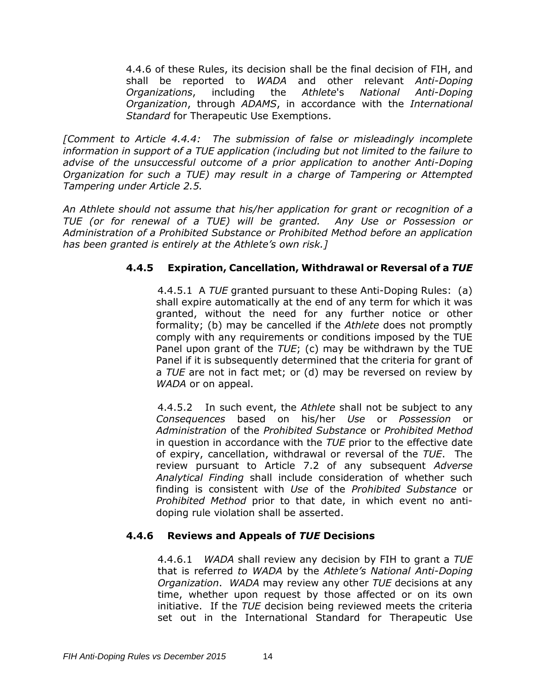4.4.6 of these Rules, its decision shall be the final decision of FIH, and shall be reported to *WADA* and other relevant *Anti-Doping Organizations*, including the *Athlete*'s *National Anti-Doping Organization*, through *ADAMS*, in accordance with the *International Standard* for Therapeutic Use Exemptions.

*[Comment to Article 4.4.4: The submission of false or misleadingly incomplete information in support of a TUE application (including but not limited to the failure to advise of the unsuccessful outcome of a prior application to another Anti-Doping Organization for such a TUE) may result in a charge of Tampering or Attempted Tampering under Article 2.5.*

*An Athlete should not assume that his/her application for grant or recognition of a TUE (or for renewal of a TUE) will be granted. Any Use or Possession or Administration of a Prohibited Substance or Prohibited Method before an application has been granted is entirely at the Athlete's own risk.]* 

### **4.4.5 Expiration, Cancellation, Withdrawal or Reversal of a** *TUE*

4.4.5.1 A *TUE* granted pursuant to these Anti-Doping Rules: (a) shall expire automatically at the end of any term for which it was granted, without the need for any further notice or other formality; (b) may be cancelled if the *Athlete* does not promptly comply with any requirements or conditions imposed by the TUE Panel upon grant of the *TUE*; (c) may be withdrawn by the TUE Panel if it is subsequently determined that the criteria for grant of a *TUE* are not in fact met; or (d) may be reversed on review by *WADA* or on appeal.

4.4.5.2 In such event, the *Athlete* shall not be subject to any *Consequences* based on his/her *Use* or *Possession* or *Administration* of the *Prohibited Substance* or *Prohibited Method* in question in accordance with the *TUE* prior to the effective date of expiry, cancellation, withdrawal or reversal of the *TUE*. The review pursuant to Article 7.2 of any subsequent *Adverse Analytical Finding* shall include consideration of whether such finding is consistent with *Use* of the *Prohibited Substance* or *Prohibited Method* prior to that date, in which event no antidoping rule violation shall be asserted.

### **4.4.6 Reviews and Appeals of** *TUE* **Decisions**

4.4.6.1*WADA* shall review any decision by FIH to grant a *TUE* that is referred *to WADA* by the *Athlete's National Anti-Doping Organization*. *WADA* may review any other *TUE* decisions at any time, whether upon request by those affected or on its own initiative. If the *TUE* decision being reviewed meets the criteria set out in the International Standard for Therapeutic Use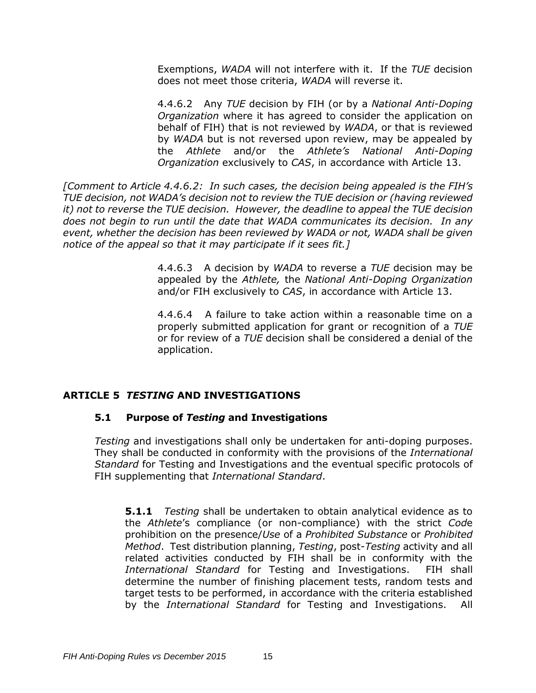Exemptions, *WADA* will not interfere with it. If the *TUE* decision does not meet those criteria, *WADA* will reverse it.

4.4.6.2 Any *TUE* decision by FIH (or by a *National Anti-Doping Organization* where it has agreed to consider the application on behalf of FIH) that is not reviewed by *WADA*, or that is reviewed by *WADA* but is not reversed upon review, may be appealed by the *Athlete* and/or the *Athlete's National Anti-Doping Organization* exclusively to *CAS*, in accordance with Article 13.

*[Comment to Article 4.4.6.2: In such cases, the decision being appealed is the FIH's TUE decision, not WADA's decision not to review the TUE decision or (having reviewed it) not to reverse the TUE decision. However, the deadline to appeal the TUE decision does not begin to run until the date that WADA communicates its decision. In any event, whether the decision has been reviewed by WADA or not, WADA shall be given notice of the appeal so that it may participate if it sees fit.]*

> 4.4.6.3 A decision by *WADA* to reverse a *TUE* decision may be appealed by the *Athlete,* the *National Anti-Doping Organization* and/or FIH exclusively to *CAS*, in accordance with Article 13.

> 4.4.6.4A failure to take action within a reasonable time on a properly submitted application for grant or recognition of a *TUE* or for review of a *TUE* decision shall be considered a denial of the application.

### <span id="page-15-0"></span>**ARTICLE 5** *TESTING* **AND INVESTIGATIONS**

### **5.1 Purpose of** *Testing* **and Investigations**

*Testing* and investigations shall only be undertaken for anti-doping purposes. They shall be conducted in conformity with the provisions of the *International Standard* for Testing and Investigations and the eventual specific protocols of FIH supplementing that *International Standard*.

**5.1.1** *Testing* shall be undertaken to obtain analytical evidence as to the *Athlete*'s compliance (or non-compliance) with the strict *Cod*e prohibition on the presence/*Use* of a *Prohibited Substance* or *Prohibited Method*. Test distribution planning, *Testing*, post-*Testing* activity and all related activities conducted by FIH shall be in conformity with the *International Standard* for Testing and Investigations. FIH shall determine the number of finishing placement tests, random tests and target tests to be performed, in accordance with the criteria established by the *International Standard* for Testing and Investigations. All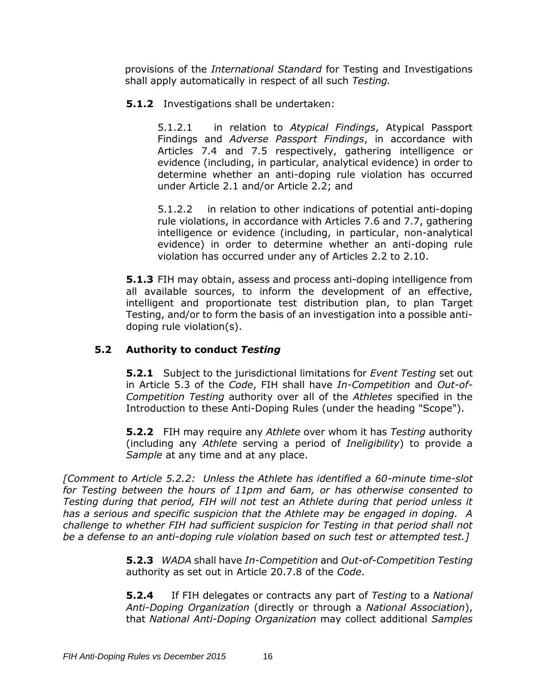provisions of the *International Standard* for Testing and Investigations shall apply automatically in respect of all such *Testing.* 

### **5.1.2** Investigations shall be undertaken:

5.1.2.1 in relation to *Atypical Findings*, Atypical Passport Findings and *Adverse Passport Findings*, in accordance with Articles 7.4 and 7.5 respectively, gathering intelligence or evidence (including, in particular, analytical evidence) in order to determine whether an anti-doping rule violation has occurred under Article 2.1 and/or Article 2.2; and

5.1.2.2 in relation to other indications of potential anti-doping rule violations, in accordance with Articles 7.6 and 7.7, gathering intelligence or evidence (including, in particular, non-analytical evidence) in order to determine whether an anti-doping rule violation has occurred under any of Articles 2.2 to 2.10.

**5.1.3** FIH may obtain, assess and process anti-doping intelligence from all available sources, to inform the development of an effective, intelligent and proportionate test distribution plan, to plan Target Testing, and/or to form the basis of an investigation into a possible antidoping rule violation(s).

# **5.2 Authority to conduct** *Testing*

**5.2.1** Subject to the jurisdictional limitations for *Event Testing* set out in Article 5.3 of the *Code*, FIH shall have *In-Competition* and *Out-of-Competition Testing* authority over all of the *Athletes* specified in the Introduction to these Anti-Doping Rules (under the heading "Scope").

**5.2.2** FIH may require any *Athlete* over whom it has *Testing* authority (including any *Athlete* serving a period of *Ineligibility*) to provide a *Sample* at any time and at any place.

*[Comment to Article 5.2.2: Unless the Athlete has identified a 60-minute time-slot for Testing between the hours of 11pm and 6am, or has otherwise consented to Testing during that period, FIH will not test an Athlete during that period unless it has a serious and specific suspicion that the Athlete may be engaged in doping. A challenge to whether FIH had sufficient suspicion for Testing in that period shall not be a defense to an anti-doping rule violation based on such test or attempted test.]*

> **5.2.3** *WADA* shall have *In-Competition* and *Out-of-Competition Testing* authority as set out in Article 20.7.8 of the *Code*.

> **5.2.4** If FIH delegates or contracts any part of *Testing* to a *National Anti-Doping Organization* (directly or through a *National Association*), that *National Anti-Doping Organization* may collect additional *Samples*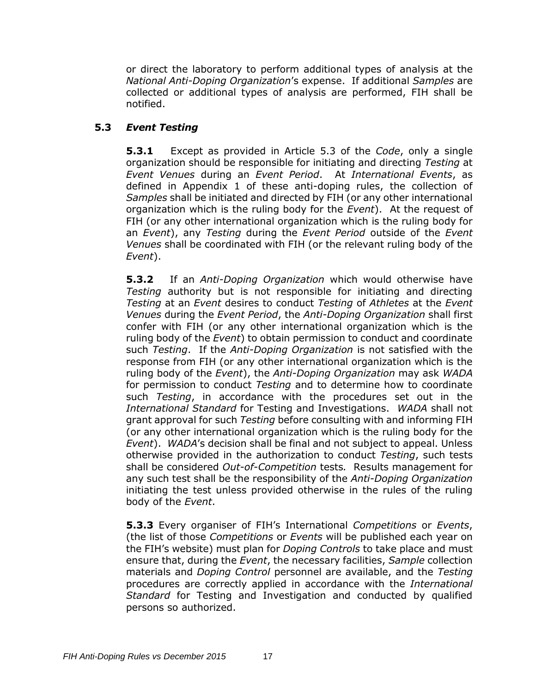or direct the laboratory to perform additional types of analysis at the *National Anti-Doping Organization*'s expense. If additional *Samples* are collected or additional types of analysis are performed, FIH shall be notified.

# **5.3** *Event Testing*

**5.3.1** Except as provided in Article 5.3 of the *Code*, only a single organization should be responsible for initiating and directing *Testing* at *Event Venues* during an *Event Period*. At *International Events*, as defined in Appendix 1 of these anti-doping rules, the collection of *Samples* shall be initiated and directed by FIH (or any other international organization which is the ruling body for the *Event*). At the request of FIH (or any other international organization which is the ruling body for an *Event*), any *Testing* during the *Event Period* outside of the *Event Venues* shall be coordinated with FIH (or the relevant ruling body of the *Event*).

**5.3.2** If an *Anti-Doping Organization* which would otherwise have *Testing* authority but is not responsible for initiating and directing *Testing* at an *Event* desires to conduct *Testing* of *Athletes* at the *Event Venues* during the *Event Period*, the *Anti-Doping Organization* shall first confer with FIH (or any other international organization which is the ruling body of the *Event*) to obtain permission to conduct and coordinate such *Testing*. If the *Anti-Doping Organization* is not satisfied with the response from FIH (or any other international organization which is the ruling body of the *Event*), the *Anti-Doping Organization* may ask *WADA* for permission to conduct *Testing* and to determine how to coordinate such *Testing*, in accordance with the procedures set out in the *International Standard* for Testing and Investigations. *WADA* shall not grant approval for such *Testing* before consulting with and informing FIH (or any other international organization which is the ruling body for the *Event*). *WADA*'s decision shall be final and not subject to appeal. Unless otherwise provided in the authorization to conduct *Testing*, such tests shall be considered *Out-of-Competition* tests*.* Results management for any such test shall be the responsibility of the *Anti-Doping Organization* initiating the test unless provided otherwise in the rules of the ruling body of the *Event*.

**5.3.3** Every organiser of FIH's International *Competitions* or *Events*, (the list of those *Competitions* or *Events* will be published each year on the FIH's website) must plan for *Doping Controls* to take place and must ensure that, during the *Event*, the necessary facilities, *Sample* collection materials and *Doping Control* personnel are available, and the *Testing* procedures are correctly applied in accordance with the *International Standard* for Testing and Investigation and conducted by qualified persons so authorized.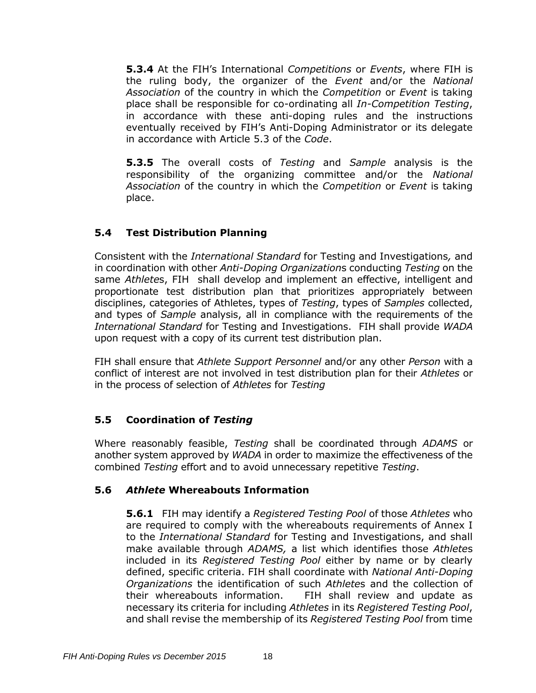**5.3.4** At the FIH's International *Competitions* or *Events*, where FIH is the ruling body, the organizer of the *Event* and/or the *National Association* of the country in which the *Competition* or *Event* is taking place shall be responsible for co-ordinating all *In-Competition Testing*, in accordance with these anti-doping rules and the instructions eventually received by FIH's Anti-Doping Administrator or its delegate in accordance with Article 5.3 of the *Code*.

**5.3.5** The overall costs of *Testing* and *Sample* analysis is the responsibility of the organizing committee and/or the *National Association* of the country in which the *Competition* or *Event* is taking place.

# **5.4 Test Distribution Planning**

Consistent with the *International Standard* for Testing and Investigations*,* and in coordination with other *Anti-Doping Organization*s conducting *Testing* on the same *Athlete*s, FIH shall develop and implement an effective, intelligent and proportionate test distribution plan that prioritizes appropriately between disciplines, categories of Athletes, types of *Testing*, types of *Samples* collected, and types of *Sample* analysis, all in compliance with the requirements of the *International Standard* for Testing and Investigations. FIH shall provide *WADA* upon request with a copy of its current test distribution plan.

FIH shall ensure that *Athlete Support Personnel* and/or any other *Person* with a conflict of interest are not involved in test distribution plan for their *Athletes* or in the process of selection of *Athletes* for *Testing*

# **5.5 Coordination of** *Testing*

Where reasonably feasible, *Testing* shall be coordinated through *ADAMS* or another system approved by *WADA* in order to maximize the effectiveness of the combined *Testing* effort and to avoid unnecessary repetitive *Testing*.

# **5.6** *Athlete* **Whereabouts Information**

**5.6.1** FIH may identify a *Registered Testing Pool* of those *Athletes* who are required to comply with the whereabouts requirements of Annex I to the *International Standard* for Testing and Investigations, and shall make available through *ADAMS,* a list which identifies those *Athlete*s included in its *Registered Testing Pool* either by name or by clearly defined, specific criteria. FIH shall coordinate with *National Anti-Doping Organizations* the identification of such *Athlete*s and the collection of their whereabouts information. FIH shall review and update as necessary its criteria for including *Athletes* in its *Registered Testing Pool*, and shall revise the membership of its *Registered Testing Pool* from time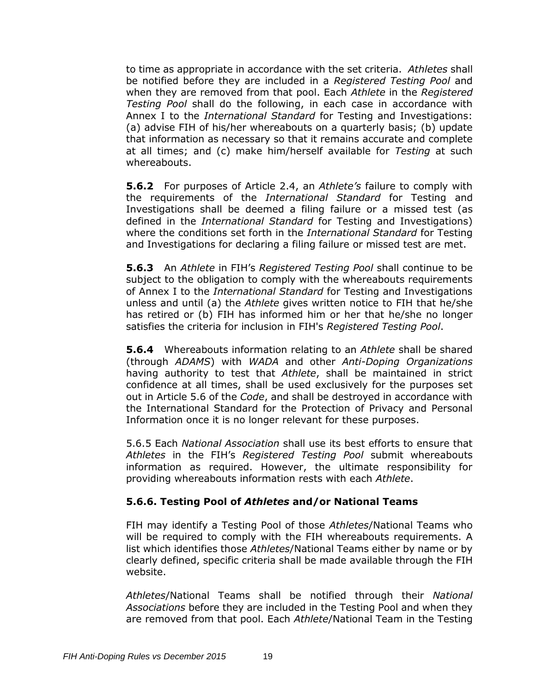to time as appropriate in accordance with the set criteria. *Athletes* shall be notified before they are included in a *Registered Testing Pool* and when they are removed from that pool. Each *Athlete* in the *Registered Testing Pool* shall do the following, in each case in accordance with Annex I to the *International Standard* for Testing and Investigations: (a) advise FIH of his/her whereabouts on a quarterly basis; (b) update that information as necessary so that it remains accurate and complete at all times; and (c) make him/herself available for *Testing* at such whereabouts.

**5.6.2** For purposes of Article 2.4, an *Athlete's* failure to comply with the requirements of the *International Standard* for Testing and Investigations shall be deemed a filing failure or a missed test (as defined in the *International Standard* for Testing and Investigations) where the conditions set forth in the *International Standard* for Testing and Investigations for declaring a filing failure or missed test are met.

**5.6.3** An *Athlete* in FIH's *Registered Testing Pool* shall continue to be subject to the obligation to comply with the whereabouts requirements of Annex I to the *International Standard* for Testing and Investigations unless and until (a) the *Athlete* gives written notice to FIH that he/she has retired or (b) FIH has informed him or her that he/she no longer satisfies the criteria for inclusion in FIH's *Registered Testing Pool*.

**5.6.4** Whereabouts information relating to an *Athlete* shall be shared (through *ADAMS*) with *WADA* and other *Anti-Doping Organizations* having authority to test that *Athlete*, shall be maintained in strict confidence at all times, shall be used exclusively for the purposes set out in Article 5.6 of the *Code*, and shall be destroyed in accordance with the International Standard for the Protection of Privacy and Personal Information once it is no longer relevant for these purposes.

5.6.5 Each *National Association* shall use its best efforts to ensure that *Athletes* in the FIH's *Registered Testing Pool* submit whereabouts information as required. However, the ultimate responsibility for providing whereabouts information rests with each *Athlete*.

### **5.6.6. Testing Pool of** *Athletes* **and/or National Teams**

FIH may identify a Testing Pool of those *Athletes*/National Teams who will be required to comply with the FIH whereabouts requirements. A list which identifies those *Athletes*/National Teams either by name or by clearly defined, specific criteria shall be made available through the FIH website.

*Athletes*/National Teams shall be notified through their *National Associations* before they are included in the Testing Pool and when they are removed from that pool. Each *Athlete*/National Team in the Testing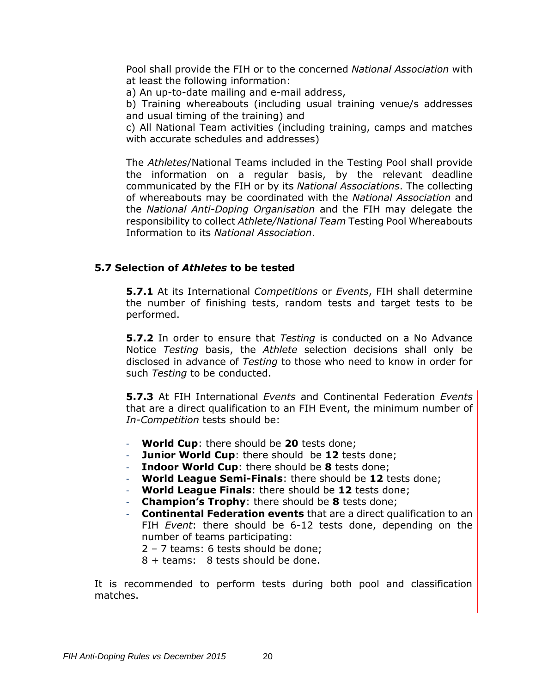Pool shall provide the FIH or to the concerned *National Association* with at least the following information:

a) An up-to-date mailing and e-mail address,

b) Training whereabouts (including usual training venue/s addresses and usual timing of the training) and

c) All National Team activities (including training, camps and matches with accurate schedules and addresses)

The *Athletes*/National Teams included in the Testing Pool shall provide the information on a regular basis, by the relevant deadline communicated by the FIH or by its *National Associations*. The collecting of whereabouts may be coordinated with the *National Association* and the *National Anti-Doping Organisation* and the FIH may delegate the responsibility to collect *Athlete/National Team* Testing Pool Whereabouts Information to its *National Association*.

#### **5.7 Selection of** *Athletes* **to be tested**

**5.7.1** At its International *Competitions* or *Events*, FIH shall determine the number of finishing tests, random tests and target tests to be performed.

**5.7.2** In order to ensure that *Testing* is conducted on a No Advance Notice *Testing* basis, the *Athlete* selection decisions shall only be disclosed in advance of *Testing* to those who need to know in order for such *Testing* to be conducted.

**5.7.3** At FIH International *Events* and Continental Federation *Events* that are a direct qualification to an FIH Event, the minimum number of *In-Competition* tests should be:

- **World Cup**: there should be **20** tests done;
- **Junior World Cup**: there should be **12** tests done;
- **Indoor World Cup:** there should be 8 tests done;
- **World League Semi-Finals**: there should be **12** tests done;
- **World League Finals**: there should be **12** tests done;
- **Champion's Trophy**: there should be **8** tests done;
- **Continental Federation events** that are a direct qualification to an FIH *Event*: there should be 6-12 tests done, depending on the number of teams participating:
	- 2 7 teams: 6 tests should be done;
	- 8 + teams: 8 tests should be done.

It is recommended to perform tests during both pool and classification matches.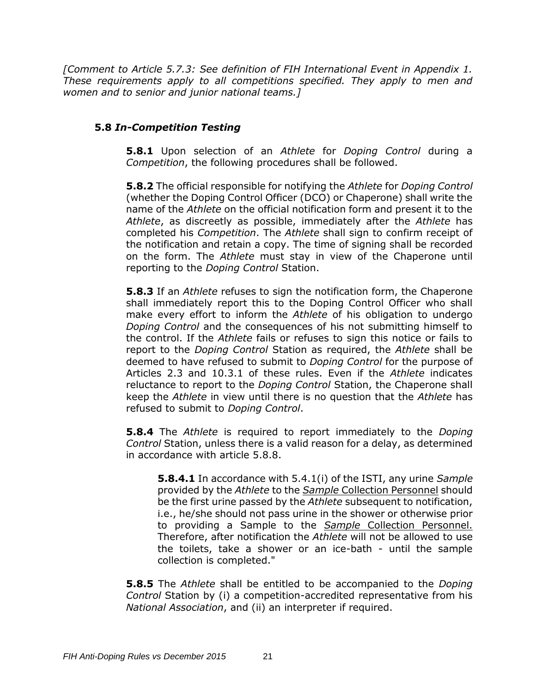*[Comment to Article 5.7.3: See definition of FIH International Event in Appendix 1. These requirements apply to all competitions specified. They apply to men and women and to senior and junior national teams.]*

# **5.8** *In-Competition Testing*

**5.8.1** Upon selection of an *Athlete* for *Doping Control* during a *Competition*, the following procedures shall be followed.

**5.8.2** The official responsible for notifying the *Athlete* for *Doping Control* (whether the Doping Control Officer (DCO) or Chaperone) shall write the name of the *Athlete* on the official notification form and present it to the *Athlete*, as discreetly as possible, immediately after the *Athlete* has completed his *Competition*. The *Athlete* shall sign to confirm receipt of the notification and retain a copy. The time of signing shall be recorded on the form. The *Athlete* must stay in view of the Chaperone until reporting to the *Doping Control* Station.

**5.8.3** If an *Athlete* refuses to sign the notification form, the Chaperone shall immediately report this to the Doping Control Officer who shall make every effort to inform the *Athlete* of his obligation to undergo *Doping Control* and the consequences of his not submitting himself to the control. If the *Athlete* fails or refuses to sign this notice or fails to report to the *Doping Control* Station as required, the *Athlete* shall be deemed to have refused to submit to *Doping Control* for the purpose of Articles 2.3 and 10.3.1 of these rules. Even if the *Athlete* indicates reluctance to report to the *Doping Control* Station, the Chaperone shall keep the *Athlete* in view until there is no question that the *Athlete* has refused to submit to *Doping Control*.

**5.8.4** The *Athlete* is required to report immediately to the *Doping Control* Station, unless there is a valid reason for a delay, as determined in accordance with article 5.8.8.

**5.8.4.1** In accordance with 5.4.1(i) of the ISTI, any urine *Sample* provided by the *Athlete* to the *Sample* Collection Personnel should be the first urine passed by the *Athlete* subsequent to notification, i.e., he/she should not pass urine in the shower or otherwise prior to providing a Sample to the *Sample* Collection Personnel. Therefore, after notification the *Athlete* will not be allowed to use the toilets, take a shower or an ice-bath - until the sample collection is completed."

**5.8.5** The *Athlete* shall be entitled to be accompanied to the *Doping Control* Station by (i) a competition-accredited representative from his *National Association*, and (ii) an interpreter if required.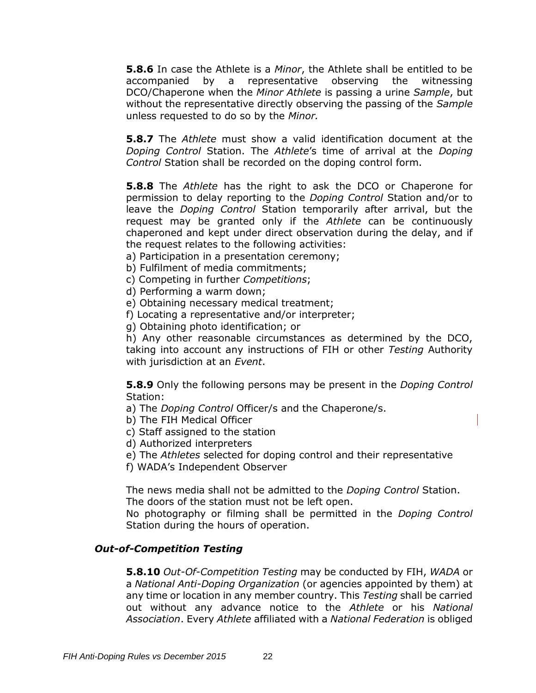**5.8.6** In case the Athlete is a *Minor*, the Athlete shall be entitled to be accompanied by a representative observing the witnessing DCO/Chaperone when the *Minor Athlete* is passing a urine *Sample*, but without the representative directly observing the passing of the *Sample*  unless requested to do so by the *Minor.*

**5.8.7** The *Athlete* must show a valid identification document at the *Doping Control* Station. The *Athlete*'s time of arrival at the *Doping Control* Station shall be recorded on the doping control form.

**5.8.8** The *Athlete* has the right to ask the DCO or Chaperone for permission to delay reporting to the *Doping Control* Station and/or to leave the *Doping Control* Station temporarily after arrival, but the request may be granted only if the *Athlete* can be continuously chaperoned and kept under direct observation during the delay, and if the request relates to the following activities:

- a) Participation in a presentation ceremony;
- b) Fulfilment of media commitments;
- c) Competing in further *Competitions*;
- d) Performing a warm down;
- e) Obtaining necessary medical treatment;

f) Locating a representative and/or interpreter;

g) Obtaining photo identification; or

h) Any other reasonable circumstances as determined by the DCO, taking into account any instructions of FIH or other *Testing* Authority with jurisdiction at an *Event*.

**5.8.9** Only the following persons may be present in the *Doping Control* Station:

a) The *Doping Control* Officer/s and the Chaperone/s.

- b) The FIH Medical Officer
- c) Staff assigned to the station
- d) Authorized interpreters
- e) The *Athletes* selected for doping control and their representative
- f) WADA's Independent Observer

The news media shall not be admitted to the *Doping Control* Station. The doors of the station must not be left open.

No photography or filming shall be permitted in the *Doping Control* Station during the hours of operation.

#### *Out-of-Competition Testing*

**5.8.10** *Out-Of-Competition Testing* may be conducted by FIH, *WADA* or a *National Anti-Doping Organization* (or agencies appointed by them) at any time or location in any member country. This *Testing* shall be carried out without any advance notice to the *Athlete* or his *National Association*. Every *Athlete* affiliated with a *National Federation* is obliged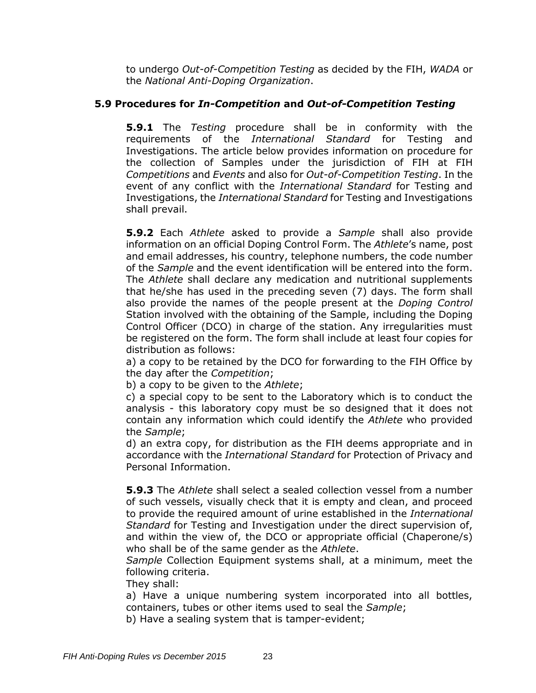to undergo *Out-of-Competition Testing* as decided by the FIH, *WADA* or the *National Anti-Doping Organization*.

### **5.9 Procedures for** *In-Competition* **and** *Out-of-Competition Testing*

**5.9.1** The *Testing* procedure shall be in conformity with the requirements of the *International Standard* for Testing and Investigations. The article below provides information on procedure for the collection of Samples under the jurisdiction of FIH at FIH *Competitions* and *Events* and also for *Out-of-Competition Testing*. In the event of any conflict with the *International Standard* for Testing and Investigations, the *International Standard* for Testing and Investigations shall prevail.

**5.9.2** Each *Athlete* asked to provide a *Sample* shall also provide information on an official Doping Control Form. The *Athlete*'s name, post and email addresses, his country, telephone numbers, the code number of the *Sample* and the event identification will be entered into the form. The *Athlete* shall declare any medication and nutritional supplements that he/she has used in the preceding seven (7) days. The form shall also provide the names of the people present at the *Doping Control* Station involved with the obtaining of the Sample, including the Doping Control Officer (DCO) in charge of the station. Any irregularities must be registered on the form. The form shall include at least four copies for distribution as follows:

a) a copy to be retained by the DCO for forwarding to the FIH Office by the day after the *Competition*;

b) a copy to be given to the *Athlete*;

c) a special copy to be sent to the Laboratory which is to conduct the analysis - this laboratory copy must be so designed that it does not contain any information which could identify the *Athlete* who provided the *Sample*;

d) an extra copy, for distribution as the FIH deems appropriate and in accordance with the *International Standard* for Protection of Privacy and Personal Information.

**5.9.3** The *Athlete* shall select a sealed collection vessel from a number of such vessels, visually check that it is empty and clean, and proceed to provide the required amount of urine established in the *International Standard* for Testing and Investigation under the direct supervision of, and within the view of, the DCO or appropriate official (Chaperone/s) who shall be of the same gender as the *Athlete*.

*Sample* Collection Equipment systems shall, at a minimum, meet the following criteria.

They shall:

a) Have a unique numbering system incorporated into all bottles, containers, tubes or other items used to seal the *Sample*;

b) Have a sealing system that is tamper-evident;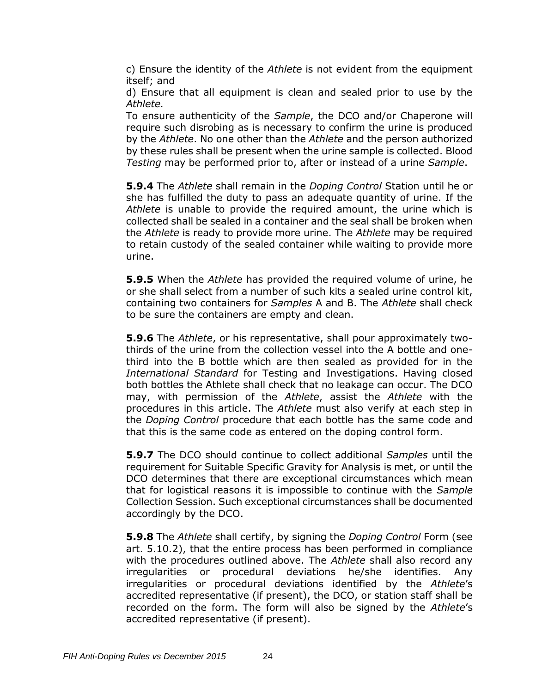c) Ensure the identity of the *Athlete* is not evident from the equipment itself; and

d) Ensure that all equipment is clean and sealed prior to use by the *Athlete.*

To ensure authenticity of the *Sample*, the DCO and/or Chaperone will require such disrobing as is necessary to confirm the urine is produced by the *Athlete*. No one other than the *Athlete* and the person authorized by these rules shall be present when the urine sample is collected. Blood *Testing* may be performed prior to, after or instead of a urine *Sample*.

**5.9.4** The *Athlete* shall remain in the *Doping Control* Station until he or she has fulfilled the duty to pass an adequate quantity of urine. If the *Athlete* is unable to provide the required amount, the urine which is collected shall be sealed in a container and the seal shall be broken when the *Athlete* is ready to provide more urine. The *Athlete* may be required to retain custody of the sealed container while waiting to provide more urine.

**5.9.5** When the *Athlete* has provided the required volume of urine, he or she shall select from a number of such kits a sealed urine control kit, containing two containers for *Samples* A and B. The *Athlete* shall check to be sure the containers are empty and clean.

**5.9.6** The *Athlete*, or his representative, shall pour approximately twothirds of the urine from the collection vessel into the A bottle and onethird into the B bottle which are then sealed as provided for in the *International Standard* for Testing and Investigations. Having closed both bottles the Athlete shall check that no leakage can occur. The DCO may, with permission of the *Athlete*, assist the *Athlete* with the procedures in this article. The *Athlete* must also verify at each step in the *Doping Control* procedure that each bottle has the same code and that this is the same code as entered on the doping control form.

**5.9.7** The DCO should continue to collect additional *Samples* until the requirement for Suitable Specific Gravity for Analysis is met, or until the DCO determines that there are exceptional circumstances which mean that for logistical reasons it is impossible to continue with the *Sample* Collection Session. Such exceptional circumstances shall be documented accordingly by the DCO.

**5.9.8** The *Athlete* shall certify, by signing the *Doping Control* Form (see art. 5.10.2), that the entire process has been performed in compliance with the procedures outlined above. The *Athlete* shall also record any irregularities or procedural deviations he/she identifies. Any irregularities or procedural deviations identified by the *Athlete*'s accredited representative (if present), the DCO, or station staff shall be recorded on the form. The form will also be signed by the *Athlete*'s accredited representative (if present).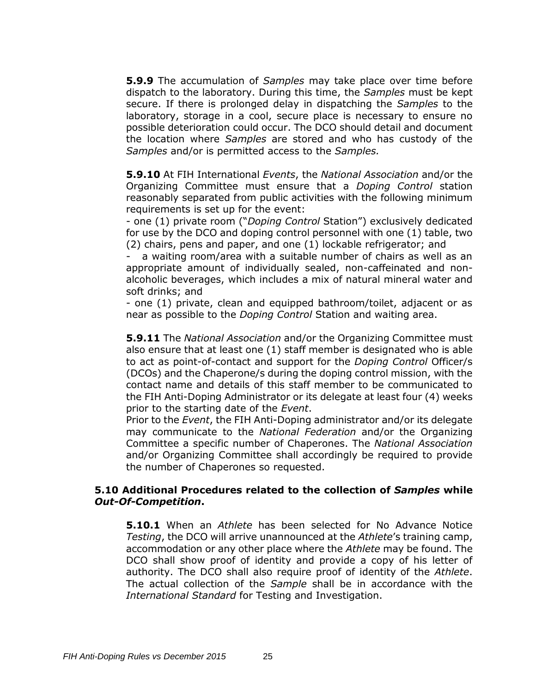**5.9.9** The accumulation of *Samples* may take place over time before dispatch to the laboratory. During this time, the *Samples* must be kept secure. If there is prolonged delay in dispatching the *Samples* to the laboratory, storage in a cool, secure place is necessary to ensure no possible deterioration could occur. The DCO should detail and document the location where *Samples* are stored and who has custody of the *Samples* and/or is permitted access to the *Samples.* 

**5.9.10** At FIH International *Events*, the *National Association* and/or the Organizing Committee must ensure that a *Doping Control* station reasonably separated from public activities with the following minimum requirements is set up for the event:

- one (1) private room ("*Doping Control* Station") exclusively dedicated for use by the DCO and doping control personnel with one (1) table, two (2) chairs, pens and paper, and one (1) lockable refrigerator; and

a waiting room/area with a suitable number of chairs as well as an appropriate amount of individually sealed, non-caffeinated and nonalcoholic beverages, which includes a mix of natural mineral water and soft drinks; and

- one (1) private, clean and equipped bathroom/toilet, adjacent or as near as possible to the *Doping Control* Station and waiting area.

**5.9.11** The *National Association* and/or the Organizing Committee must also ensure that at least one (1) staff member is designated who is able to act as point-of-contact and support for the *Doping Control* Officer/s (DCOs) and the Chaperone/s during the doping control mission, with the contact name and details of this staff member to be communicated to the FIH Anti-Doping Administrator or its delegate at least four (4) weeks prior to the starting date of the *Event*.

Prior to the *Event*, the FIH Anti-Doping administrator and/or its delegate may communicate to the *National Federation* and/or the Organizing Committee a specific number of Chaperones. The *National Association* and/or Organizing Committee shall accordingly be required to provide the number of Chaperones so requested.

#### **5.10 Additional Procedures related to the collection of** *Samples* **while**  *Out-Of-Competition***.**

**5.10.1** When an *Athlete* has been selected for No Advance Notice *Testing*, the DCO will arrive unannounced at the *Athlete*'s training camp, accommodation or any other place where the *Athlete* may be found. The DCO shall show proof of identity and provide a copy of his letter of authority. The DCO shall also require proof of identity of the *Athlete*. The actual collection of the *Sample* shall be in accordance with the *International Standard* for Testing and Investigation.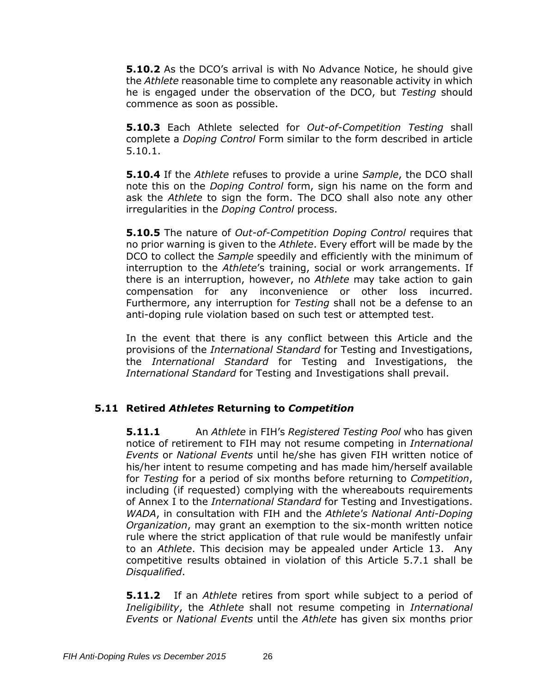**5.10.2** As the DCO's arrival is with No Advance Notice, he should give the *Athlete* reasonable time to complete any reasonable activity in which he is engaged under the observation of the DCO, but *Testing* should commence as soon as possible.

**5.10.3** Each Athlete selected for *Out-of-Competition Testing* shall complete a *Doping Control* Form similar to the form described in article 5.10.1.

**5.10.4** If the *Athlete* refuses to provide a urine *Sample*, the DCO shall note this on the *Doping Control* form, sign his name on the form and ask the *Athlete* to sign the form. The DCO shall also note any other irregularities in the *Doping Control* process.

**5.10.5** The nature of *Out-of-Competition Doping Control* requires that no prior warning is given to the *Athlete*. Every effort will be made by the DCO to collect the *Sample* speedily and efficiently with the minimum of interruption to the *Athlete*'s training, social or work arrangements. If there is an interruption, however, no *Athlete* may take action to gain compensation for any inconvenience or other loss incurred. Furthermore, any interruption for *Testing* shall not be a defense to an anti-doping rule violation based on such test or attempted test.

In the event that there is any conflict between this Article and the provisions of the *International Standard* for Testing and Investigations, the *International Standard* for Testing and Investigations, the *International Standard* for Testing and Investigations shall prevail.

# **5.11 Retired** *Athletes* **Returning to** *Competition*

**5.11.1** An *Athlete* in FIH's *Registered Testing Pool* who has given notice of retirement to FIH may not resume competing in *International Events* or *National Events* until he/she has given FIH written notice of his/her intent to resume competing and has made him/herself available for *Testing* for a period of six months before returning to *Competition*, including (if requested) complying with the whereabouts requirements of Annex I to the *International Standard* for Testing and Investigations. *WADA*, in consultation with FIH and the *Athlete's National Anti-Doping Organization*, may grant an exemption to the six-month written notice rule where the strict application of that rule would be manifestly unfair to an *Athlete*. This decision may be appealed under Article 13. Any competitive results obtained in violation of this Article 5.7.1 shall be *Disqualified*.

**5.11.2** If an *Athlete* retires from sport while subject to a period of *Ineligibility*, the *Athlete* shall not resume competing in *International Events* or *National Events* until the *Athlete* has given six months prior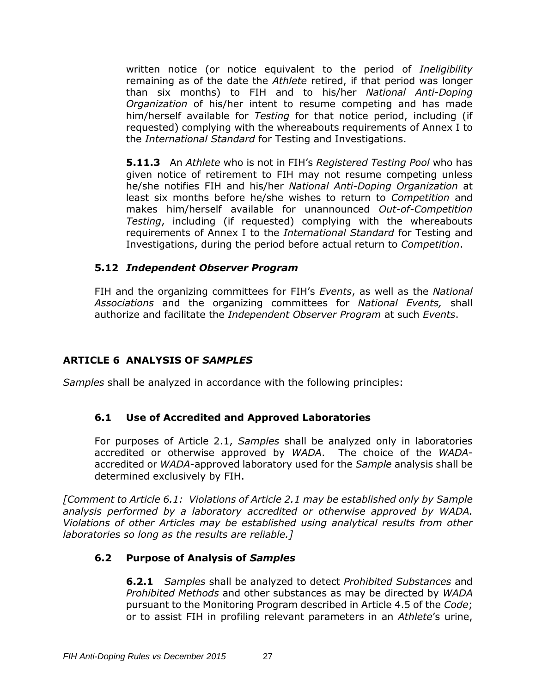written notice (or notice equivalent to the period of *Ineligibility*  remaining as of the date the *Athlete* retired, if that period was longer than six months) to FIH and to his/her *National Anti-Doping Organization* of his/her intent to resume competing and has made him/herself available for *Testing* for that notice period, including (if requested) complying with the whereabouts requirements of Annex I to the *International Standard* for Testing and Investigations.

**5.11.3** An *Athlete* who is not in FIH's *Registered Testing Pool* who has given notice of retirement to FIH may not resume competing unless he/she notifies FIH and his/her *National Anti-Doping Organization* at least six months before he/she wishes to return to *Competition* and makes him/herself available for unannounced *Out-of-Competition Testing*, including (if requested) complying with the whereabouts requirements of Annex I to the *International Standard* for Testing and Investigations, during the period before actual return to *Competition*.

### **5.12** *Independent Observer Program*

FIH and the organizing committees for FIH's *Events*, as well as the *National Associations* and the organizing committees for *National Events,* shall authorize and facilitate the *Independent Observer Program* at such *Events*.

### <span id="page-27-0"></span>**ARTICLE 6 ANALYSIS OF** *SAMPLES*

*Samples* shall be analyzed in accordance with the following principles:

# **6.1 Use of Accredited and Approved Laboratories**

For purposes of Article 2.1, *Samples* shall be analyzed only in laboratories accredited or otherwise approved by *WADA*. The choice of the *WADA*accredited or *WADA*-approved laboratory used for the *Sample* analysis shall be determined exclusively by FIH.

*[Comment to Article 6.1: Violations of Article 2.1 may be established only by Sample analysis performed by a laboratory accredited or otherwise approved by WADA. Violations of other Articles may be established using analytical results from other laboratories so long as the results are reliable.]*

# **6.2 Purpose of Analysis of** *Samples*

**6.2.1** *Samples* shall be analyzed to detect *Prohibited Substances* and *Prohibited Methods* and other substances as may be directed by *WADA* pursuant to the Monitoring Program described in Article 4.5 of the *Code*; or to assist FIH in profiling relevant parameters in an *Athlete*'s urine,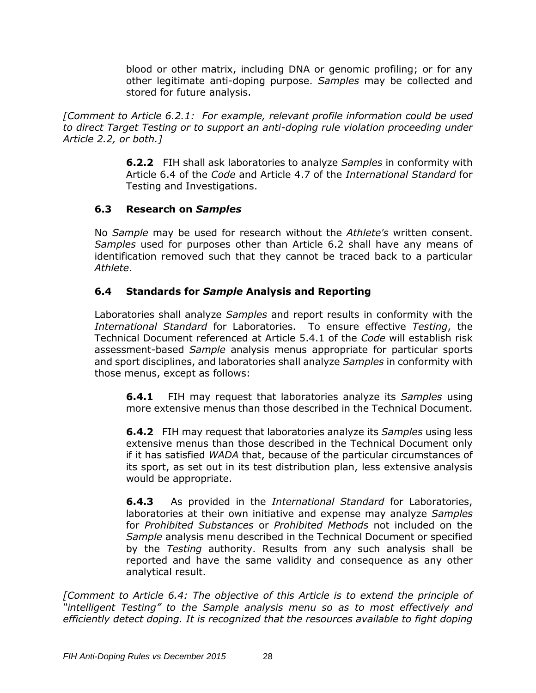blood or other matrix, including DNA or genomic profiling; or for any other legitimate anti-doping purpose. *Samples* may be collected and stored for future analysis.

*[Comment to Article 6.2.1: For example, relevant profile information could be used to direct Target Testing or to support an anti-doping rule violation proceeding under Article 2.2, or both.]*

> **6.2.2** FIH shall ask laboratories to analyze *Samples* in conformity with Article 6.4 of the *Code* and Article 4.7 of the *International Standard* for Testing and Investigations.

### **6.3 Research on** *Samples*

No *Sample* may be used for research without the *Athlete's* written consent. *Samples* used for purposes other than Article 6.2 shall have any means of identification removed such that they cannot be traced back to a particular *Athlete*.

# **6.4 Standards for** *Sample* **Analysis and Reporting**

Laboratories shall analyze *Samples* and report results in conformity with the *International Standard* for Laboratories. To ensure effective *Testing*, the Technical Document referenced at Article 5.4.1 of the *Code* will establish risk assessment-based *Sample* analysis menus appropriate for particular sports and sport disciplines, and laboratories shall analyze *Samples* in conformity with those menus, except as follows:

**6.4.1** FIH may request that laboratories analyze its *Samples* using more extensive menus than those described in the Technical Document.

**6.4.2** FIH may request that laboratories analyze its *Samples* using less extensive menus than those described in the Technical Document only if it has satisfied *WADA* that, because of the particular circumstances of its sport, as set out in its test distribution plan, less extensive analysis would be appropriate.

**6.4.3** As provided in the *International Standard* for Laboratories, laboratories at their own initiative and expense may analyze *Samples*  for *Prohibited Substances* or *Prohibited Methods* not included on the *Sample* analysis menu described in the Technical Document or specified by the *Testing* authority. Results from any such analysis shall be reported and have the same validity and consequence as any other analytical result.

*[Comment to Article 6.4: The objective of this Article is to extend the principle of "intelligent Testing" to the Sample analysis menu so as to most effectively and efficiently detect doping. It is recognized that the resources available to fight doping*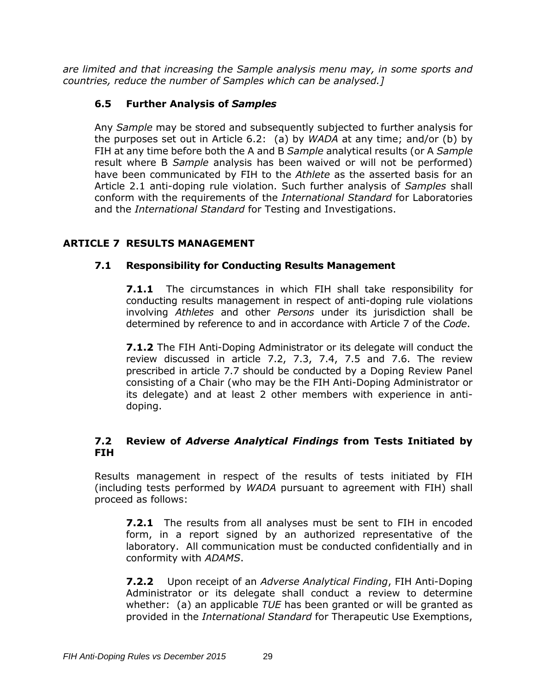*are limited and that increasing the Sample analysis menu may, in some sports and countries, reduce the number of Samples which can be analysed.]*

# **6.5 Further Analysis of** *Samples*

Any *Sample* may be stored and subsequently subjected to further analysis for the purposes set out in Article 6.2: (a) by *WADA* at any time; and/or (b) by FIH at any time before both the A and B *Sample* analytical results (or A *Sample* result where B *Sample* analysis has been waived or will not be performed) have been communicated by FIH to the *Athlete* as the asserted basis for an Article 2.1 anti-doping rule violation. Such further analysis of *Samples* shall conform with the requirements of the *International Standard* for Laboratories and the *International Standard* for Testing and Investigations.

# <span id="page-29-0"></span>**ARTICLE 7 RESULTS MANAGEMENT**

### **7.1 Responsibility for Conducting Results Management**

**7.1.1** The circumstances in which FIH shall take responsibility for conducting results management in respect of anti-doping rule violations involving *Athletes* and other *Persons* under its jurisdiction shall be determined by reference to and in accordance with Article 7 of the *Code*.

**7.1.2** The FIH Anti-Doping Administrator or its delegate will conduct the review discussed in article 7.2, 7.3, 7.4, 7.5 and 7.6. The review prescribed in article 7.7 should be conducted by a Doping Review Panel consisting of a Chair (who may be the FIH Anti-Doping Administrator or its delegate) and at least 2 other members with experience in antidoping.

### **7.2 Review of** *Adverse Analytical Findings* **from Tests Initiated by FIH**

Results management in respect of the results of tests initiated by FIH (including tests performed by *WADA* pursuant to agreement with FIH) shall proceed as follows:

**7.2.1** The results from all analyses must be sent to FIH in encoded form, in a report signed by an authorized representative of the laboratory. All communication must be conducted confidentially and in conformity with *ADAMS*.

**7.2.2** Upon receipt of an *Adverse Analytical Finding*, FIH Anti-Doping Administrator or its delegate shall conduct a review to determine whether: (a) an applicable *TUE* has been granted or will be granted as provided in the *International Standard* for Therapeutic Use Exemptions,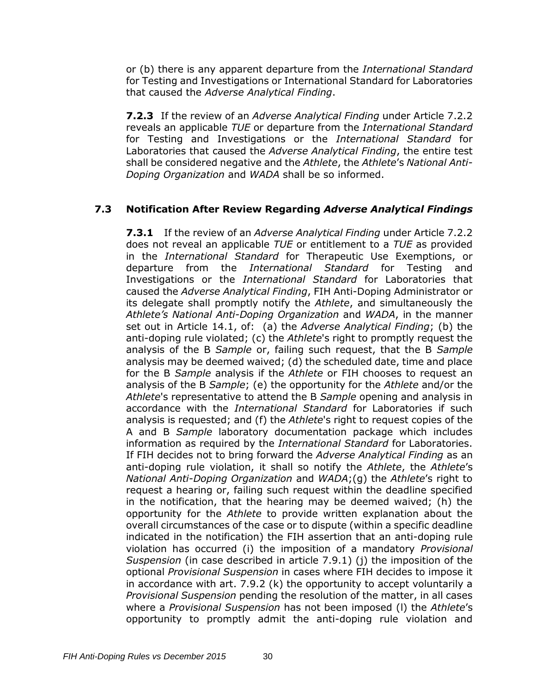or (b) there is any apparent departure from the *International Standard* for Testing and Investigations or International Standard for Laboratories that caused the *Adverse Analytical Finding*.

**7.2.3** If the review of an *Adverse Analytical Finding* under Article 7.2.2 reveals an applicable *TUE* or departure from the *International Standard* for Testing and Investigations or the *International Standard* for Laboratories that caused the *Adverse Analytical Finding*, the entire test shall be considered negative and the *Athlete*, the *Athlete*'s *National Anti-Doping Organization* and *WADA* shall be so informed.

### **7.3 Notification After Review Regarding** *Adverse Analytical Findings*

**7.3.1** If the review of an *Adverse Analytical Finding* under Article 7.2.2 does not reveal an applicable *TUE* or entitlement to a *TUE* as provided in the *International Standard* for Therapeutic Use Exemptions, or departure from the *International Standard* for Testing and Investigations or the *International Standard* for Laboratories that caused the *Adverse Analytical Finding*, FIH Anti-Doping Administrator or its delegate shall promptly notify the *Athlete*, and simultaneously the *Athlete's National Anti-Doping Organization* and *WADA*, in the manner set out in Article 14.1, of: (a) the *Adverse Analytical Finding*; (b) the anti-doping rule violated; (c) the *Athlete*'s right to promptly request the analysis of the B *Sample* or, failing such request, that the B *Sample* analysis may be deemed waived; (d) the scheduled date, time and place for the B *Sample* analysis if the *Athlete* or FIH chooses to request an analysis of the B *Sample*; (e) the opportunity for the *Athlete* and/or the *Athlete*'s representative to attend the B *Sample* opening and analysis in accordance with the *International Standard* for Laboratories if such analysis is requested; and (f) the *Athlete*'s right to request copies of the A and B *Sample* laboratory documentation package which includes information as required by the *International Standard* for Laboratories. If FIH decides not to bring forward the *Adverse Analytical Finding* as an anti-doping rule violation, it shall so notify the *Athlete*, the *Athlete*'s *National Anti-Doping Organization* and *WADA*;(g) the *Athlete*'s right to request a hearing or, failing such request within the deadline specified in the notification, that the hearing may be deemed waived; (h) the opportunity for the *Athlete* to provide written explanation about the overall circumstances of the case or to dispute (within a specific deadline indicated in the notification) the FIH assertion that an anti-doping rule violation has occurred (i) the imposition of a mandatory *Provisional Suspension* (in case described in article 7.9.1) (j) the imposition of the optional *Provisional Suspension* in cases where FIH decides to impose it in accordance with art. 7.9.2 (k) the opportunity to accept voluntarily a *Provisional Suspension* pending the resolution of the matter, in all cases where a *Provisional Suspension* has not been imposed (l) the *Athlete*'s opportunity to promptly admit the anti-doping rule violation and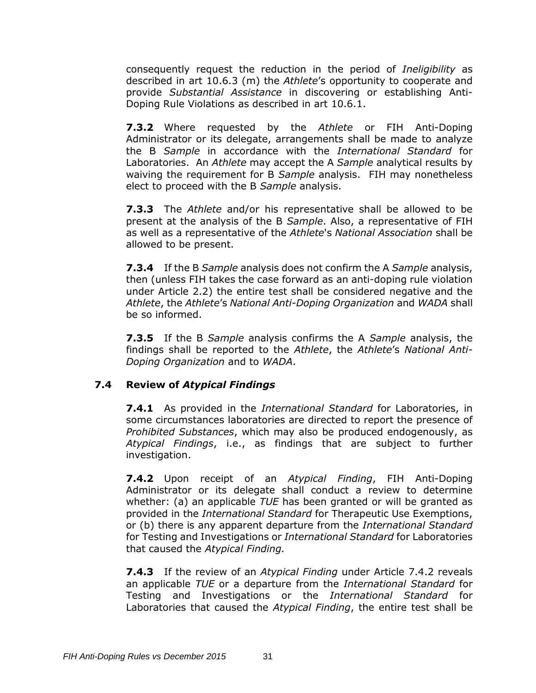consequently request the reduction in the period of *Ineligibility* as described in art 10.6.3 (m) the *Athlete*'s opportunity to cooperate and provide *Substantial Assistance* in discovering or establishing Anti-Doping Rule Violations as described in art 10.6.1.

**7.3.2** Where requested by the *Athlete* or FIH Anti-Doping Administrator or its delegate, arrangements shall be made to analyze the B *Sample* in accordance with the *International Standard* for Laboratories. An *Athlete* may accept the A *Sample* analytical results by waiving the requirement for B *Sample* analysis. FIH may nonetheless elect to proceed with the B *Sample* analysis.

**7.3.3** The *Athlete* and/or his representative shall be allowed to be present at the analysis of the B *Sample*. Also, a representative of FIH as well as a representative of the *Athlete*'s *National Association* shall be allowed to be present.

**7.3.4** If the B *Sample* analysis does not confirm the A *Sample* analysis, then (unless FIH takes the case forward as an anti-doping rule violation under Article 2.2) the entire test shall be considered negative and the *Athlete*, the *Athlete*'s *National Anti-Doping Organization* and *WADA* shall be so informed.

**7.3.5** If the B *Sample* analysis confirms the A *Sample* analysis, the findings shall be reported to the *Athlete*, the *Athlete*'s *National Anti-Doping Organization* and to *WADA*.

### **7.4 Review of** *Atypical Findings*

**7.4.1** As provided in the *International Standard* for Laboratories, in some circumstances laboratories are directed to report the presence of *Prohibited Substances*, which may also be produced endogenously, as *Atypical Findings*, i.e., as findings that are subject to further investigation.

**7.4.2** Upon receipt of an *Atypical Finding*, FIH Anti-Doping Administrator or its delegate shall conduct a review to determine whether: (a) an applicable *TUE* has been granted or will be granted as provided in the *International Standard* for Therapeutic Use Exemptions, or (b) there is any apparent departure from the *International Standard* for Testing and Investigations or *International Standard* for Laboratories that caused the *Atypical Finding.*

**7.4.3** If the review of an *Atypical Finding* under Article 7.4.2 reveals an applicable *TUE* or a departure from the *International Standard* for Testing and Investigations or the *International Standard* for Laboratories that caused the *Atypical Finding*, the entire test shall be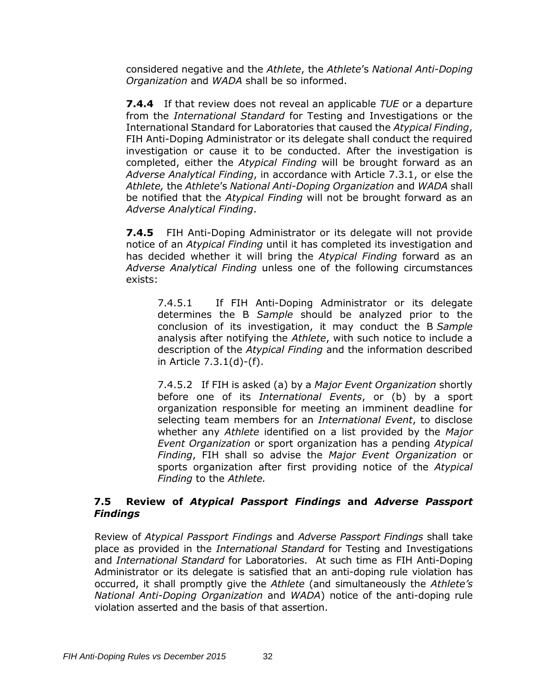considered negative and the *Athlete*, the *Athlete*'s *National Anti-Doping Organization* and *WADA* shall be so informed.

**7.4.4** If that review does not reveal an applicable *TUE* or a departure from the *International Standard* for Testing and Investigations or the International Standard for Laboratories that caused the *Atypical Finding*, FIH Anti-Doping Administrator or its delegate shall conduct the required investigation or cause it to be conducted. After the investigation is completed, either the *Atypical Finding* will be brought forward as an *Adverse Analytical Finding*, in accordance with Article 7.3.1, or else the *Athlete,* the *Athlete*'s *National Anti-Doping Organization* and *WADA* shall be notified that the *Atypical Finding* will not be brought forward as an *Adverse Analytical Finding*.

**7.4.5** FIH Anti-Doping Administrator or its delegate will not provide notice of an *Atypical Finding* until it has completed its investigation and has decided whether it will bring the *Atypical Finding* forward as an *Adverse Analytical Finding* unless one of the following circumstances exists:

7.4.5.1 If FIH Anti-Doping Administrator or its delegate determines the B *Sample* should be analyzed prior to the conclusion of its investigation, it may conduct the B *Sample*  analysis after notifying the *Athlete*, with such notice to include a description of the *Atypical Finding* and the information described in Article 7.3.1(d)-(f).

7.4.5.2 If FIH is asked (a) by a *Major Event Organization* shortly before one of its *International Events*, or (b) by a sport organization responsible for meeting an imminent deadline for selecting team members for an *International Event*, to disclose whether any *Athlete* identified on a list provided by the *Major Event Organization* or sport organization has a pending *Atypical Finding*, FIH shall so advise the *Major Event Organization* or sports organization after first providing notice of the *Atypical Finding* to the *Athlete.*

### **7.5 Review of** *Atypical Passport Findings* **and** *Adverse Passport Findings*

Review of *Atypical Passport Findings* and *Adverse Passport Findings* shall take place as provided in the *International Standard* for Testing and Investigations and *International Standard* for Laboratories. At such time as FIH Anti-Doping Administrator or its delegate is satisfied that an anti-doping rule violation has occurred, it shall promptly give the *Athlete* (and simultaneously the *Athlete's National Anti-Doping Organization* and *WADA*) notice of the anti-doping rule violation asserted and the basis of that assertion.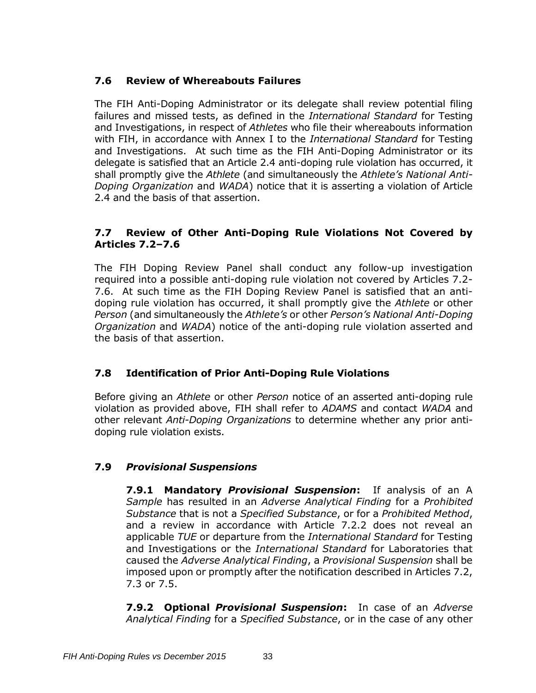# **7.6 Review of Whereabouts Failures**

The FIH Anti-Doping Administrator or its delegate shall review potential filing failures and missed tests, as defined in the *International Standard* for Testing and Investigations, in respect of *Athletes* who file their whereabouts information with FIH, in accordance with Annex I to the *International Standard* for Testing and Investigations. At such time as the FIH Anti-Doping Administrator or its delegate is satisfied that an Article 2.4 anti-doping rule violation has occurred, it shall promptly give the *Athlete* (and simultaneously the *Athlete's National Anti-Doping Organization* and *WADA*) notice that it is asserting a violation of Article 2.4 and the basis of that assertion.

# **7.7 Review of Other Anti-Doping Rule Violations Not Covered by Articles 7.2–7.6**

The FIH Doping Review Panel shall conduct any follow-up investigation required into a possible anti-doping rule violation not covered by Articles 7.2- 7.6. At such time as the FIH Doping Review Panel is satisfied that an antidoping rule violation has occurred, it shall promptly give the *Athlete* or other *Person* (and simultaneously the *Athlete's* or other *Person's National Anti-Doping Organization* and *WADA*) notice of the anti-doping rule violation asserted and the basis of that assertion.

# **7.8 Identification of Prior Anti-Doping Rule Violations**

Before giving an *Athlete* or other *Person* notice of an asserted anti-doping rule violation as provided above, FIH shall refer to *ADAMS* and contact *WADA* and other relevant *Anti-Doping Organizations* to determine whether any prior antidoping rule violation exists.

# **7.9** *Provisional Suspensions*

**7.9.1 Mandatory** *Provisional Suspension***:** If analysis of an A *Sample* has resulted in an *Adverse Analytical Finding* for a *Prohibited Substance* that is not a *Specified Substance*, or for a *Prohibited Method*, and a review in accordance with Article 7.2.2 does not reveal an applicable *TUE* or departure from the *International Standard* for Testing and Investigations or the *International Standard* for Laboratories that caused the *Adverse Analytical Finding*, a *Provisional Suspension* shall be imposed upon or promptly after the notification described in Articles 7.2, 7.3 or 7.5.

**7.9.2 Optional** *Provisional Suspension***:** In case of an *Adverse Analytical Finding* for a *Specified Substance*, or in the case of any other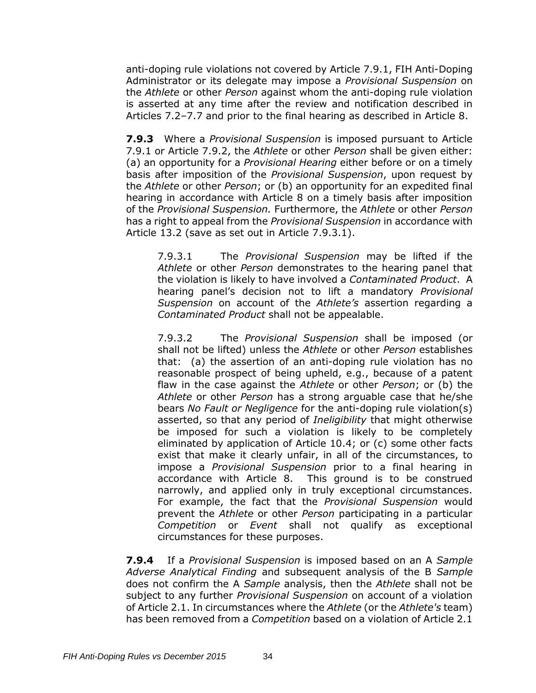anti-doping rule violations not covered by Article 7.9.1, FIH Anti-Doping Administrator or its delegate may impose a *Provisional Suspension* on the *Athlete* or other *Person* against whom the anti-doping rule violation is asserted at any time after the review and notification described in Articles 7.2–7.7 and prior to the final hearing as described in Article 8.

**7.9.3** Where a *Provisional Suspension* is imposed pursuant to Article 7.9.1 or Article 7.9.2, the *Athlete* or other *Person* shall be given either: (a) an opportunity for a *Provisional Hearing* either before or on a timely basis after imposition of the *Provisional Suspension*, upon request by the *Athlete* or other *Person*; or (b) an opportunity for an expedited final hearing in accordance with Article 8 on a timely basis after imposition of the *Provisional Suspension.* Furthermore, the *Athlete* or other *Person*  has a right to appeal from the *Provisional Suspension* in accordance with Article 13.2 (save as set out in Article 7.9.3.1).

7.9.3.1 The *Provisional Suspension* may be lifted if the *Athlete* or other *Person* demonstrates to the hearing panel that the violation is likely to have involved a *Contaminated Product*. A hearing panel's decision not to lift a mandatory *Provisional Suspension* on account of the *Athlete's* assertion regarding a *Contaminated Product* shall not be appealable.

7.9.3.2 The *Provisional Suspension* shall be imposed (or shall not be lifted) unless the *Athlete* or other *Person* establishes that: (a) the assertion of an anti-doping rule violation has no reasonable prospect of being upheld, e.g., because of a patent flaw in the case against the *Athlete* or other *Person*; or (b) the *Athlete* or other *Person* has a strong arguable case that he/she bears *No Fault or Negligence* for the anti-doping rule violation(s) asserted, so that any period of *Ineligibility* that might otherwise be imposed for such a violation is likely to be completely eliminated by application of Article 10.4; or (c) some other facts exist that make it clearly unfair, in all of the circumstances, to impose a *Provisional Suspension* prior to a final hearing in accordance with Article 8. This ground is to be construed narrowly, and applied only in truly exceptional circumstances. For example, the fact that the *Provisional Suspension* would prevent the *Athlete* or other *Person* participating in a particular *Competition* or *Event* shall not qualify as exceptional circumstances for these purposes.

**7.9.4** If a *Provisional Suspension* is imposed based on an A *Sample Adverse Analytical Finding* and subsequent analysis of the B *Sample* does not confirm the A *Sample* analysis, then the *Athlete* shall not be subject to any further *Provisional Suspension* on account of a violation of Article 2.1. In circumstances where the *Athlete* (or the *Athlete's* team) has been removed from a *Competition* based on a violation of Article 2.1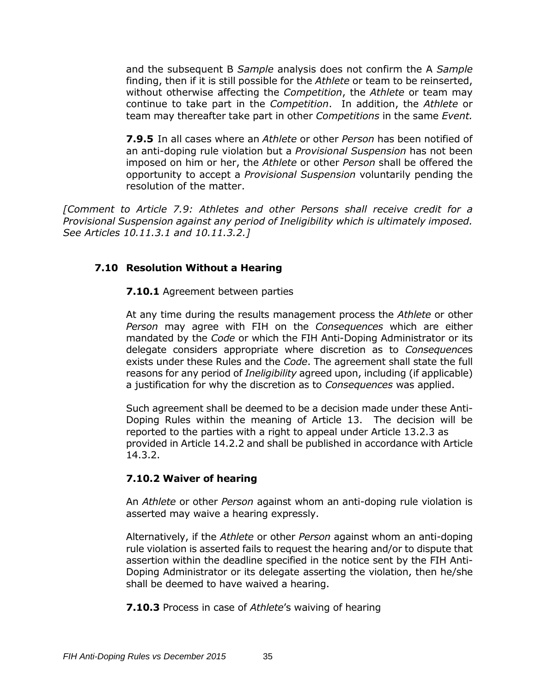and the subsequent B *Sample* analysis does not confirm the A *Sample*  finding, then if it is still possible for the *Athlete* or team to be reinserted, without otherwise affecting the *Competition*, the *Athlete* or team may continue to take part in the *Competition*. In addition, the *Athlete* or team may thereafter take part in other *Competitions* in the same *Event.*

**7.9.5** In all cases where an *Athlete* or other *Person* has been notified of an anti-doping rule violation but a *Provisional Suspension* has not been imposed on him or her, the *Athlete* or other *Person* shall be offered the opportunity to accept a *Provisional Suspension* voluntarily pending the resolution of the matter.

*[Comment to Article 7.9: Athletes and other Persons shall receive credit for a Provisional Suspension against any period of Ineligibility which is ultimately imposed. See Articles 10.11.3.1 and 10.11.3.2.]* 

#### **7.10 Resolution Without a Hearing**

**7.10.1** Agreement between parties

At any time during the results management process the *Athlete* or other *Person* may agree with FIH on the *Consequences* which are either mandated by the *Code* or which the FIH Anti-Doping Administrator or its delegate considers appropriate where discretion as to *Consequence*s exists under these Rules and the *Code*. The agreement shall state the full reasons for any period of *Ineligibility* agreed upon, including (if applicable) a justification for why the discretion as to *Consequences* was applied.

Such agreement shall be deemed to be a decision made under these Anti-Doping Rules within the meaning of Article 13. The decision will be reported to the parties with a right to appeal under Article 13.2.3 as provided in Article 14.2.2 and shall be published in accordance with Article 14.3.2.

#### **7.10.2 Waiver of hearing**

An *Athlete* or other *Person* against whom an anti-doping rule violation is asserted may waive a hearing expressly.

Alternatively, if the *Athlete* or other *Person* against whom an anti-doping rule violation is asserted fails to request the hearing and/or to dispute that assertion within the deadline specified in the notice sent by the FIH Anti-Doping Administrator or its delegate asserting the violation, then he/she shall be deemed to have waived a hearing.

**7.10.3** Process in case of *Athlete*'s waiving of hearing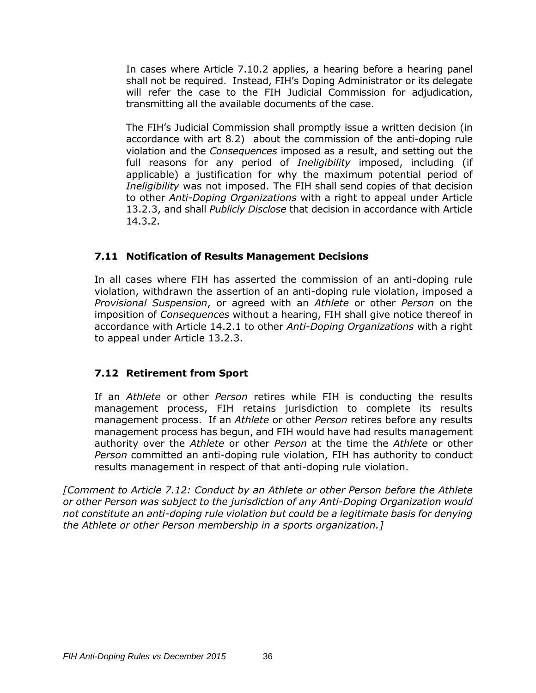In cases where Article 7.10.2 applies, a hearing before a hearing panel shall not be required. Instead, FIH's Doping Administrator or its delegate will refer the case to the FIH Judicial Commission for adjudication, transmitting all the available documents of the case.

The FIH's Judicial Commission shall promptly issue a written decision (in accordance with art 8.2) about the commission of the anti-doping rule violation and the *Consequences* imposed as a result, and setting out the full reasons for any period of *Ineligibility* imposed, including (if applicable) a justification for why the maximum potential period of *Ineligibility* was not imposed. The FIH shall send copies of that decision to other *Anti-Doping Organizations* with a right to appeal under Article 13.2.3, and shall *Publicly Disclose* that decision in accordance with Article 14.3.2.

## **7.11 Notification of Results Management Decisions**

In all cases where FIH has asserted the commission of an anti-doping rule violation, withdrawn the assertion of an anti-doping rule violation, imposed a *Provisional Suspension*, or agreed with an *Athlete* or other *Person* on the imposition of *Consequences* without a hearing, FIH shall give notice thereof in accordance with Article 14.2.1 to other *Anti-Doping Organizations* with a right to appeal under Article 13.2.3.

## **7.12 Retirement from Sport**

If an *Athlete* or other *Person* retires while FIH is conducting the results management process, FIH retains jurisdiction to complete its results management process. If an *Athlete* or other *Person* retires before any results management process has begun, and FIH would have had results management authority over the *Athlete* or other *Person* at the time the *Athlete* or other *Person* committed an anti-doping rule violation, FIH has authority to conduct results management in respect of that anti-doping rule violation.

*[Comment to Article 7.12: Conduct by an Athlete or other Person before the Athlete or other Person was subject to the jurisdiction of any Anti-Doping Organization would not constitute an anti-doping rule violation but could be a legitimate basis for denying the Athlete or other Person membership in a sports organization.]*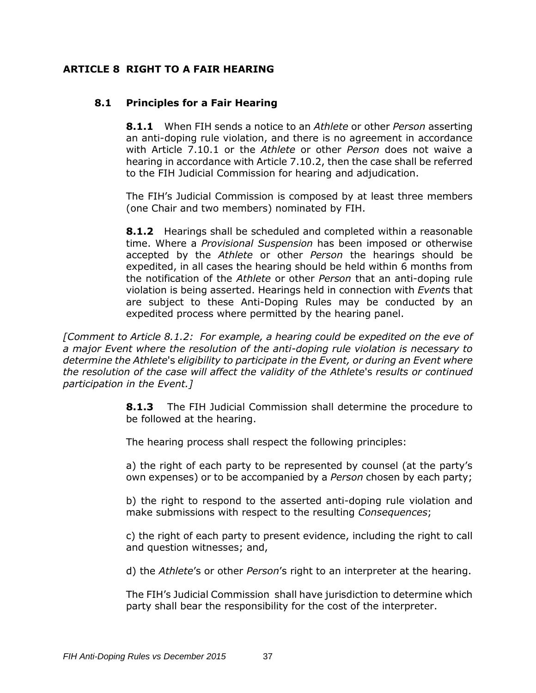### **ARTICLE 8 RIGHT TO A FAIR HEARING**

### **8.1 Principles for a Fair Hearing**

**8.1.1** When FIH sends a notice to an *Athlete* or other *Person* asserting an anti-doping rule violation, and there is no agreement in accordance with Article 7.10.1 or the *Athlete* or other *Person* does not waive a hearing in accordance with Article 7.10.2, then the case shall be referred to the FIH Judicial Commission for hearing and adjudication.

The FIH's Judicial Commission is composed by at least three members (one Chair and two members) nominated by FIH.

**8.1.2** Hearings shall be scheduled and completed within a reasonable time. Where a *Provisional Suspension* has been imposed or otherwise accepted by the *Athlete* or other *Person* the hearings should be expedited, in all cases the hearing should be held within 6 months from the notification of the *Athlete* or other *Person* that an anti-doping rule violation is being asserted. Hearings held in connection with *Event*s that are subject to these Anti-Doping Rules may be conducted by an expedited process where permitted by the hearing panel.

*[Comment to Article 8.1.2: For example, a hearing could be expedited on the eve of a major Event where the resolution of the anti-doping rule violation is necessary to determine the Athlete*'s *eligibility to participate in the Event, or during an Event where the resolution of the case will affect the validity of the Athlete*'s *results or continued participation in the Event.]*

> **8.1.3** The FIH Judicial Commission shall determine the procedure to be followed at the hearing.

The hearing process shall respect the following principles:

a) the right of each party to be represented by counsel (at the party's own expenses) or to be accompanied by a *Person* chosen by each party;

b) the right to respond to the asserted anti-doping rule violation and make submissions with respect to the resulting *Consequences*;

c) the right of each party to present evidence, including the right to call and question witnesses; and,

d) the *Athlete*'s or other *Person*'s right to an interpreter at the hearing.

The FIH's Judicial Commission shall have jurisdiction to determine which party shall bear the responsibility for the cost of the interpreter.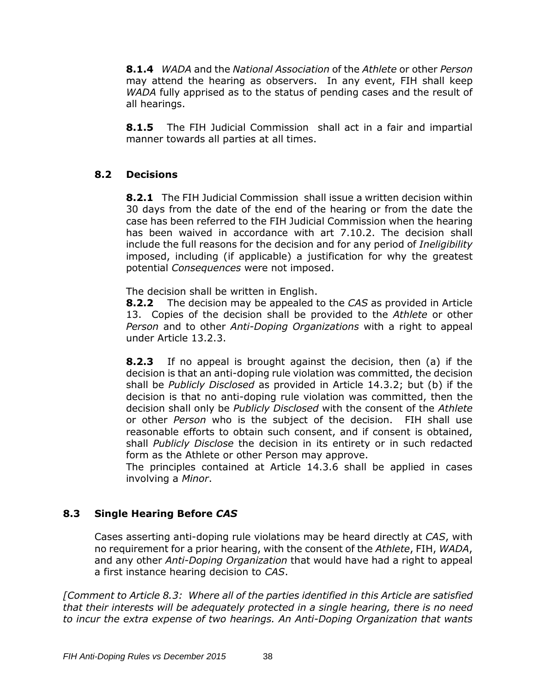**8.1.4** *WADA* and the *National Association* of the *Athlete* or other *Person* may attend the hearing as observers. In any event, FIH shall keep *WADA* fully apprised as to the status of pending cases and the result of all hearings.

**8.1.5** The FIH Judicial Commission shall act in a fair and impartial manner towards all parties at all times.

## **8.2 Decisions**

**8.2.1** The FIH Judicial Commission shall issue a written decision within 30 days from the date of the end of the hearing or from the date the case has been referred to the FIH Judicial Commission when the hearing has been waived in accordance with art 7.10.2. The decision shall include the full reasons for the decision and for any period of *Ineligibility*  imposed, including (if applicable) a justification for why the greatest potential *Consequences* were not imposed.

The decision shall be written in English.

**8.2.2** The decision may be appealed to the *CAS* as provided in Article 13. Copies of the decision shall be provided to the *Athlete* or other *Person* and to other *Anti-Doping Organizations* with a right to appeal under Article 13.2.3.

**8.2.3** If no appeal is brought against the decision, then (a) if the decision is that an anti-doping rule violation was committed, the decision shall be *Publicly Disclosed* as provided in Article 14.3.2; but (b) if the decision is that no anti-doping rule violation was committed, then the decision shall only be *Publicly Disclosed* with the consent of the *Athlete*  or other *Person* who is the subject of the decision. FIH shall use reasonable efforts to obtain such consent, and if consent is obtained, shall *Publicly Disclose* the decision in its entirety or in such redacted form as the Athlete or other Person may approve.

The principles contained at Article 14.3.6 shall be applied in cases involving a *Minor*.

# **8.3 Single Hearing Before** *CAS*

Cases asserting anti-doping rule violations may be heard directly at *CAS*, with no requirement for a prior hearing, with the consent of the *Athlete*, FIH, *WADA*, and any other *Anti-Doping Organization* that would have had a right to appeal a first instance hearing decision to *CAS*.

*[Comment to Article 8.3: Where all of the parties identified in this Article are satisfied that their interests will be adequately protected in a single hearing, there is no need to incur the extra expense of two hearings. An Anti-Doping Organization that wants*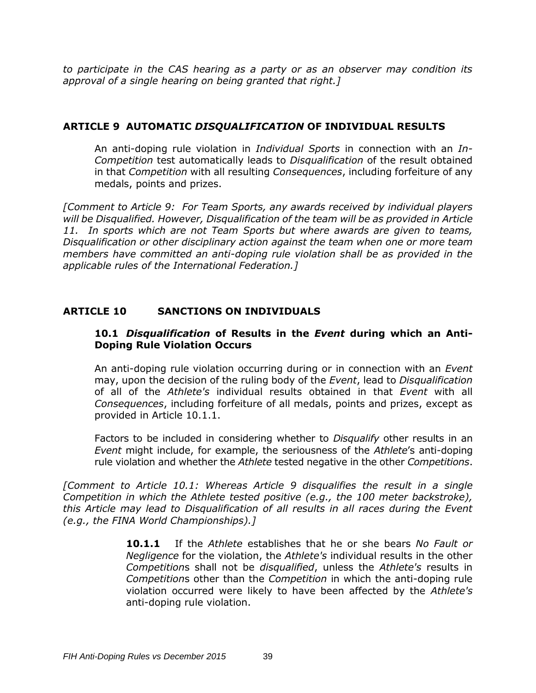*to participate in the CAS hearing as a party or as an observer may condition its approval of a single hearing on being granted that right.]*

#### **ARTICLE 9 AUTOMATIC** *DISQUALIFICATION* **OF INDIVIDUAL RESULTS**

An anti-doping rule violation in *Individual Sports* in connection with an *In-Competition* test automatically leads to *Disqualification* of the result obtained in that *Competition* with all resulting *Consequences*, including forfeiture of any medals, points and prizes.

*[Comment to Article 9: For Team Sports, any awards received by individual players will be Disqualified. However, Disqualification of the team will be as provided in Article 11. In sports which are not Team Sports but where awards are given to teams, Disqualification or other disciplinary action against the team when one or more team members have committed an anti-doping rule violation shall be as provided in the applicable rules of the International Federation.]*

### **ARTICLE 10 SANCTIONS ON INDIVIDUALS**

#### **10.1** *Disqualification* **of Results in the** *Event* **during which an Anti-Doping Rule Violation Occurs**

An anti-doping rule violation occurring during or in connection with an *Event*  may, upon the decision of the ruling body of the *Event*, lead to *Disqualification* of all of the *Athlete's* individual results obtained in that *Event* with all *Consequences*, including forfeiture of all medals, points and prizes, except as provided in Article 10.1.1.

Factors to be included in considering whether to *Disqualify* other results in an *Event* might include, for example, the seriousness of the *Athlete*'s anti-doping rule violation and whether the *Athlete* tested negative in the other *Competitions*.

*[Comment to Article 10.1: Whereas Article 9 disqualifies the result in a single Competition in which the Athlete tested positive (e.g., the 100 meter backstroke), this Article may lead to Disqualification of all results in all races during the Event (e.g., the FINA World Championships).]*

> **10.1.1** If the *Athlete* establishes that he or she bears *No Fault or Negligence* for the violation, the *Athlete's* individual results in the other *Competition*s shall not be *disqualified*, unless the *Athlete's* results in *Competition*s other than the *Competition* in which the anti-doping rule violation occurred were likely to have been affected by the *Athlete's* anti-doping rule violation.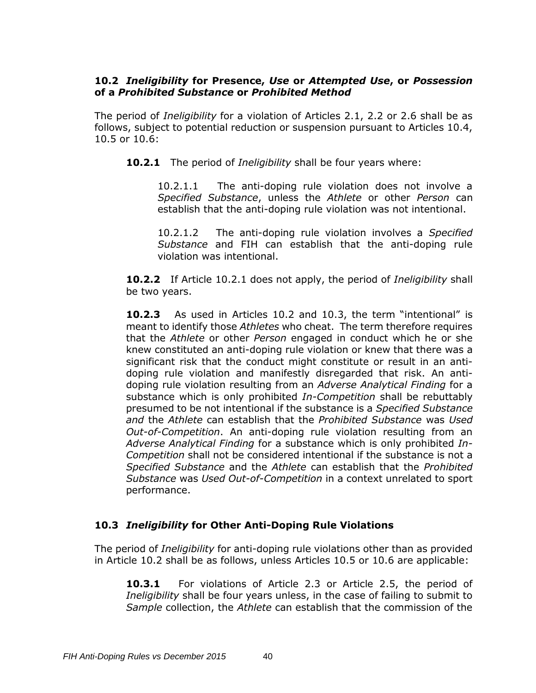### **10.2** *Ineligibility* **for Presence,** *Use* **or** *Attempted Use***, or** *Possession*  **of a** *Prohibited Substance* **or** *Prohibited Method*

The period of *Ineligibility* for a violation of Articles 2.1, 2.2 or 2.6 shall be as follows, subject to potential reduction or suspension pursuant to Articles 10.4, 10.5 or 10.6:

**10.2.1** The period of *Ineligibility* shall be four years where:

10.2.1.1 The anti-doping rule violation does not involve a *Specified Substance*, unless the *Athlete* or other *Person* can establish that the anti-doping rule violation was not intentional.

10.2.1.2 The anti-doping rule violation involves a *Specified Substance* and FIH can establish that the anti-doping rule violation was intentional.

**10.2.2** If Article 10.2.1 does not apply, the period of *Ineligibility* shall be two years.

**10.2.3** As used in Articles 10.2 and 10.3, the term "intentional" is meant to identify those *Athletes* who cheat. The term therefore requires that the *Athlete* or other *Person* engaged in conduct which he or she knew constituted an anti-doping rule violation or knew that there was a significant risk that the conduct might constitute or result in an antidoping rule violation and manifestly disregarded that risk. An antidoping rule violation resulting from an *Adverse Analytical Finding* for a substance which is only prohibited *In-Competition* shall be rebuttably presumed to be not intentional if the substance is a *Specified Substance and* the *Athlete* can establish that the *Prohibited Substance* was *Used Out-of-Competition*. An anti-doping rule violation resulting from an *Adverse Analytical Finding* for a substance which is only prohibited *In-Competition* shall not be considered intentional if the substance is not a *Specified Substance* and the *Athlete* can establish that the *Prohibited Substance* was *Used Out-of-Competition* in a context unrelated to sport performance.

### **10.3** *Ineligibility* **for Other Anti-Doping Rule Violations**

The period of *Ineligibility* for anti-doping rule violations other than as provided in Article 10.2 shall be as follows, unless Articles 10.5 or 10.6 are applicable:

**10.3.1** For violations of Article 2.3 or Article 2.5, the period of *Ineligibility* shall be four years unless, in the case of failing to submit to *Sample* collection, the *Athlete* can establish that the commission of the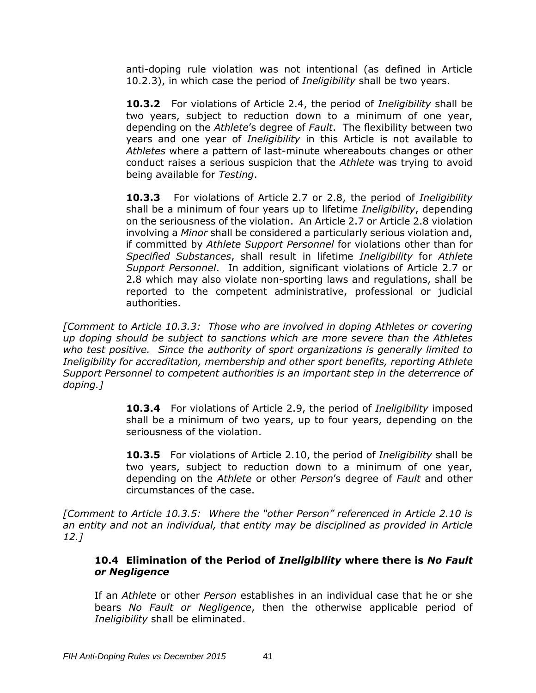anti-doping rule violation was not intentional (as defined in Article 10.2.3), in which case the period of *Ineligibility* shall be two years.

**10.3.2** For violations of Article 2.4, the period of *Ineligibility* shall be two years, subject to reduction down to a minimum of one year, depending on the *Athlete*'s degree of *Fault*. The flexibility between two years and one year of *Ineligibility* in this Article is not available to *Athletes* where a pattern of last-minute whereabouts changes or other conduct raises a serious suspicion that the *Athlete* was trying to avoid being available for *Testing*.

**10.3.3** For violations of Article 2.7 or 2.8, the period of *Ineligibility* shall be a minimum of four years up to lifetime *Ineligibility*, depending on the seriousness of the violation. An Article 2.7 or Article 2.8 violation involving a *Minor* shall be considered a particularly serious violation and, if committed by *Athlete Support Personnel* for violations other than for *Specified Substances*, shall result in lifetime *Ineligibility* for *Athlete Support Personnel*. In addition, significant violations of Article 2.7 or 2.8 which may also violate non-sporting laws and regulations, shall be reported to the competent administrative, professional or judicial authorities.

*[Comment to Article 10.3.3: Those who are involved in doping Athletes or covering up doping should be subject to sanctions which are more severe than the Athletes who test positive. Since the authority of sport organizations is generally limited to Ineligibility for accreditation, membership and other sport benefits, reporting Athlete Support Personnel to competent authorities is an important step in the deterrence of doping.]*

> **10.3.4** For violations of Article 2.9, the period of *Ineligibility* imposed shall be a minimum of two years, up to four years, depending on the seriousness of the violation.

> **10.3.5** For violations of Article 2.10, the period of *Ineligibility* shall be two years, subject to reduction down to a minimum of one year, depending on the *Athlete* or other *Person*'s degree of *Fault* and other circumstances of the case.

*[Comment to Article 10.3.5: Where the "other Person" referenced in Article 2.10 is an entity and not an individual, that entity may be disciplined as provided in Article 12.]*

### **10.4 Elimination of the Period of** *Ineligibility* **where there is** *No Fault or Negligence*

If an *Athlete* or other *Person* establishes in an individual case that he or she bears *No Fault or Negligence*, then the otherwise applicable period of *Ineligibility* shall be eliminated.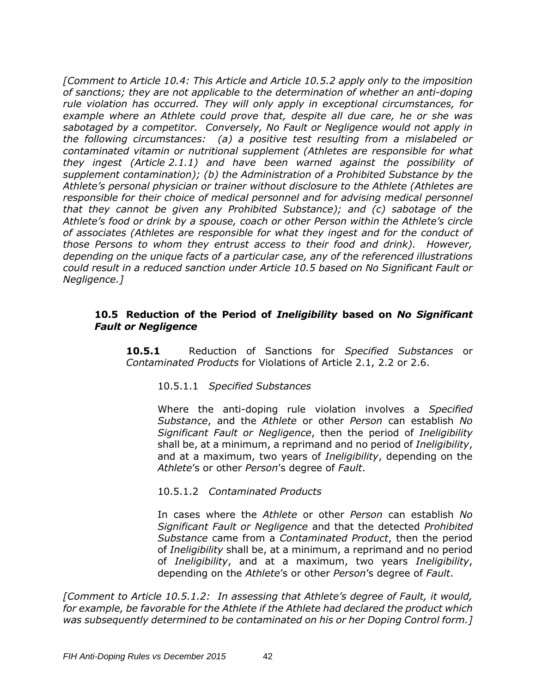*[Comment to Article 10.4: This Article and Article 10.5.2 apply only to the imposition of sanctions; they are not applicable to the determination of whether an anti-doping rule violation has occurred. They will only apply in exceptional circumstances, for example where an Athlete could prove that, despite all due care, he or she was sabotaged by a competitor. Conversely, No Fault or Negligence would not apply in the following circumstances: (a) a positive test resulting from a mislabeled or contaminated vitamin or nutritional supplement (Athletes are responsible for what they ingest (Article 2.1.1) and have been warned against the possibility of supplement contamination); (b) the Administration of a Prohibited Substance by the Athlete's personal physician or trainer without disclosure to the Athlete (Athletes are responsible for their choice of medical personnel and for advising medical personnel that they cannot be given any Prohibited Substance); and (c) sabotage of the Athlete's food or drink by a spouse, coach or other Person within the Athlete's circle of associates (Athletes are responsible for what they ingest and for the conduct of those Persons to whom they entrust access to their food and drink). However, depending on the unique facts of a particular case, any of the referenced illustrations could result in a reduced sanction under Article 10.5 based on No Significant Fault or Negligence.]*

#### **10.5 Reduction of the Period of** *Ineligibility* **based on** *No Significant Fault or Negligence*

**10.5.1** Reduction of Sanctions for *Specified Substances* or *Contaminated Products* for Violations of Article 2.1, 2.2 or 2.6.

### 10.5.1.1 *Specified Substances*

Where the anti-doping rule violation involves a *Specified Substance*, and the *Athlete* or other *Person* can establish *No Significant Fault or Negligence*, then the period of *Ineligibility* shall be, at a minimum, a reprimand and no period of *Ineligibility*, and at a maximum, two years of *Ineligibility*, depending on the *Athlete*'s or other *Person*'s degree of *Fault*.

#### 10.5.1.2 *Contaminated Products*

In cases where the *Athlete* or other *Person* can establish *No Significant Fault or Negligence* and that the detected *Prohibited Substance* came from a *Contaminated Product*, then the period of *Ineligibility* shall be, at a minimum, a reprimand and no period of *Ineligibility*, and at a maximum, two years *Ineligibility*, depending on the *Athlete*'s or other *Person*'s degree of *Fault*.

*[Comment to Article 10.5.1.2: In assessing that Athlete's degree of Fault, it would, for example, be favorable for the Athlete if the Athlete had declared the product which was subsequently determined to be contaminated on his or her Doping Control form.]*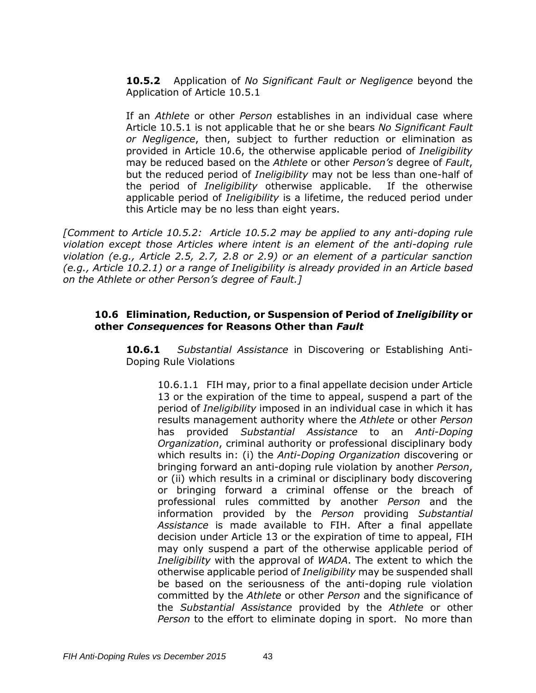**10.5.2** Application of *No Significant Fault or Negligence* beyond the Application of Article 10.5.1

If an *Athlete* or other *Person* establishes in an individual case where Article 10.5.1 is not applicable that he or she bears *No Significant Fault or Negligence*, then, subject to further reduction or elimination as provided in Article 10.6, the otherwise applicable period of *Ineligibility*  may be reduced based on the *Athlete* or other *Person's* degree of *Fault*, but the reduced period of *Ineligibility* may not be less than one-half of the period of *Ineligibility* otherwise applicable. If the otherwise applicable period of *Ineligibility* is a lifetime, the reduced period under this Article may be no less than eight years.

*[Comment to Article 10.5.2: Article 10.5.2 may be applied to any anti-doping rule violation except those Articles where intent is an element of the anti-doping rule violation (e.g., Article 2.5, 2.7, 2.8 or 2.9) or an element of a particular sanction (e.g., Article 10.2.1) or a range of Ineligibility is already provided in an Article based on the Athlete or other Person's degree of Fault.]*

#### **10.6 Elimination, Reduction, or Suspension of Period of** *Ineligibility* **or other** *Consequences* **for Reasons Other than** *Fault*

**10.6.1** *Substantial Assistance* in Discovering or Establishing Anti-Doping Rule Violations

10.6.1.1FIH may, prior to a final appellate decision under Article 13 or the expiration of the time to appeal, suspend a part of the period of *Ineligibility* imposed in an individual case in which it has results management authority where the *Athlete* or other *Person*  has provided *Substantial Assistance* to an *Anti-Doping Organization*, criminal authority or professional disciplinary body which results in: (i) the *Anti-Doping Organization* discovering or bringing forward an anti-doping rule violation by another *Person*, or (ii) which results in a criminal or disciplinary body discovering or bringing forward a criminal offense or the breach of professional rules committed by another *Person* and the information provided by the *Person* providing *Substantial Assistance* is made available to FIH. After a final appellate decision under Article 13 or the expiration of time to appeal, FIH may only suspend a part of the otherwise applicable period of *Ineligibility* with the approval of *WADA*. The extent to which the otherwise applicable period of *Ineligibility* may be suspended shall be based on the seriousness of the anti-doping rule violation committed by the *Athlete* or other *Person* and the significance of the *Substantial Assistance* provided by the *Athlete* or other *Person* to the effort to eliminate doping in sport. No more than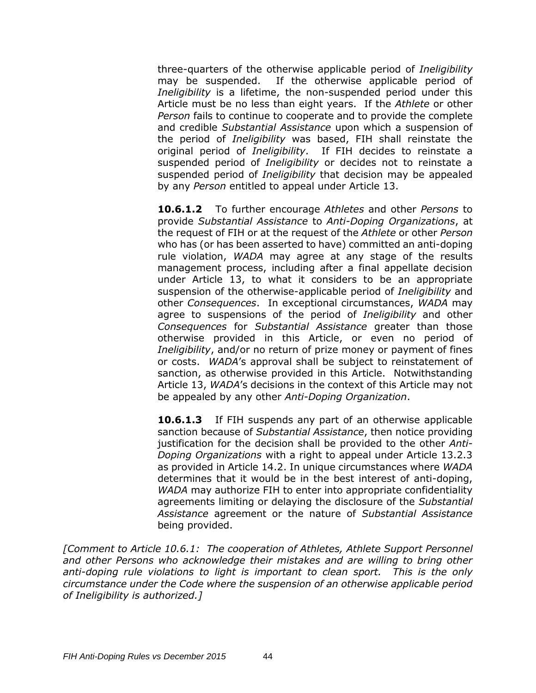three-quarters of the otherwise applicable period of *Ineligibility*  may be suspended. If the otherwise applicable period of *Ineligibility* is a lifetime, the non-suspended period under this Article must be no less than eight years. If the *Athlete* or other *Person* fails to continue to cooperate and to provide the complete and credible *Substantial Assistance* upon which a suspension of the period of *Ineligibility* was based, FIH shall reinstate the original period of *Ineligibility*. If FIH decides to reinstate a suspended period of *Ineligibility* or decides not to reinstate a suspended period of *Ineligibility* that decision may be appealed by any *Person* entitled to appeal under Article 13.

**10.6.1.2** To further encourage *Athletes* and other *Persons* to provide *Substantial Assistance* to *Anti-Doping Organizations*, at the request of FIH or at the request of the *Athlete* or other *Person* who has (or has been asserted to have) committed an anti-doping rule violation, *WADA* may agree at any stage of the results management process, including after a final appellate decision under Article 13, to what it considers to be an appropriate suspension of the otherwise-applicable period of *Ineligibility* and other *Consequences*. In exceptional circumstances, *WADA* may agree to suspensions of the period of *Ineligibility* and other *Consequences* for *Substantial Assistance* greater than those otherwise provided in this Article, or even no period of *Ineligibility*, and/or no return of prize money or payment of fines or costs. *WADA*'s approval shall be subject to reinstatement of sanction, as otherwise provided in this Article. Notwithstanding Article 13, *WADA*'s decisions in the context of this Article may not be appealed by any other *Anti-Doping Organization*.

**10.6.1.3** If FIH suspends any part of an otherwise applicable sanction because of *Substantial Assistance*, then notice providing justification for the decision shall be provided to the other *Anti-Doping Organizations* with a right to appeal under Article 13.2.3 as provided in Article 14.2. In unique circumstances where *WADA* determines that it would be in the best interest of anti-doping, *WADA* may authorize FIH to enter into appropriate confidentiality agreements limiting or delaying the disclosure of the *Substantial Assistance* agreement or the nature of *Substantial Assistance* being provided.

*[Comment to Article 10.6.1: The cooperation of Athletes, Athlete Support Personnel and other Persons who acknowledge their mistakes and are willing to bring other anti-doping rule violations to light is important to clean sport. This is the only circumstance under the Code where the suspension of an otherwise applicable period of Ineligibility is authorized.]*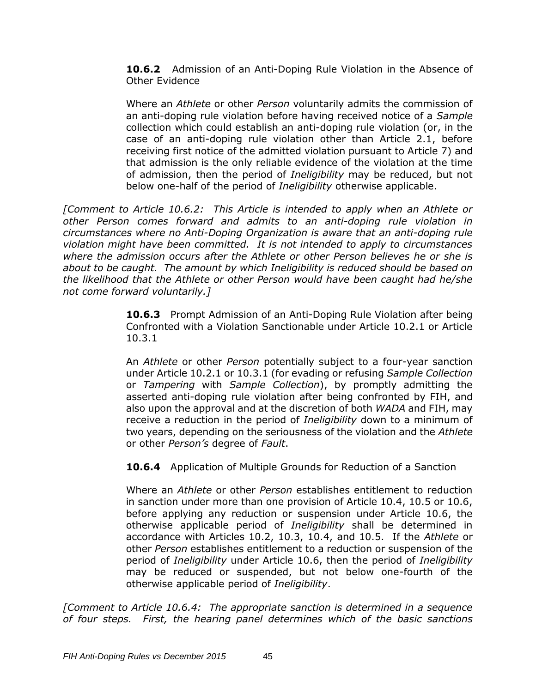**10.6.2** Admission of an Anti-Doping Rule Violation in the Absence of Other Evidence

Where an *Athlete* or other *Person* voluntarily admits the commission of an anti-doping rule violation before having received notice of a *Sample*  collection which could establish an anti-doping rule violation (or, in the case of an anti-doping rule violation other than Article 2.1, before receiving first notice of the admitted violation pursuant to Article 7) and that admission is the only reliable evidence of the violation at the time of admission, then the period of *Ineligibility* may be reduced, but not below one-half of the period of *Ineligibility* otherwise applicable.

*[Comment to Article 10.6.2: This Article is intended to apply when an Athlete or other Person comes forward and admits to an anti-doping rule violation in circumstances where no Anti-Doping Organization is aware that an anti-doping rule violation might have been committed. It is not intended to apply to circumstances where the admission occurs after the Athlete or other Person believes he or she is about to be caught. The amount by which Ineligibility is reduced should be based on the likelihood that the Athlete or other Person would have been caught had he/she not come forward voluntarily.]*

> **10.6.3** Prompt Admission of an Anti-Doping Rule Violation after being Confronted with a Violation Sanctionable under Article 10.2.1 or Article 10.3.1

> An *Athlete* or other *Person* potentially subject to a four-year sanction under Article 10.2.1 or 10.3.1 (for evading or refusing *Sample Collection* or *Tampering* with *Sample Collection*), by promptly admitting the asserted anti-doping rule violation after being confronted by FIH, and also upon the approval and at the discretion of both *WADA* and FIH, may receive a reduction in the period of *Ineligibility* down to a minimum of two years, depending on the seriousness of the violation and the *Athlete* or other *Person's* degree of *Fault*.

**10.6.4** Application of Multiple Grounds for Reduction of a Sanction

Where an *Athlete* or other *Person* establishes entitlement to reduction in sanction under more than one provision of Article 10.4, 10.5 or 10.6, before applying any reduction or suspension under Article 10.6, the otherwise applicable period of *Ineligibility* shall be determined in accordance with Articles 10.2, 10.3, 10.4, and 10.5. If the *Athlete* or other *Person* establishes entitlement to a reduction or suspension of the period of *Ineligibility* under Article 10.6, then the period of *Ineligibility* may be reduced or suspended, but not below one-fourth of the otherwise applicable period of *Ineligibility*.

*[Comment to Article 10.6.4: The appropriate sanction is determined in a sequence of four steps. First, the hearing panel determines which of the basic sanctions*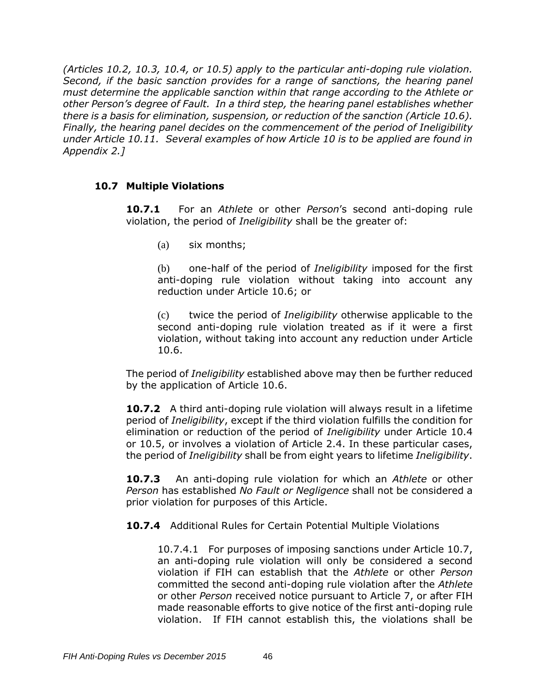*(Articles 10.2, 10.3, 10.4, or 10.5) apply to the particular anti-doping rule violation. Second, if the basic sanction provides for a range of sanctions, the hearing panel must determine the applicable sanction within that range according to the Athlete or other Person's degree of Fault. In a third step, the hearing panel establishes whether there is a basis for elimination, suspension, or reduction of the sanction (Article 10.6). Finally, the hearing panel decides on the commencement of the period of Ineligibility under Article 10.11. Several examples of how Article 10 is to be applied are found in Appendix 2.]*

### **10.7 Multiple Violations**

**10.7.1** For an *Athlete* or other *Person*'s second anti-doping rule violation, the period of *Ineligibility* shall be the greater of:

(a) six months;

(b) one-half of the period of *Ineligibility* imposed for the first anti-doping rule violation without taking into account any reduction under Article 10.6; or

(c) twice the period of *Ineligibility* otherwise applicable to the second anti-doping rule violation treated as if it were a first violation, without taking into account any reduction under Article 10.6.

The period of *Ineligibility* established above may then be further reduced by the application of Article 10.6.

**10.7.2** A third anti-doping rule violation will always result in a lifetime period of *Ineligibility*, except if the third violation fulfills the condition for elimination or reduction of the period of *Ineligibility* under Article 10.4 or 10.5, or involves a violation of Article 2.4. In these particular cases, the period of *Ineligibility* shall be from eight years to lifetime *Ineligibility*.

**10.7.3** An anti-doping rule violation for which an *Athlete* or other *Person* has established *No Fault or Negligence* shall not be considered a prior violation for purposes of this Article.

**10.7.4** Additional Rules for Certain Potential Multiple Violations

10.7.4.1 For purposes of imposing sanctions under Article 10.7, an anti-doping rule violation will only be considered a second violation if FIH can establish that the *Athlete* or other *Person* committed the second anti-doping rule violation after the *Athlete* or other *Person* received notice pursuant to Article 7, or after FIH made reasonable efforts to give notice of the first anti-doping rule violation. If FIH cannot establish this, the violations shall be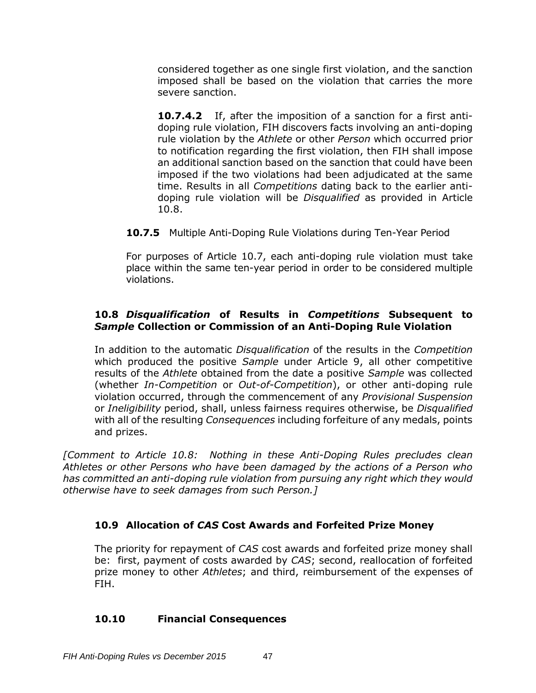considered together as one single first violation, and the sanction imposed shall be based on the violation that carries the more severe sanction.

**10.7.4.2** If, after the imposition of a sanction for a first antidoping rule violation, FIH discovers facts involving an anti-doping rule violation by the *Athlete* or other *Person* which occurred prior to notification regarding the first violation, then FIH shall impose an additional sanction based on the sanction that could have been imposed if the two violations had been adjudicated at the same time. Results in all *Competitions* dating back to the earlier antidoping rule violation will be *Disqualified* as provided in Article 10.8.

**10.7.5** Multiple Anti-Doping Rule Violations during Ten-Year Period

For purposes of Article 10.7, each anti-doping rule violation must take place within the same ten-year period in order to be considered multiple violations.

### **10.8** *Disqualification* **of Results in** *Competitions* **Subsequent to**  *Sample* **Collection or Commission of an Anti-Doping Rule Violation**

In addition to the automatic *Disqualification* of the results in the *Competition* which produced the positive *Sample* under Article 9, all other competitive results of the *Athlete* obtained from the date a positive *Sample* was collected (whether *In-Competition* or *Out-of-Competition*), or other anti-doping rule violation occurred, through the commencement of any *Provisional Suspension* or *Ineligibility* period, shall, unless fairness requires otherwise, be *Disqualified* with all of the resulting *Consequences* including forfeiture of any medals, points and prizes.

*[Comment to Article 10.8: Nothing in these Anti-Doping Rules precludes clean Athletes or other Persons who have been damaged by the actions of a Person who has committed an anti-doping rule violation from pursuing any right which they would otherwise have to seek damages from such Person.]*

## **10.9 Allocation of** *CAS* **Cost Awards and Forfeited Prize Money**

The priority for repayment of *CAS* cost awards and forfeited prize money shall be: first, payment of costs awarded by *CAS*; second, reallocation of forfeited prize money to other *Athletes*; and third, reimbursement of the expenses of FIH.

### **10.10 Financial Consequences**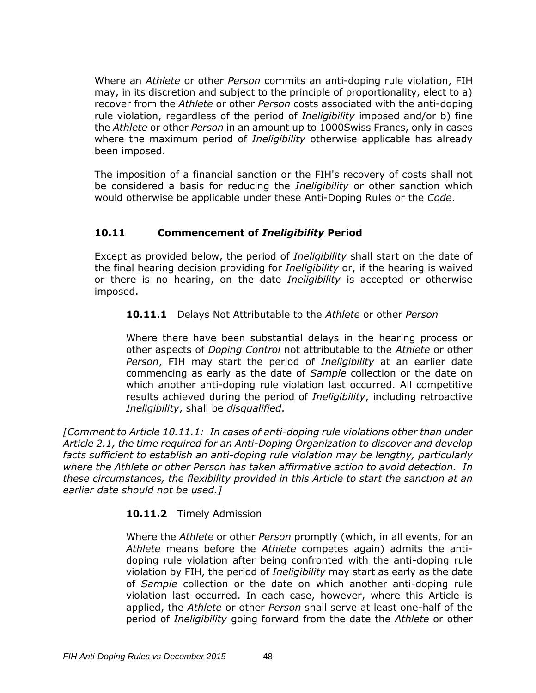Where an *Athlete* or other *Person* commits an anti-doping rule violation, FIH may, in its discretion and subject to the principle of proportionality, elect to a) recover from the *Athlete* or other *Person* costs associated with the anti-doping rule violation, regardless of the period of *Ineligibility* imposed and/or b) fine the *Athlete* or other *Person* in an amount up to 1000Swiss Francs, only in cases where the maximum period of *Ineligibility* otherwise applicable has already been imposed.

The imposition of a financial sanction or the FIH's recovery of costs shall not be considered a basis for reducing the *Ineligibility* or other sanction which would otherwise be applicable under these Anti-Doping Rules or the *Code*.

## **10.11 Commencement of** *Ineligibility* **Period**

Except as provided below, the period of *Ineligibility* shall start on the date of the final hearing decision providing for *Ineligibility* or, if the hearing is waived or there is no hearing, on the date *Ineligibility* is accepted or otherwise imposed.

**10.11.1** Delays Not Attributable to the *Athlete* or other *Person*

Where there have been substantial delays in the hearing process or other aspects of *Doping Control* not attributable to the *Athlete* or other *Person*, FIH may start the period of *Ineligibility* at an earlier date commencing as early as the date of *Sample* collection or the date on which another anti-doping rule violation last occurred. All competitive results achieved during the period of *Ineligibility*, including retroactive *Ineligibility*, shall be *disqualified*.

*[Comment to Article 10.11.1: In cases of anti-doping rule violations other than under Article 2.1, the time required for an Anti-Doping Organization to discover and develop facts sufficient to establish an anti-doping rule violation may be lengthy, particularly where the Athlete or other Person has taken affirmative action to avoid detection. In these circumstances, the flexibility provided in this Article to start the sanction at an earlier date should not be used.]*

### **10.11.2** Timely Admission

Where the *Athlete* or other *Person* promptly (which, in all events, for an *Athlete* means before the *Athlete* competes again) admits the antidoping rule violation after being confronted with the anti-doping rule violation by FIH, the period of *Ineligibility* may start as early as the date of *Sample* collection or the date on which another anti-doping rule violation last occurred. In each case, however, where this Article is applied, the *Athlete* or other *Person* shall serve at least one-half of the period of *Ineligibility* going forward from the date the *Athlete* or other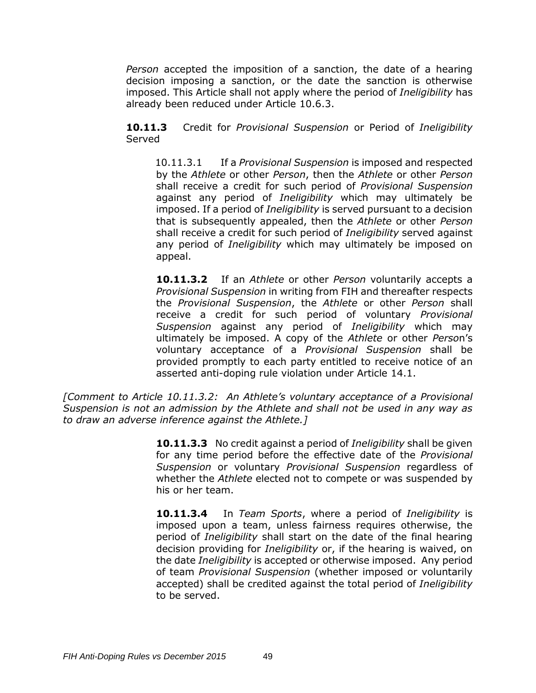*Person* accepted the imposition of a sanction, the date of a hearing decision imposing a sanction, or the date the sanction is otherwise imposed. This Article shall not apply where the period of *Ineligibility* has already been reduced under Article 10.6.3.

**10.11.3** Credit for *Provisional Suspension* or Period of *Ineligibility*  Served

10.11.3.1 If a *Provisional Suspension* is imposed and respected by the *Athlete* or other *Person*, then the *Athlete* or other *Person* shall receive a credit for such period of *Provisional Suspension* against any period of *Ineligibility* which may ultimately be imposed. If a period of *Ineligibility* is served pursuant to a decision that is subsequently appealed, then the *Athlete* or other *Person* shall receive a credit for such period of *Ineligibility* served against any period of *Ineligibility* which may ultimately be imposed on appeal.

**10.11.3.2** If an *Athlete* or other *Person* voluntarily accepts a *Provisional Suspension* in writing from FIH and thereafter respects the *Provisional Suspension*, the *Athlete* or other *Person* shall receive a credit for such period of voluntary *Provisional Suspension* against any period of *Ineligibility* which may ultimately be imposed. A copy of the *Athlete* or other *Perso*n's voluntary acceptance of a *Provisional Suspension* shall be provided promptly to each party entitled to receive notice of an asserted anti-doping rule violation under Article 14.1.

*[Comment to Article 10.11.3.2: An Athlete's voluntary acceptance of a Provisional Suspension is not an admission by the Athlete and shall not be used in any way as to draw an adverse inference against the Athlete.]*

> **10.11.3.3** No credit against a period of *Ineligibility* shall be given for any time period before the effective date of the *Provisional Suspension* or voluntary *Provisional Suspension* regardless of whether the *Athlete* elected not to compete or was suspended by his or her team.

> **10.11.3.4** In *Team Sports*, where a period of *Ineligibility* is imposed upon a team, unless fairness requires otherwise, the period of *Ineligibility* shall start on the date of the final hearing decision providing for *Ineligibility* or, if the hearing is waived, on the date *Ineligibility* is accepted or otherwise imposed. Any period of team *Provisional Suspension* (whether imposed or voluntarily accepted) shall be credited against the total period of *Ineligibility* to be served.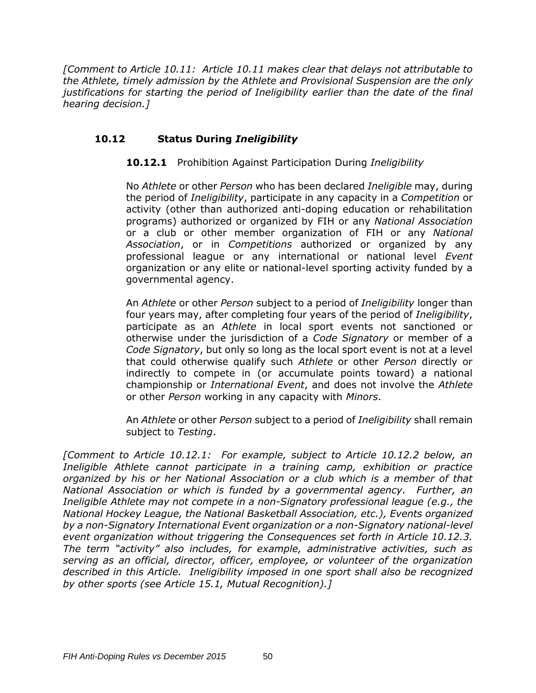*[Comment to Article 10.11: Article 10.11 makes clear that delays not attributable to the Athlete, timely admission by the Athlete and Provisional Suspension are the only justifications for starting the period of Ineligibility earlier than the date of the final hearing decision.]*

## **10.12 Status During** *Ineligibility*

### **10.12.1** Prohibition Against Participation During *Ineligibility*

No *Athlete* or other *Person* who has been declared *Ineligible* may, during the period of *Ineligibility*, participate in any capacity in a *Competition* or activity (other than authorized anti-doping education or rehabilitation programs) authorized or organized by FIH or any *National Association* or a club or other member organization of FIH or any *National Association*, or in *Competitions* authorized or organized by any professional league or any international or national level *Event*  organization or any elite or national-level sporting activity funded by a governmental agency.

An *Athlete* or other *Person* subject to a period of *Ineligibility* longer than four years may, after completing four years of the period of *Ineligibility*, participate as an *Athlete* in local sport events not sanctioned or otherwise under the jurisdiction of a *Code Signatory* or member of a *Code Signatory*, but only so long as the local sport event is not at a level that could otherwise qualify such *Athlete* or other *Person* directly or indirectly to compete in (or accumulate points toward) a national championship or *International Event*, and does not involve the *Athlete* or other *Person* working in any capacity with *Minors*.

An *Athlete* or other *Person* subject to a period of *Ineligibility* shall remain subject to *Testing*.

*[Comment to Article 10.12.1: For example, subject to Article 10.12.2 below, an Ineligible Athlete cannot participate in a training camp, exhibition or practice organized by his or her National Association or a club which is a member of that National Association or which is funded by a governmental agency. Further, an Ineligible Athlete may not compete in a non-Signatory professional league (e.g., the National Hockey League, the National Basketball Association, etc.), Events organized by a non-Signatory International Event organization or a non-Signatory national-level event organization without triggering the Consequences set forth in Article 10.12.3. The term "activity" also includes, for example, administrative activities, such as serving as an official, director, officer, employee, or volunteer of the organization described in this Article. Ineligibility imposed in one sport shall also be recognized by other sports (see Article 15.1, Mutual Recognition).]*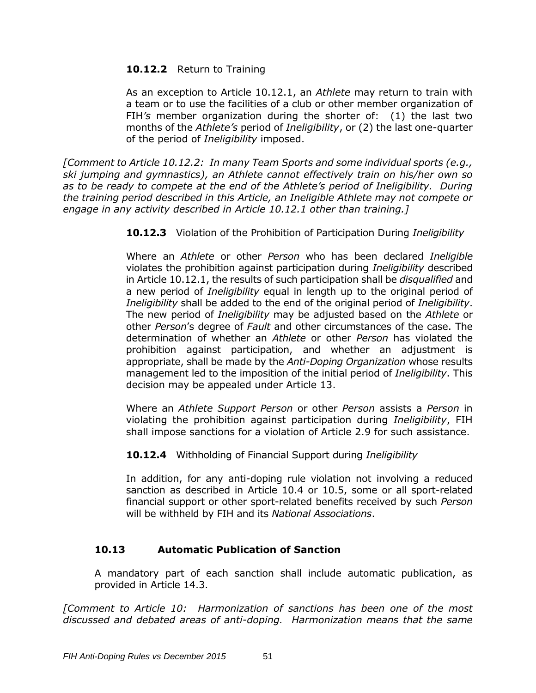### **10.12.2** Return to Training

As an exception to Article 10.12.1, an *Athlete* may return to train with a team or to use the facilities of a club or other member organization of FIH*'s* member organization during the shorter of: (1) the last two months of the *Athlete's* period of *Ineligibility*, or (2) the last one-quarter of the period of *Ineligibility* imposed.

*[Comment to Article 10.12.2: In many Team Sports and some individual sports (e.g., ski jumping and gymnastics), an Athlete cannot effectively train on his/her own so as to be ready to compete at the end of the Athlete's period of Ineligibility. During the training period described in this Article, an Ineligible Athlete may not compete or engage in any activity described in Article 10.12.1 other than training.]*

**10.12.3** Violation of the Prohibition of Participation During *Ineligibility*

Where an *Athlete* or other *Person* who has been declared *Ineligible* violates the prohibition against participation during *Ineligibility* described in Article 10.12.1, the results of such participation shall be *disqualified* and a new period of *Ineligibility* equal in length up to the original period of *Ineligibility* shall be added to the end of the original period of *Ineligibility*. The new period of *Ineligibility* may be adjusted based on the *Athlete* or other *Person*'s degree of *Fault* and other circumstances of the case. The determination of whether an *Athlete* or other *Person* has violated the prohibition against participation, and whether an adjustment is appropriate, shall be made by the *Anti-Doping Organization* whose results management led to the imposition of the initial period of *Ineligibility*. This decision may be appealed under Article 13.

Where an *Athlete Support Person* or other *Person* assists a *Person* in violating the prohibition against participation during *Ineligibility*, FIH shall impose sanctions for a violation of Article 2.9 for such assistance.

**10.12.4** Withholding of Financial Support during *Ineligibility*

In addition, for any anti-doping rule violation not involving a reduced sanction as described in Article 10.4 or 10.5, some or all sport-related financial support or other sport-related benefits received by such *Person* will be withheld by FIH and its *National Associations*.

## **10.13 Automatic Publication of Sanction**

A mandatory part of each sanction shall include automatic publication, as provided in Article 14.3.

*[Comment to Article 10: Harmonization of sanctions has been one of the most discussed and debated areas of anti-doping. Harmonization means that the same*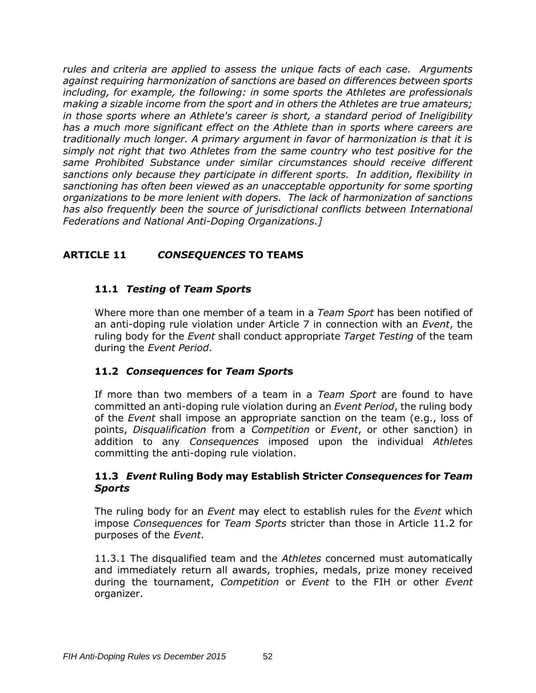*rules and criteria are applied to assess the unique facts of each case. Arguments against requiring harmonization of sanctions are based on differences between sports including, for example, the following: in some sports the Athletes are professionals making a sizable income from the sport and in others the Athletes are true amateurs; in those sports where an Athlete's career is short, a standard period of Ineligibility has a much more significant effect on the Athlete than in sports where careers are traditionally much longer. A primary argument in favor of harmonization is that it is simply not right that two Athletes from the same country who test positive for the same Prohibited Substance under similar circumstances should receive different sanctions only because they participate in different sports. In addition, flexibility in sanctioning has often been viewed as an unacceptable opportunity for some sporting organizations to be more lenient with dopers. The lack of harmonization of sanctions has also frequently been the source of jurisdictional conflicts between International Federations and National Anti-Doping Organizations.]*

# **ARTICLE 11** *CONSEQUENCES* **TO TEAMS**

### **11.1** *Testing* **of** *Team Sport***s**

Where more than one member of a team in a *Team Sport* has been notified of an anti-doping rule violation under Article 7 in connection with an *Event*, the ruling body for the *Event* shall conduct appropriate *Target Testing* of the team during the *Event Period*.

### **11.2** *Consequences* **for** *Team Sport***s**

If more than two members of a team in a *Team Sport* are found to have committed an anti-doping rule violation during an *Event Period*, the ruling body of the *Event* shall impose an appropriate sanction on the team (e.g., loss of points, *Disqualification* from a *Competition* or *Event*, or other sanction) in addition to any *Consequences* imposed upon the individual *Athlete*s committing the anti-doping rule violation.

#### **11.3** *Event* **Ruling Body may Establish Stricter** *Consequences* **for** *Team Sports*

The ruling body for an *Event* may elect to establish rules for the *Event* which impose *Consequences* for *Team Sports* stricter than those in Article 11.2 for purposes of the *Event*.

11.3.1 The disqualified team and the *Athletes* concerned must automatically and immediately return all awards, trophies, medals, prize money received during the tournament, *Competition* or *Event* to the FIH or other *Event* organizer.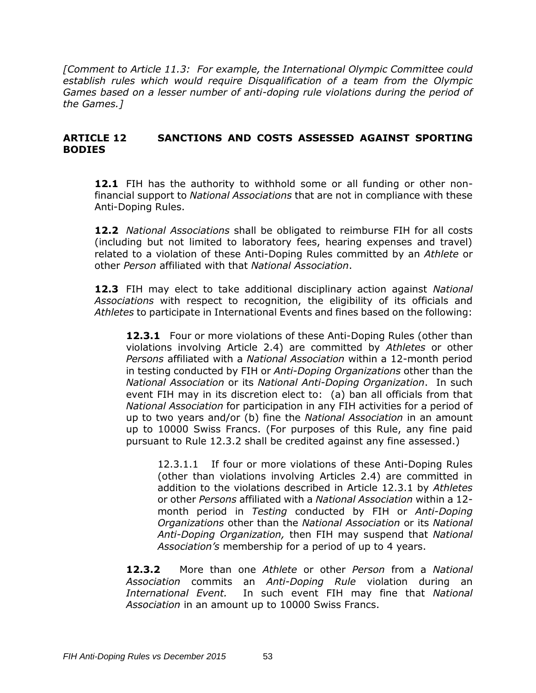*[Comment to Article 11.3: For example, the International Olympic Committee could establish rules which would require Disqualification of a team from the Olympic Games based on a lesser number of anti-doping rule violations during the period of the Games.]*

### **ARTICLE 12 SANCTIONS AND COSTS ASSESSED AGAINST SPORTING BODIES**

**12.1** FIH has the authority to withhold some or all funding or other nonfinancial support to *National Associations* that are not in compliance with these Anti-Doping Rules.

**12.2** *National Associations* shall be obligated to reimburse FIH for all costs (including but not limited to laboratory fees, hearing expenses and travel) related to a violation of these Anti-Doping Rules committed by an *Athlete* or other *Person* affiliated with that *National Association*.

**12.3** FIH may elect to take additional disciplinary action against *National Associations* with respect to recognition, the eligibility of its officials and *Athletes* to participate in International Events and fines based on the following:

**12.3.1** Four or more violations of these Anti-Doping Rules (other than violations involving Article 2.4) are committed by *Athletes* or other *Persons* affiliated with a *National Association* within a 12-month period in testing conducted by FIH or *Anti-Doping Organizations* other than the *National Association* or its *National Anti-Doping Organization*. In such event FIH may in its discretion elect to: (a) ban all officials from that *National Association* for participation in any FIH activities for a period of up to two years and/or (b) fine the *National Association* in an amount up to 10000 Swiss Francs. (For purposes of this Rule, any fine paid pursuant to Rule 12.3.2 shall be credited against any fine assessed.)

12.3.1.1 If four or more violations of these Anti-Doping Rules (other than violations involving Articles 2.4) are committed in addition to the violations described in Article 12.3.1 by *Athletes* or other *Persons* affiliated with a *National Association* within a 12 month period in *Testing* conducted by FIH or *Anti-Doping Organizations* other than the *National Association* or its *National Anti-Doping Organization,* then FIH may suspend that *National Association's* membership for a period of up to 4 years.

**12.3.2** More than one *Athlete* or other *Person* from a *National Association* commits an *Anti-Doping Rule* violation during an *International Event.* In such event FIH may fine that *National Association* in an amount up to 10000 Swiss Francs.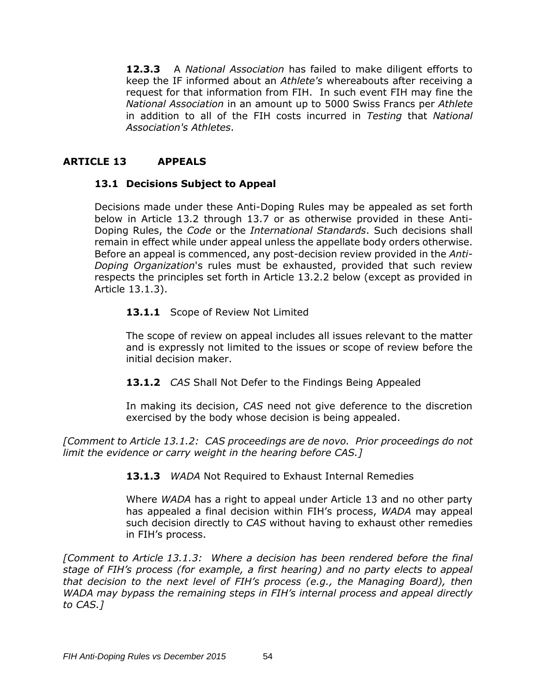**12.3.3** A *National Association* has failed to make diligent efforts to keep the IF informed about an *Athlete's* whereabouts after receiving a request for that information from FIH. In such event FIH may fine the *National Association* in an amount up to 5000 Swiss Francs per *Athlete* in addition to all of the FIH costs incurred in *Testing* that *National Association's Athletes*.

# **ARTICLE 13 APPEALS**

### **13.1 Decisions Subject to Appeal**

Decisions made under these Anti-Doping Rules may be appealed as set forth below in Article 13.2 through 13.7 or as otherwise provided in these Anti-Doping Rules, the *Code* or the *International Standards*. Such decisions shall remain in effect while under appeal unless the appellate body orders otherwise. Before an appeal is commenced, any post-decision review provided in the *Anti-Doping Organization*'s rules must be exhausted, provided that such review respects the principles set forth in Article 13.2.2 below (except as provided in Article 13.1.3).

### 13.1.1 Scope of Review Not Limited

The scope of review on appeal includes all issues relevant to the matter and is expressly not limited to the issues or scope of review before the initial decision maker.

**13.1.2** *CAS* Shall Not Defer to the Findings Being Appealed

In making its decision, *CAS* need not give deference to the discretion exercised by the body whose decision is being appealed.

*[Comment to Article 13.1.2: CAS proceedings are de novo. Prior proceedings do not limit the evidence or carry weight in the hearing before CAS.]*

**13.1.3** *WADA* Not Required to Exhaust Internal Remedies

Where *WADA* has a right to appeal under Article 13 and no other party has appealed a final decision within FIH's process, *WADA* may appeal such decision directly to *CAS* without having to exhaust other remedies in FIH's process.

*[Comment to Article 13.1.3: Where a decision has been rendered before the final stage of FIH's process (for example, a first hearing) and no party elects to appeal that decision to the next level of FIH's process (e.g., the Managing Board), then WADA may bypass the remaining steps in FIH's internal process and appeal directly to CAS.]*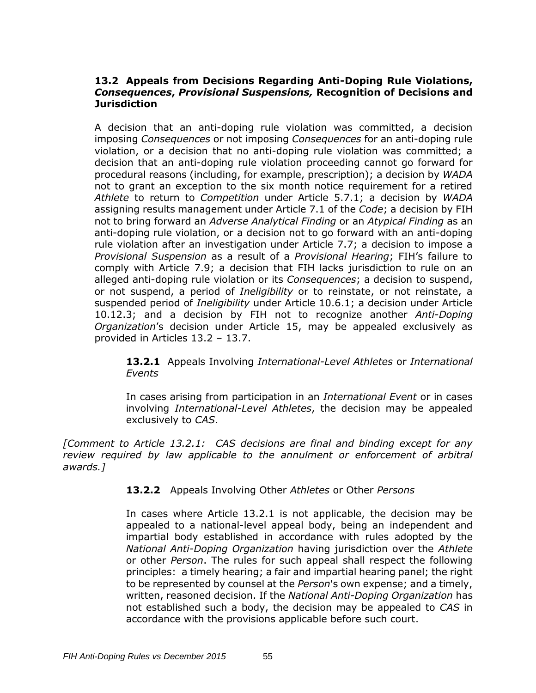#### **13.2 Appeals from Decisions Regarding Anti-Doping Rule Violations,**  *Consequences***,** *Provisional Suspensions,* **Recognition of Decisions and Jurisdiction**

A decision that an anti-doping rule violation was committed, a decision imposing *Consequences* or not imposing *Consequences* for an anti-doping rule violation, or a decision that no anti-doping rule violation was committed; a decision that an anti-doping rule violation proceeding cannot go forward for procedural reasons (including, for example, prescription); a decision by *WADA* not to grant an exception to the six month notice requirement for a retired *Athlete* to return to *Competition* under Article 5.7.1; a decision by *WADA* assigning results management under Article 7.1 of the *Code*; a decision by FIH not to bring forward an *Adverse Analytical Finding* or an *Atypical Finding* as an anti-doping rule violation, or a decision not to go forward with an anti-doping rule violation after an investigation under Article 7.7; a decision to impose a *Provisional Suspension* as a result of a *Provisional Hearing*; FIH's failure to comply with Article 7.9; a decision that FIH lacks jurisdiction to rule on an alleged anti-doping rule violation or its *Consequences*; a decision to suspend, or not suspend, a period of *Ineligibility* or to reinstate, or not reinstate, a suspended period of *Ineligibility* under Article 10.6.1; a decision under Article 10.12.3; and a decision by FIH not to recognize another *Anti-Doping Organization*'s decision under Article 15, may be appealed exclusively as provided in Articles 13.2 – 13.7.

**13.2.1** Appeals Involving *International-Level Athletes* or *International Events*

In cases arising from participation in an *International Event* or in cases involving *International-Level Athletes*, the decision may be appealed exclusively to *CAS*.

*[Comment to Article 13.2.1: CAS decisions are final and binding except for any review required by law applicable to the annulment or enforcement of arbitral awards.]*

**13.2.2** Appeals Involving Other *Athletes* or Other *Persons*

In cases where Article 13.2.1 is not applicable, the decision may be appealed to a national-level appeal body, being an independent and impartial body established in accordance with rules adopted by the *National Anti-Doping Organization* having jurisdiction over the *Athlete* or other *Person*. The rules for such appeal shall respect the following principles: a timely hearing; a fair and impartial hearing panel; the right to be represented by counsel at the *Person*'s own expense; and a timely, written, reasoned decision. If the *National Anti-Doping Organization* has not established such a body, the decision may be appealed to *CAS* in accordance with the provisions applicable before such court.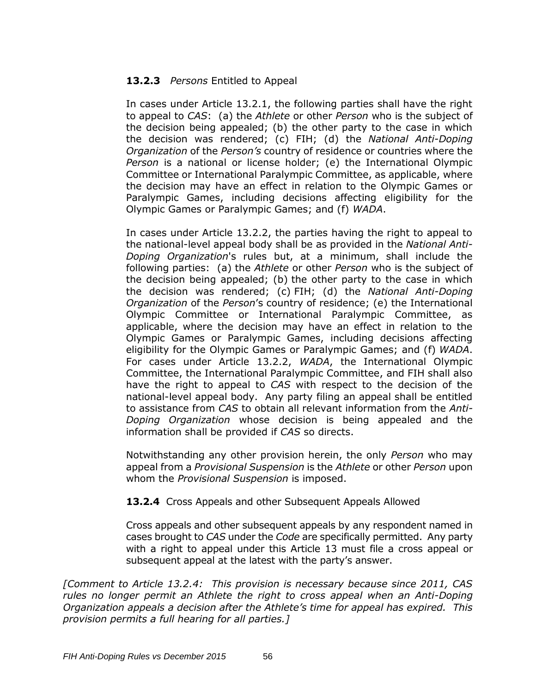## **13.2.3** *Persons* Entitled to Appeal

In cases under Article 13.2.1, the following parties shall have the right to appeal to *CAS*: (a) the *Athlete* or other *Person* who is the subject of the decision being appealed; (b) the other party to the case in which the decision was rendered; (c) FIH; (d) the *National Anti-Doping Organization* of the *Person's* country of residence or countries where the *Person* is a national or license holder; (e) the International Olympic Committee or International Paralympic Committee, as applicable, where the decision may have an effect in relation to the Olympic Games or Paralympic Games, including decisions affecting eligibility for the Olympic Games or Paralympic Games; and (f) *WADA*.

In cases under Article 13.2.2, the parties having the right to appeal to the national-level appeal body shall be as provided in the *National Anti-Doping Organization*'s rules but, at a minimum, shall include the following parties: (a) the *Athlete* or other *Person* who is the subject of the decision being appealed; (b) the other party to the case in which the decision was rendered; (c) FIH; (d) the *National Anti-Doping Organization* of the *Person*'s country of residence; (e) the International Olympic Committee or International Paralympic Committee, as applicable, where the decision may have an effect in relation to the Olympic Games or Paralympic Games, including decisions affecting eligibility for the Olympic Games or Paralympic Games; and (f) *WADA*. For cases under Article 13.2.2, *WADA*, the International Olympic Committee, the International Paralympic Committee, and FIH shall also have the right to appeal to *CAS* with respect to the decision of the national-level appeal body. Any party filing an appeal shall be entitled to assistance from *CAS* to obtain all relevant information from the *Anti-Doping Organization* whose decision is being appealed and the information shall be provided if *CAS* so directs.

Notwithstanding any other provision herein, the only *Person* who may appeal from a *Provisional Suspension* is the *Athlete* or other *Person* upon whom the *Provisional Suspension* is imposed.

### **13.2.4** Cross Appeals and other Subsequent Appeals Allowed

Cross appeals and other subsequent appeals by any respondent named in cases brought to *CAS* under the *Code* are specifically permitted. Any party with a right to appeal under this Article 13 must file a cross appeal or subsequent appeal at the latest with the party's answer.

*[Comment to Article 13.2.4: This provision is necessary because since 2011, CAS rules no longer permit an Athlete the right to cross appeal when an Anti-Doping Organization appeals a decision after the Athlete's time for appeal has expired. This provision permits a full hearing for all parties.]*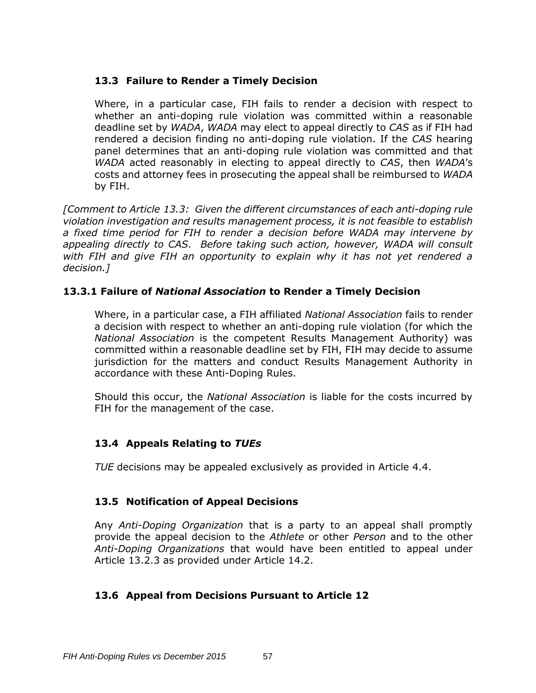### **13.3 Failure to Render a Timely Decision**

Where, in a particular case, FIH fails to render a decision with respect to whether an anti-doping rule violation was committed within a reasonable deadline set by *WADA*, *WADA* may elect to appeal directly to *CAS* as if FIH had rendered a decision finding no anti-doping rule violation. If the *CAS* hearing panel determines that an anti-doping rule violation was committed and that *WADA* acted reasonably in electing to appeal directly to *CAS*, then *WADA*'s costs and attorney fees in prosecuting the appeal shall be reimbursed to *WADA* by FIH.

*[Comment to Article 13.3: Given the different circumstances of each anti-doping rule violation investigation and results management process, it is not feasible to establish a fixed time period for FIH to render a decision before WADA may intervene by appealing directly to CAS. Before taking such action, however, WADA will consult with FIH and give FIH an opportunity to explain why it has not yet rendered a decision.]*

### **13.3.1 Failure of** *National Association* **to Render a Timely Decision**

Where, in a particular case, a FIH affiliated *National Association* fails to render a decision with respect to whether an anti-doping rule violation (for which the *National Association* is the competent Results Management Authority) was committed within a reasonable deadline set by FIH, FIH may decide to assume jurisdiction for the matters and conduct Results Management Authority in accordance with these Anti-Doping Rules.

Should this occur, the *National Association* is liable for the costs incurred by FIH for the management of the case.

## **13.4 Appeals Relating to** *TUEs*

*TUE* decisions may be appealed exclusively as provided in Article 4.4.

## **13.5 Notification of Appeal Decisions**

Any *Anti-Doping Organization* that is a party to an appeal shall promptly provide the appeal decision to the *Athlete* or other *Person* and to the other *Anti-Doping Organizations* that would have been entitled to appeal under Article 13.2.3 as provided under Article 14.2.

### **13.6 Appeal from Decisions Pursuant to Article 12**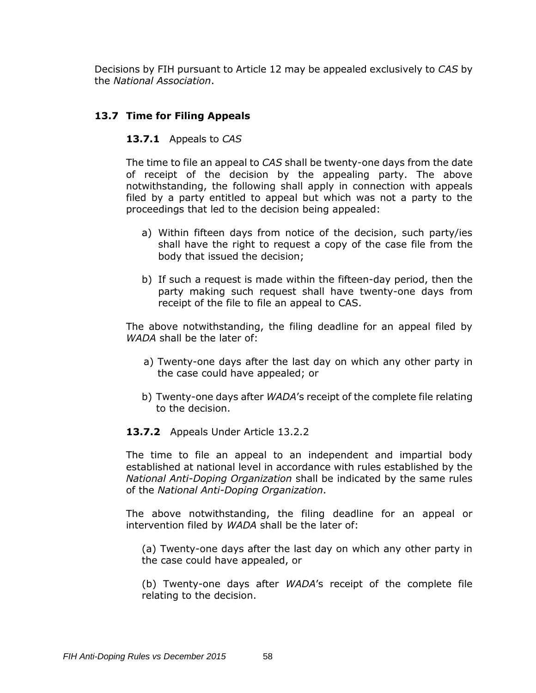Decisions by FIH pursuant to Article 12 may be appealed exclusively to *CAS* by the *National Association*.

### **13.7 Time for Filing Appeals**

#### **13.7.1** Appeals to *CAS*

The time to file an appeal to *CAS* shall be twenty-one days from the date of receipt of the decision by the appealing party. The above notwithstanding, the following shall apply in connection with appeals filed by a party entitled to appeal but which was not a party to the proceedings that led to the decision being appealed:

- a) Within fifteen days from notice of the decision, such party/ies shall have the right to request a copy of the case file from the body that issued the decision;
- b) If such a request is made within the fifteen-day period, then the party making such request shall have twenty-one days from receipt of the file to file an appeal to CAS.

The above notwithstanding, the filing deadline for an appeal filed by *WADA* shall be the later of:

- a) Twenty-one days after the last day on which any other party in the case could have appealed; or
- b) Twenty-one days after *WADA*'s receipt of the complete file relating to the decision.

#### **13.7.2** Appeals Under Article 13.2.2

The time to file an appeal to an independent and impartial body established at national level in accordance with rules established by the *National Anti-Doping Organization* shall be indicated by the same rules of the *National Anti-Doping Organization*.

The above notwithstanding, the filing deadline for an appeal or intervention filed by *WADA* shall be the later of:

(a) Twenty-one days after the last day on which any other party in the case could have appealed, or

(b) Twenty-one days after *WADA*'s receipt of the complete file relating to the decision.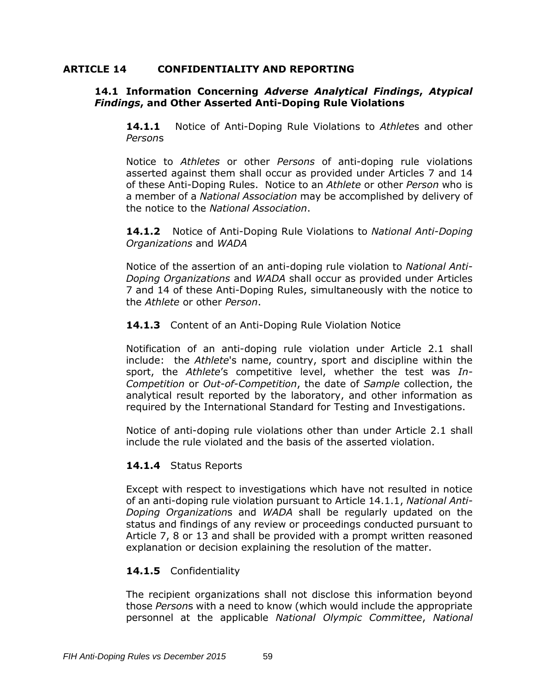#### **ARTICLE 14 CONFIDENTIALITY AND REPORTING**

#### **14.1 Information Concerning** *Adverse Analytical Findings***,** *Atypical Findings***, and Other Asserted Anti-Doping Rule Violations**

**14.1.1** Notice of Anti-Doping Rule Violations to *Athlete*s and other *Person*s

Notice to *Athletes* or other *Persons* of anti-doping rule violations asserted against them shall occur as provided under Articles 7 and 14 of these Anti-Doping Rules. Notice to an *Athlete* or other *Person* who is a member of a *National Association* may be accomplished by delivery of the notice to the *National Association*.

**14.1.2** Notice of Anti-Doping Rule Violations to *National Anti-Doping Organizations* and *WADA*

Notice of the assertion of an anti-doping rule violation to *National Anti-Doping Organizations* and *WADA* shall occur as provided under Articles 7 and 14 of these Anti-Doping Rules, simultaneously with the notice to the *Athlete* or other *Person*.

#### **14.1.3** Content of an Anti-Doping Rule Violation Notice

Notification of an anti-doping rule violation under Article 2.1 shall include: the *Athlete*'s name, country, sport and discipline within the sport, the *Athlete*'s competitive level, whether the test was *In-Competition* or *Out-of-Competition*, the date of *Sample* collection, the analytical result reported by the laboratory, and other information as required by the International Standard for Testing and Investigations.

Notice of anti-doping rule violations other than under Article 2.1 shall include the rule violated and the basis of the asserted violation.

#### **14.1.4** Status Reports

Except with respect to investigations which have not resulted in notice of an anti-doping rule violation pursuant to Article 14.1.1, *National Anti-Doping Organization*s and *WADA* shall be regularly updated on the status and findings of any review or proceedings conducted pursuant to Article 7, 8 or 13 and shall be provided with a prompt written reasoned explanation or decision explaining the resolution of the matter.

#### **14.1.5** Confidentiality

The recipient organizations shall not disclose this information beyond those *Person*s with a need to know (which would include the appropriate personnel at the applicable *National Olympic Committee*, *National*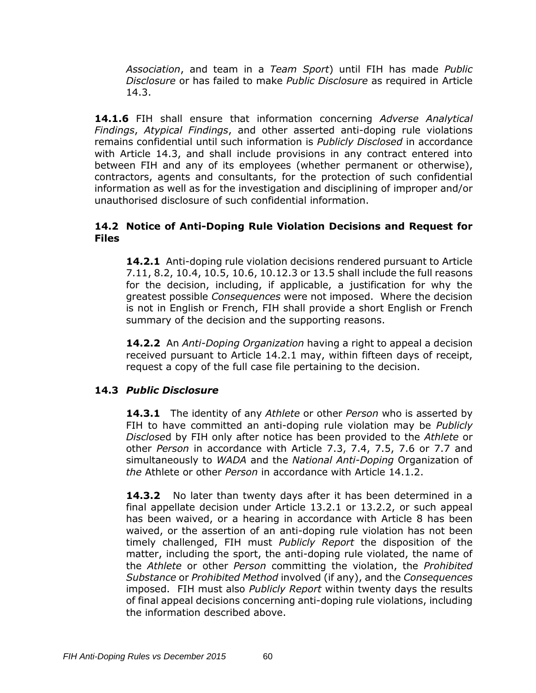*Association*, and team in a *Team Sport*) until FIH has made *Public Disclosure* or has failed to make *Public Disclosure* as required in Article 14.3.

**14.1.6** FIH shall ensure that information concerning *Adverse Analytical Findings*, *Atypical Findings*, and other asserted anti-doping rule violations remains confidential until such information is *Publicly Disclosed* in accordance with Article 14.3, and shall include provisions in any contract entered into between FIH and any of its employees (whether permanent or otherwise), contractors, agents and consultants, for the protection of such confidential information as well as for the investigation and disciplining of improper and/or unauthorised disclosure of such confidential information.

### **14.2 Notice of Anti-Doping Rule Violation Decisions and Request for Files**

**14.2.1** Anti-doping rule violation decisions rendered pursuant to Article 7.11, 8.2, 10.4, 10.5, 10.6, 10.12.3 or 13.5 shall include the full reasons for the decision, including, if applicable, a justification for why the greatest possible *Consequences* were not imposed. Where the decision is not in English or French, FIH shall provide a short English or French summary of the decision and the supporting reasons.

**14.2.2** An *Anti-Doping Organization* having a right to appeal a decision received pursuant to Article 14.2.1 may, within fifteen days of receipt, request a copy of the full case file pertaining to the decision.

## **14.3** *Public Disclosure*

**14.3.1** The identity of any *Athlete* or other *Person* who is asserted by FIH to have committed an anti-doping rule violation may be *Publicly Disclose*d by FIH only after notice has been provided to the *Athlete* or other *Person* in accordance with Article 7.3, 7.4, 7.5, 7.6 or 7.7 and simultaneously to *WADA* and the *National Anti-Doping* Organization of *the* Athlete or other *Person* in accordance with Article 14.1.2.

14.3.2 No later than twenty days after it has been determined in a final appellate decision under Article 13.2.1 or 13.2.2, or such appeal has been waived, or a hearing in accordance with Article 8 has been waived, or the assertion of an anti-doping rule violation has not been timely challenged, FIH must *Publicly Report* the disposition of the matter, including the sport, the anti-doping rule violated, the name of the *Athlete* or other *Person* committing the violation, the *Prohibited Substance* or *Prohibited Method* involved (if any), and the *Consequences* imposed. FIH must also *Publicly Report* within twenty days the results of final appeal decisions concerning anti-doping rule violations, including the information described above.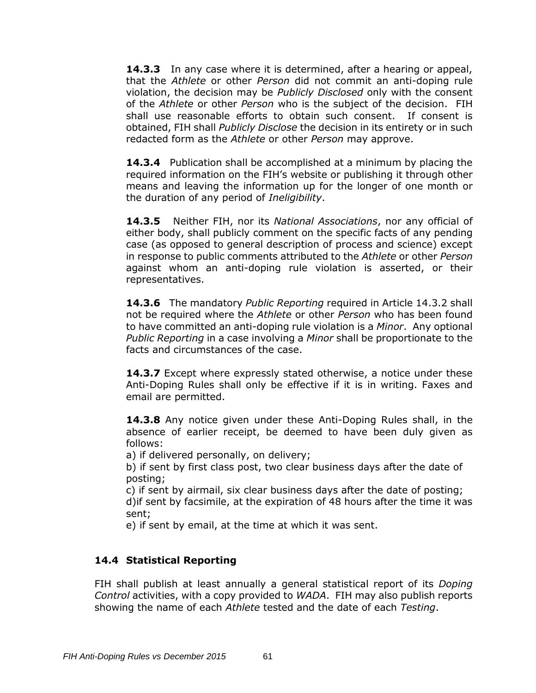**14.3.3** In any case where it is determined, after a hearing or appeal, that the *Athlete* or other *Person* did not commit an anti-doping rule violation, the decision may be *Publicly Disclosed* only with the consent of the *Athlete* or other *Person* who is the subject of the decision. FIH shall use reasonable efforts to obtain such consent. If consent is obtained, FIH shall *Publicly Disclose* the decision in its entirety or in such redacted form as the *Athlete* or other *Person* may approve.

**14.3.4** Publication shall be accomplished at a minimum by placing the required information on the FIH's website or publishing it through other means and leaving the information up for the longer of one month or the duration of any period of *Ineligibility*.

**14.3.5** Neither FIH, nor its *National Associations*, nor any official of either body, shall publicly comment on the specific facts of any pending case (as opposed to general description of process and science) except in response to public comments attributed to the *Athlete* or other *Person* against whom an anti-doping rule violation is asserted, or their representatives.

**14.3.6** The mandatory *Public Reporting* required in Article 14.3.2 shall not be required where the *Athlete* or other *Person* who has been found to have committed an anti-doping rule violation is a *Minor*. Any optional *Public Reporting* in a case involving a *Minor* shall be proportionate to the facts and circumstances of the case.

**14.3.7** Except where expressly stated otherwise, a notice under these Anti-Doping Rules shall only be effective if it is in writing. Faxes and email are permitted.

**14.3.8** Any notice given under these Anti-Doping Rules shall, in the absence of earlier receipt, be deemed to have been duly given as follows:

a) if delivered personally, on delivery;

b) if sent by first class post, two clear business days after the date of posting;

c) if sent by airmail, six clear business days after the date of posting; d)if sent by facsimile, at the expiration of 48 hours after the time it was sent;

e) if sent by email, at the time at which it was sent.

## **14.4 Statistical Reporting**

FIH shall publish at least annually a general statistical report of its *Doping Control* activities, with a copy provided to *WADA*. FIH may also publish reports showing the name of each *Athlete* tested and the date of each *Testing*.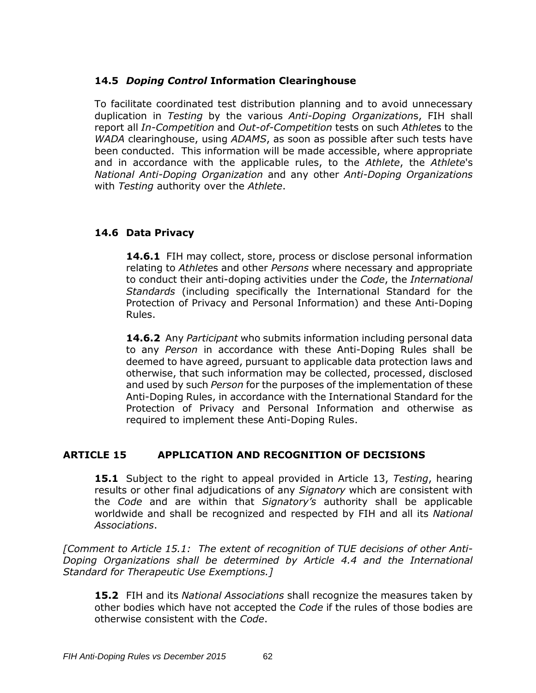### **14.5** *Doping Control* **Information Clearinghouse**

To facilitate coordinated test distribution planning and to avoid unnecessary duplication in *Testing* by the various *Anti-Doping Organization*s, FIH shall report all *In-Competition* and *Out-of-Competition* tests on such *Athlete*s to the *WADA* clearinghouse, using *ADAMS*, as soon as possible after such tests have been conducted. This information will be made accessible, where appropriate and in accordance with the applicable rules, to the *Athlete*, the *Athlete*'s *National Anti-Doping Organization* and any other *Anti-Doping Organizations* with *Testing* authority over the *Athlete*.

## **14.6 Data Privacy**

**14.6.1** FIH may collect, store, process or disclose personal information relating to *Athlete*s and other *Persons* where necessary and appropriate to conduct their anti-doping activities under the *Code*, the *International Standards* (including specifically the International Standard for the Protection of Privacy and Personal Information) and these Anti-Doping Rules.

**14.6.2** Any *Participant* who submits information including personal data to any *Person* in accordance with these Anti-Doping Rules shall be deemed to have agreed, pursuant to applicable data protection laws and otherwise, that such information may be collected, processed, disclosed and used by such *Person* for the purposes of the implementation of these Anti-Doping Rules, in accordance with the International Standard for the Protection of Privacy and Personal Information and otherwise as required to implement these Anti-Doping Rules.

### **ARTICLE 15 APPLICATION AND RECOGNITION OF DECISIONS**

**15.1** Subject to the right to appeal provided in Article 13, *Testing*, hearing results or other final adjudications of any *Signatory* which are consistent with the *Code* and are within that *Signatory's* authority shall be applicable worldwide and shall be recognized and respected by FIH and all its *National Associations*.

*[Comment to Article 15.1: The extent of recognition of TUE decisions of other Anti-Doping Organizations shall be determined by Article 4.4 and the International Standard for Therapeutic Use Exemptions.]*

**15.2** FIH and its *National Associations* shall recognize the measures taken by other bodies which have not accepted the *Code* if the rules of those bodies are otherwise consistent with the *Code*.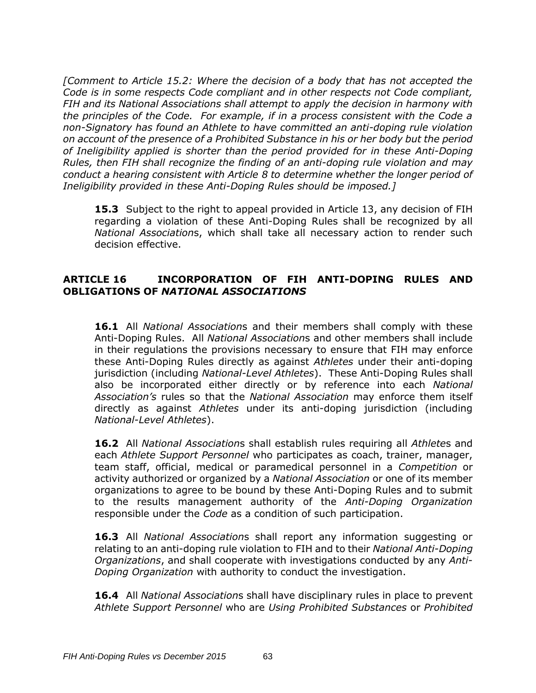*[Comment to Article 15.2: Where the decision of a body that has not accepted the Code is in some respects Code compliant and in other respects not Code compliant, FIH and its National Associations shall attempt to apply the decision in harmony with the principles of the Code. For example, if in a process consistent with the Code a non-Signatory has found an Athlete to have committed an anti-doping rule violation on account of the presence of a Prohibited Substance in his or her body but the period of Ineligibility applied is shorter than the period provided for in these Anti-Doping Rules, then FIH shall recognize the finding of an anti-doping rule violation and may conduct a hearing consistent with Article 8 to determine whether the longer period of Ineligibility provided in these Anti-Doping Rules should be imposed.]*

**15.3** Subject to the right to appeal provided in Article 13, any decision of FIH regarding a violation of these Anti-Doping Rules shall be recognized by all *National Association*s, which shall take all necessary action to render such decision effective.

### **ARTICLE 16 INCORPORATION OF FIH ANTI-DOPING RULES AND OBLIGATIONS OF** *NATIONAL ASSOCIATIONS*

**16.1** All *National Association*s and their members shall comply with these Anti-Doping Rules. All *National Association*s and other members shall include in their regulations the provisions necessary to ensure that FIH may enforce these Anti-Doping Rules directly as against *Athletes* under their anti-doping jurisdiction (including *National-Level Athletes*). These Anti-Doping Rules shall also be incorporated either directly or by reference into each *National Association's* rules so that the *National Association* may enforce them itself directly as against *Athletes* under its anti-doping jurisdiction (including *National-Level Athletes*).

**16.2** All *National Association*s shall establish rules requiring all *Athlete*s and each *Athlete Support Personnel* who participates as coach, trainer, manager, team staff, official, medical or paramedical personnel in a *Competition* or activity authorized or organized by a *National Association* or one of its member organizations to agree to be bound by these Anti-Doping Rules and to submit to the results management authority of the *Anti-Doping Organization*  responsible under the *Code* as a condition of such participation.

**16.3** All *National Association*s shall report any information suggesting or relating to an anti-doping rule violation to FIH and to their *National Anti-Doping Organizations*, and shall cooperate with investigations conducted by any *Anti-Doping Organization* with authority to conduct the investigation.

**16.4** All *National Association*s shall have disciplinary rules in place to prevent *Athlete Support Personnel* who are *Using Prohibited Substances* or *Prohibited*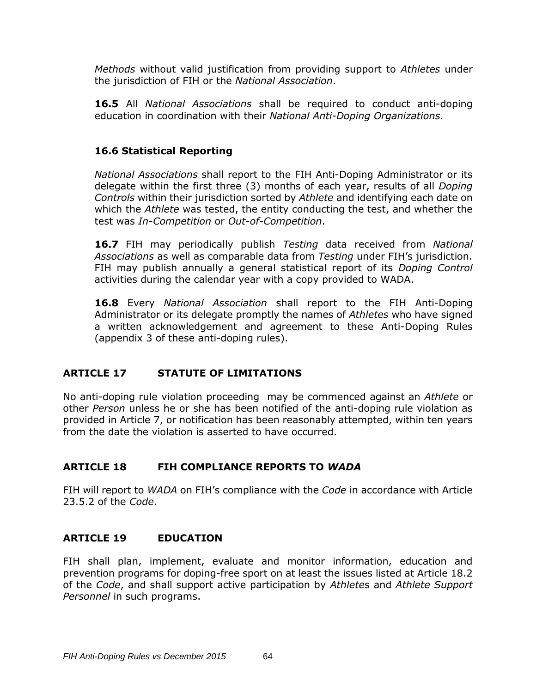*Methods* without valid justification from providing support to *Athletes* under the jurisdiction of FIH or the *National Association*.

**16.5** All *National Associations* shall be required to conduct anti-doping education in coordination with their *National Anti-Doping Organizations.*

### **16.6 Statistical Reporting**

*National Associations* shall report to the FIH Anti-Doping Administrator or its delegate within the first three (3) months of each year, results of all *Doping Controls* within their jurisdiction sorted by *Athlete* and identifying each date on which the *Athlete* was tested, the entity conducting the test, and whether the test was *In-Competition* or *Out-of-Competition*.

**16.7** FIH may periodically publish *Testing* data received from *National Associations* as well as comparable data from *Testing* under FIH's jurisdiction. FIH may publish annually a general statistical report of its *Doping Control* activities during the calendar year with a copy provided to WADA.

**16.8** Every *National Association* shall report to the FIH Anti-Doping Administrator or its delegate promptly the names of *Athletes* who have signed a written acknowledgement and agreement to these Anti-Doping Rules (appendix 3 of these anti-doping rules).

## **ARTICLE 17 STATUTE OF LIMITATIONS**

No anti-doping rule violation proceeding may be commenced against an *Athlete* or other *Person* unless he or she has been notified of the anti-doping rule violation as provided in Article 7, or notification has been reasonably attempted, within ten years from the date the violation is asserted to have occurred.

## **ARTICLE 18 FIH COMPLIANCE REPORTS TO** *WADA*

FIH will report to *WADA* on FIH's compliance with the *Code* in accordance with Article 23.5.2 of the *Code*.

### **ARTICLE 19 EDUCATION**

FIH shall plan, implement, evaluate and monitor information, education and prevention programs for doping-free sport on at least the issues listed at Article 18.2 of the *Code*, and shall support active participation by *Athlete*s and *Athlete Support Personnel* in such programs.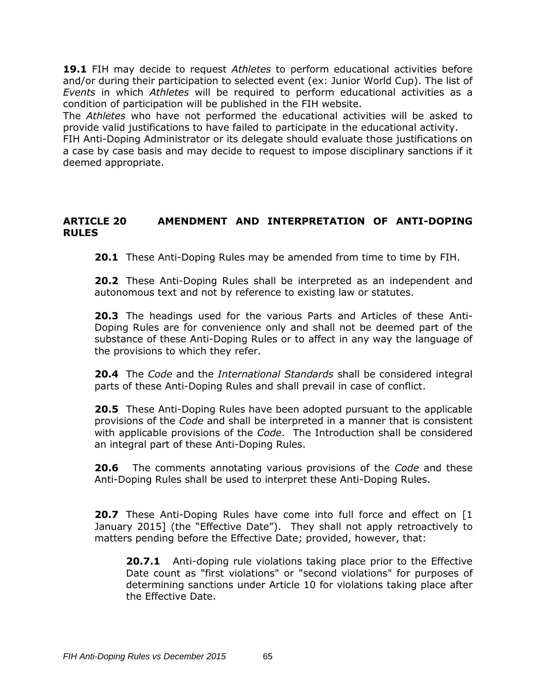**19.1** FIH may decide to request *Athletes* to perform educational activities before and/or during their participation to selected event (ex: Junior World Cup). The list of *Events* in which *Athletes* will be required to perform educational activities as a condition of participation will be published in the FIH website.

The *Athletes* who have not performed the educational activities will be asked to provide valid justifications to have failed to participate in the educational activity.

FIH Anti-Doping Administrator or its delegate should evaluate those justifications on a case by case basis and may decide to request to impose disciplinary sanctions if it deemed appropriate.

### **ARTICLE 20 AMENDMENT AND INTERPRETATION OF ANTI-DOPING RULES**

**20.1** These Anti-Doping Rules may be amended from time to time by FIH.

**20.2** These Anti-Doping Rules shall be interpreted as an independent and autonomous text and not by reference to existing law or statutes.

**20.3** The headings used for the various Parts and Articles of these Anti-Doping Rules are for convenience only and shall not be deemed part of the substance of these Anti-Doping Rules or to affect in any way the language of the provisions to which they refer.

**20.4** The *Code* and the *International Standards* shall be considered integral parts of these Anti-Doping Rules and shall prevail in case of conflict.

**20.5** These Anti-Doping Rules have been adopted pursuant to the applicable provisions of the *Code* and shall be interpreted in a manner that is consistent with applicable provisions of the *Code*. The Introduction shall be considered an integral part of these Anti-Doping Rules.

**20.6** The comments annotating various provisions of the *Code* and these Anti-Doping Rules shall be used to interpret these Anti-Doping Rules.

**20.7** These Anti-Doping Rules have come into full force and effect on [1] January 2015] (the "Effective Date"). They shall not apply retroactively to matters pending before the Effective Date; provided, however, that:

**20.7.1** Anti-doping rule violations taking place prior to the Effective Date count as "first violations" or "second violations" for purposes of determining sanctions under Article 10 for violations taking place after the Effective Date.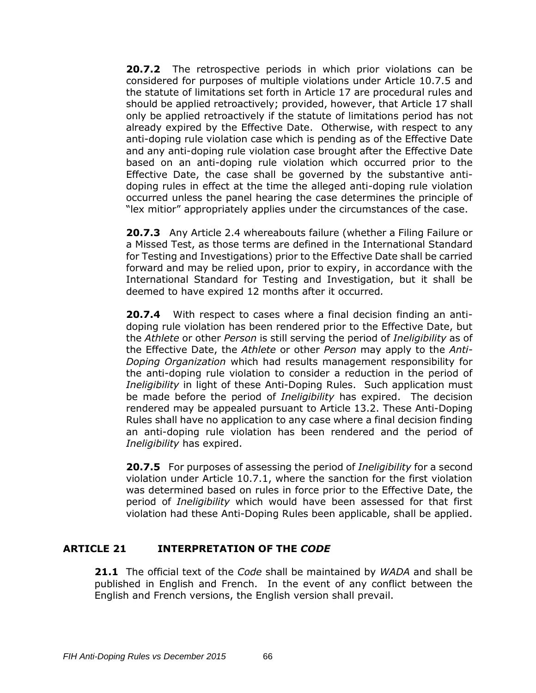**20.7.2** The retrospective periods in which prior violations can be considered for purposes of multiple violations under Article 10.7.5 and the statute of limitations set forth in Article 17 are procedural rules and should be applied retroactively; provided, however, that Article 17 shall only be applied retroactively if the statute of limitations period has not already expired by the Effective Date. Otherwise, with respect to any anti-doping rule violation case which is pending as of the Effective Date and any anti-doping rule violation case brought after the Effective Date based on an anti-doping rule violation which occurred prior to the Effective Date, the case shall be governed by the substantive antidoping rules in effect at the time the alleged anti-doping rule violation occurred unless the panel hearing the case determines the principle of "lex mitior" appropriately applies under the circumstances of the case.

**20.7.3** Any Article 2.4 whereabouts failure (whether a Filing Failure or a Missed Test, as those terms are defined in the International Standard for Testing and Investigations) prior to the Effective Date shall be carried forward and may be relied upon, prior to expiry, in accordance with the International Standard for Testing and Investigation, but it shall be deemed to have expired 12 months after it occurred*.* 

**20.7.4** With respect to cases where a final decision finding an antidoping rule violation has been rendered prior to the Effective Date, but the *Athlete* or other *Person* is still serving the period of *Ineligibility* as of the Effective Date, the *Athlete* or other *Person* may apply to the *Anti-Doping Organization* which had results management responsibility for the anti-doping rule violation to consider a reduction in the period of *Ineligibility* in light of these Anti-Doping Rules. Such application must be made before the period of *Ineligibility* has expired. The decision rendered may be appealed pursuant to Article 13.2. These Anti-Doping Rules shall have no application to any case where a final decision finding an anti-doping rule violation has been rendered and the period of *Ineligibility* has expired.

**20.7.5** For purposes of assessing the period of *Ineligibility* for a second violation under Article 10.7.1, where the sanction for the first violation was determined based on rules in force prior to the Effective Date, the period of *Ineligibility* which would have been assessed for that first violation had these Anti-Doping Rules been applicable, shall be applied.

### **ARTICLE 21 INTERPRETATION OF THE** *CODE*

**21.1** The official text of the *Code* shall be maintained by *WADA* and shall be published in English and French. In the event of any conflict between the English and French versions, the English version shall prevail.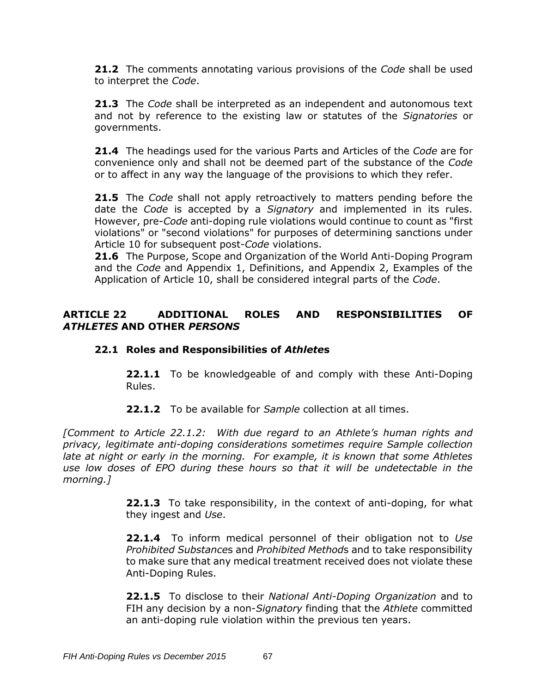**21.2** The comments annotating various provisions of the *Code* shall be used to interpret the *Code*.

**21.3** The *Code* shall be interpreted as an independent and autonomous text and not by reference to the existing law or statutes of the *Signatories* or governments.

**21.4** The headings used for the various Parts and Articles of the *Code* are for convenience only and shall not be deemed part of the substance of the *Code* or to affect in any way the language of the provisions to which they refer.

**21.5** The *Code* shall not apply retroactively to matters pending before the date the *Code* is accepted by a *Signatory* and implemented in its rules. However, pre-*Code* anti-doping rule violations would continue to count as "first violations" or "second violations" for purposes of determining sanctions under Article 10 for subsequent post-*Code* violations.

**21.6** The Purpose, Scope and Organization of the World Anti-Doping Program and the *Code* and Appendix 1, Definitions, and Appendix 2, Examples of the Application of Article 10, shall be considered integral parts of the *Code*.

### **ARTICLE 22 ADDITIONAL ROLES AND RESPONSIBILITIES OF**  *ATHLETES* **AND OTHER** *PERSONS*

### **22.1 Roles and Responsibilities of** *Athlete***s**

**22.1.1** To be knowledgeable of and comply with these Anti-Doping Rules.

**22.1.2** To be available for *Sample* collection at all times.

*[Comment to Article 22.1.2: With due regard to an Athlete's human rights and privacy, legitimate anti-doping considerations sometimes require Sample collection late at night or early in the morning. For example, it is known that some Athletes use low doses of EPO during these hours so that it will be undetectable in the morning.]*

> **22.1.3** To take responsibility, in the context of anti-doping, for what they ingest and *Use*.

> **22.1.4** To inform medical personnel of their obligation not to *Use Prohibited Substance*s and *Prohibited Method*s and to take responsibility to make sure that any medical treatment received does not violate these Anti-Doping Rules.

> **22.1.5** To disclose to their *National Anti-Doping Organization* and to FIH any decision by a non-*Signatory* finding that the *Athlete* committed an anti-doping rule violation within the previous ten years.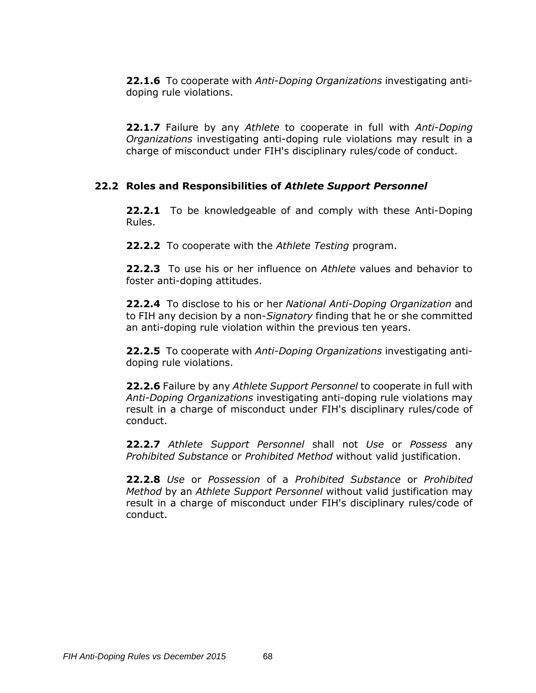**22.1.6** To cooperate with *Anti-Doping Organizations* investigating antidoping rule violations.

**22.1.7** Failure by any *Athlete* to cooperate in full with *Anti-Doping Organizations* investigating anti-doping rule violations may result in a charge of misconduct under FIH's disciplinary rules/code of conduct.

### **22.2 Roles and Responsibilities of** *Athlete Support Personnel*

**22.2.1** To be knowledgeable of and comply with these Anti-Doping Rules.

**22.2.2** To cooperate with the *Athlete Testing* program.

**22.2.3** To use his or her influence on *Athlete* values and behavior to foster anti-doping attitudes.

**22.2.4** To disclose to his or her *National Anti-Doping Organization* and to FIH any decision by a non-*Signatory* finding that he or she committed an anti-doping rule violation within the previous ten years.

**22.2.5** To cooperate with *Anti-Doping Organizations* investigating antidoping rule violations.

**22.2.6** Failure by any *Athlete Support Personnel* to cooperate in full with *Anti-Doping Organizations* investigating anti-doping rule violations may result in a charge of misconduct under FIH's disciplinary rules/code of conduct.

**22.2.7** *Athlete Support Personnel* shall not *Use* or *Possess* any *Prohibited Substance* or *Prohibited Method* without valid justification.

**22.2.8** *Use* or *Possession* of a *Prohibited Substance* or *Prohibited Method* by an *Athlete Support Personnel* without valid justification may result in a charge of misconduct under FIH's disciplinary rules/code of conduct.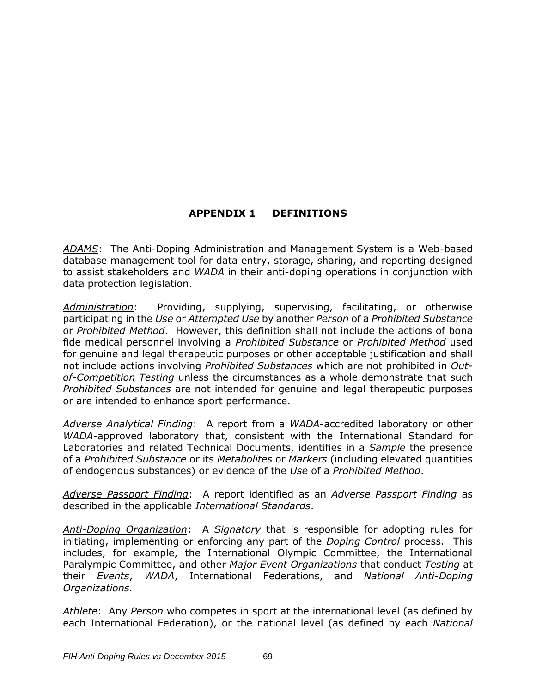## **APPENDIX 1 DEFINITIONS**

*ADAMS*: The Anti-Doping Administration and Management System is a Web-based database management tool for data entry, storage, sharing, and reporting designed to assist stakeholders and *WADA* in their anti-doping operations in conjunction with data protection legislation.

*Administration*: Providing, supplying, supervising, facilitating, or otherwise participating in the *Use* or *Attempted Use* by another *Person* of a *Prohibited Substance* or *Prohibited Method*. However, this definition shall not include the actions of bona fide medical personnel involving a *Prohibited Substance* or *Prohibited Method* used for genuine and legal therapeutic purposes or other acceptable justification and shall not include actions involving *Prohibited Substances* which are not prohibited in *Outof-Competition Testing* unless the circumstances as a whole demonstrate that such *Prohibited Substances* are not intended for genuine and legal therapeutic purposes or are intended to enhance sport performance.

*Adverse Analytical Finding*: A report from a *WADA*-accredited laboratory or other *WADA*-approved laboratory that, consistent with the International Standard for Laboratories and related Technical Documents, identifies in a *Sample* the presence of a *Prohibited Substance* or its *Metabolites* or *Markers* (including elevated quantities of endogenous substances) or evidence of the *Use* of a *Prohibited Method*.

*Adverse Passport Finding*: A report identified as an *Adverse Passport Finding* as described in the applicable *International Standards*.

*Anti-Doping Organization*: A *Signatory* that is responsible for adopting rules for initiating, implementing or enforcing any part of the *Doping Control* process. This includes, for example, the International Olympic Committee, the International Paralympic Committee, and other *Major Event Organizations* that conduct *Testing* at their *Events*, *WADA*, International Federations, and *National Anti-Doping Organizations.*

*Athlete*: Any *Person* who competes in sport at the international level (as defined by each International Federation), or the national level (as defined by each *National*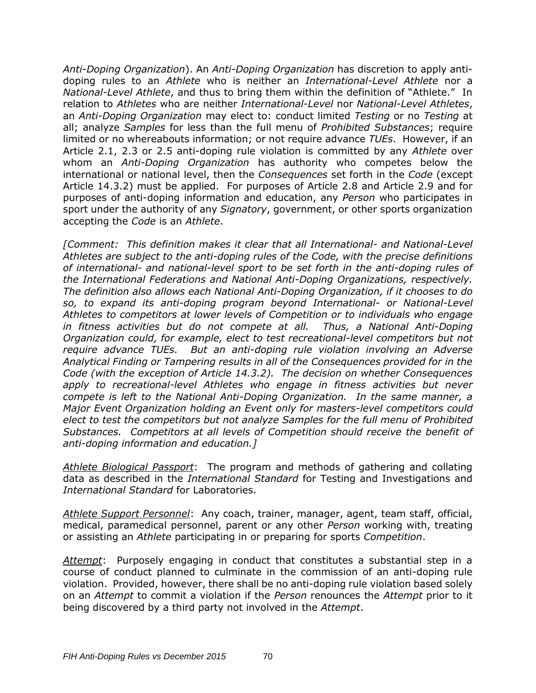*Anti-Doping Organization*). An *Anti-Doping Organization* has discretion to apply antidoping rules to an *Athlete* who is neither an *International-Level Athlete* nor a *National-Level Athlete*, and thus to bring them within the definition of "Athlete." In relation to *Athletes* who are neither *International*-*Level* nor *National-Level Athletes*, an *Anti-Doping Organization* may elect to: conduct limited *Testing* or no *Testing* at all; analyze *Samples* for less than the full menu of *Prohibited Substances*; require limited or no whereabouts information; or not require advance *TUEs*. However, if an Article 2.1, 2.3 or 2.5 anti-doping rule violation is committed by any *Athlete* over whom an *Anti-Doping Organization* has authority who competes below the international or national level, then the *Consequences* set forth in the *Code* (except Article 14.3.2) must be applied. For purposes of Article 2.8 and Article 2.9 and for purposes of anti-doping information and education, any *Person* who participates in sport under the authority of any *Signatory*, government, or other sports organization accepting the *Code* is an *Athlete*.

*[Comment: This definition makes it clear that all International- and National-Level Athletes are subject to the anti-doping rules of the Code, with the precise definitions of international- and national-level sport to be set forth in the anti-doping rules of the International Federations and National Anti-Doping Organizations, respectively. The definition also allows each National Anti-Doping Organization, if it chooses to do so, to expand its anti-doping program beyond International- or National-Level Athletes to competitors at lower levels of Competition or to individuals who engage in fitness activities but do not compete at all. Thus, a National Anti-Doping Organization could, for example, elect to test recreational-level competitors but not require advance TUEs. But an anti-doping rule violation involving an Adverse Analytical Finding or Tampering results in all of the Consequences provided for in the Code (with the exception of Article 14.3.2). The decision on whether Consequences*  apply to recreational-level Athletes who engage in fitness activities but never *compete is left to the National Anti-Doping Organization. In the same manner, a Major Event Organization holding an Event only for masters-level competitors could elect to test the competitors but not analyze Samples for the full menu of Prohibited Substances. Competitors at all levels of Competition should receive the benefit of anti-doping information and education.]*

*Athlete Biological Passport*: The program and methods of gathering and collating data as described in the *International Standard* for Testing and Investigations and *International Standard* for Laboratories.

*Athlete Support Personnel*: Any coach, trainer, manager, agent, team staff, official, medical, paramedical personnel, parent or any other *Person* working with, treating or assisting an *Athlete* participating in or preparing for sports *Competition*.

*Attempt*: Purposely engaging in conduct that constitutes a substantial step in a course of conduct planned to culminate in the commission of an anti-doping rule violation. Provided, however, there shall be no anti-doping rule violation based solely on an *Attempt* to commit a violation if the *Person* renounces the *Attempt* prior to it being discovered by a third party not involved in the *Attempt*.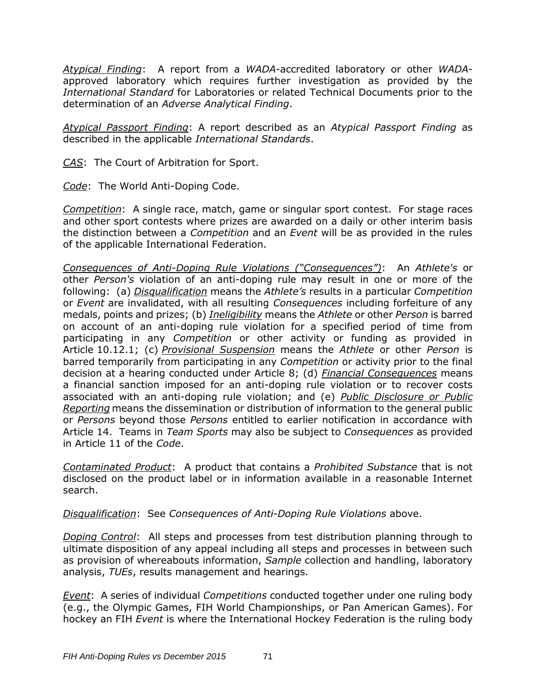*Atypical Finding*: A report from a *WADA*-accredited laboratory or other *WADA*approved laboratory which requires further investigation as provided by the *International Standard* for Laboratories or related Technical Documents prior to the determination of an *Adverse Analytical Finding*.

*Atypical Passport Finding*: A report described as an *Atypical Passport Finding* as described in the applicable *International Standards*.

*CAS*: The Court of Arbitration for Sport.

*Code*: The World Anti-Doping Code.

*Competition*: A single race, match, game or singular sport contest. For stage races and other sport contests where prizes are awarded on a daily or other interim basis the distinction between a *Competition* and an *Event* will be as provided in the rules of the applicable International Federation.

*Consequences of Anti-Doping Rule Violations ("Consequences")*: An *Athlete's* or other *Person's* violation of an anti-doping rule may result in one or more of the following: (a) *Disqualification* means the *Athlete's* results in a particular *Competition* or *Event* are invalidated, with all resulting *Consequences* including forfeiture of any medals, points and prizes; (b) *Ineligibility* means the *Athlete* or other *Person* is barred on account of an anti-doping rule violation for a specified period of time from participating in any *Competition* or other activity or funding as provided in Article 10.12.1; (c) *Provisional Suspension* means the *Athlete* or other *Person* is barred temporarily from participating in any *Competition* or activity prior to the final decision at a hearing conducted under Article 8; (d) *Financial Consequences* means a financial sanction imposed for an anti-doping rule violation or to recover costs associated with an anti-doping rule violation; and (e) *Public Disclosure or Public Reporting* means the dissemination or distribution of information to the general public or *Persons* beyond those *Persons* entitled to earlier notification in accordance with Article 14. Teams in *Team Sports* may also be subject to *Consequences* as provided in Article 11 of the *Code*.

*Contaminated Product*:A product that contains a *Prohibited Substance* that is not disclosed on the product label or in information available in a reasonable Internet search.

*Disqualification*: See *Consequences of Anti-Doping Rule Violations* above.

*Doping Control*: All steps and processes from test distribution planning through to ultimate disposition of any appeal including all steps and processes in between such as provision of whereabouts information, *Sample* collection and handling, laboratory analysis, *TUEs*, results management and hearings.

*Event*: A series of individual *Competitions* conducted together under one ruling body (e.g., the Olympic Games, FIH World Championships, or Pan American Games). For hockey an FIH *Event* is where the International Hockey Federation is the ruling body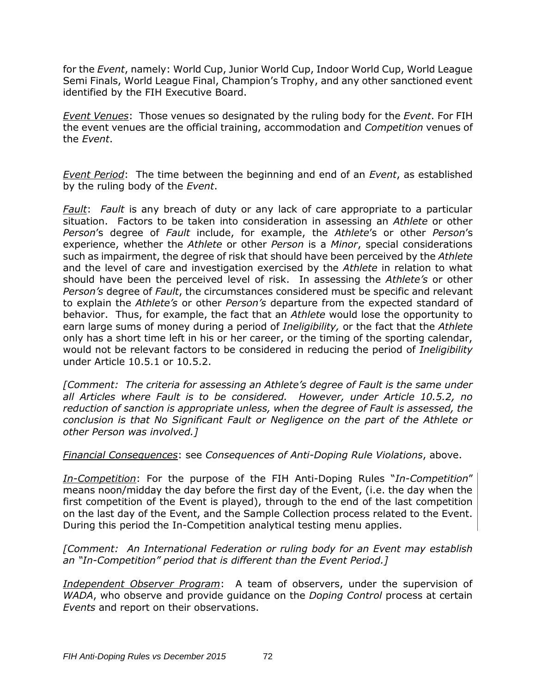for the *Event*, namely: World Cup, Junior World Cup, Indoor World Cup, World League Semi Finals, World League Final, Champion's Trophy, and any other sanctioned event identified by the FIH Executive Board.

*Event Venues*: Those venues so designated by the ruling body for the *Event*. For FIH the event venues are the official training, accommodation and *Competition* venues of the *Event*.

*Event Period*: The time between the beginning and end of an *Event*, as established by the ruling body of the *Event*.

*Fault*: *Fault* is any breach of duty or any lack of care appropriate to a particular situation. Factors to be taken into consideration in assessing an *Athlete* or other *Person*'s degree of *Fault* include, for example, the *Athlete*'s or other *Person*'s experience, whether the *Athlete* or other *Person* is a *Minor*, special considerations such as impairment, the degree of risk that should have been perceived by the *Athlete* and the level of care and investigation exercised by the *Athlete* in relation to what should have been the perceived level of risk. In assessing the *Athlete's* or other *Person's* degree of *Fault*, the circumstances considered must be specific and relevant to explain the *Athlete's* or other *Person's* departure from the expected standard of behavior. Thus, for example, the fact that an *Athlete* would lose the opportunity to earn large sums of money during a period of *Ineligibility,* or the fact that the *Athlete* only has a short time left in his or her career, or the timing of the sporting calendar, would not be relevant factors to be considered in reducing the period of *Ineligibility* under Article 10.5.1 or 10.5.2.

*[Comment: The criteria for assessing an Athlete's degree of Fault is the same under all Articles where Fault is to be considered. However, under Article 10.5.2, no reduction of sanction is appropriate unless, when the degree of Fault is assessed, the conclusion is that No Significant Fault or Negligence on the part of the Athlete or other Person was involved.]*

*Financial Consequences*: see *Consequences of Anti-Doping Rule Violations*, above.

*In-Competition*: For the purpose of the FIH Anti-Doping Rules "*In-Competition*" means noon/midday the day before the first day of the Event, (i.e. the day when the first competition of the Event is played), through to the end of the last competition on the last day of the Event, and the Sample Collection process related to the Event. During this period the In-Competition analytical testing menu applies.

#### *[Comment: An International Federation or ruling body for an Event may establish an "In-Competition" period that is different than the Event Period.]*

*Independent Observer Program*: A team of observers, under the supervision of *WADA*, who observe and provide guidance on the *Doping Control* process at certain *Events* and report on their observations.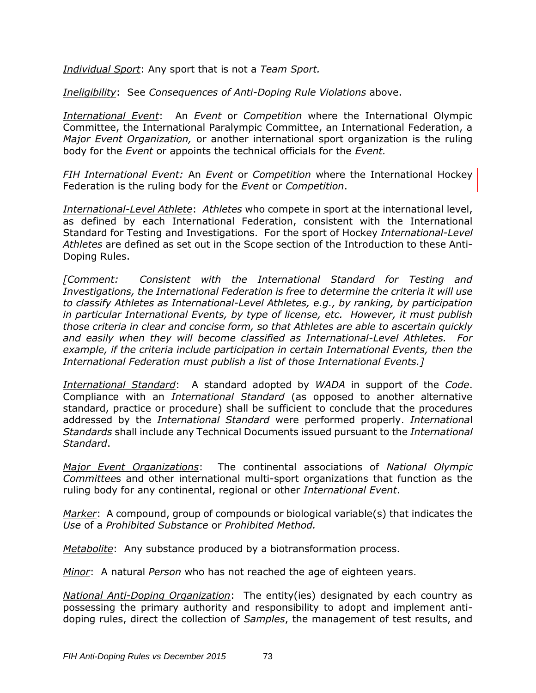*Individual Sport*: Any sport that is not a *Team Sport.*

*Ineligibility*: See *Consequences of Anti-Doping Rule Violations* above.

*International Event*:An *Event* or *Competition* where the International Olympic Committee, the International Paralympic Committee, an International Federation, a *Major Event Organization,* or another international sport organization is the ruling body for the *Event* or appoints the technical officials for the *Event.*

*FIH International Event:* An *Event* or *Competition* where the International Hockey Federation is the ruling body for the *Event* or *Competition*.

*International-Level Athlete*: *Athletes* who compete in sport at the international level, as defined by each International Federation, consistent with the International Standard for Testing and Investigations. For the sport of Hockey *International-Level Athletes* are defined as set out in the Scope section of the Introduction to these Anti-Doping Rules.

*[Comment: Consistent with the International Standard for Testing and Investigations, the International Federation is free to determine the criteria it will use to classify Athletes as International-Level Athletes, e.g., by ranking, by participation in particular International Events, by type of license, etc. However, it must publish those criteria in clear and concise form, so that Athletes are able to ascertain quickly and easily when they will become classified as International-Level Athletes. For example, if the criteria include participation in certain International Events, then the International Federation must publish a list of those International Events.]*

*International Standard*: A standard adopted by *WADA* in support of the *Code*. Compliance with an *International Standard* (as opposed to another alternative standard, practice or procedure) shall be sufficient to conclude that the procedures addressed by the *International Standard* were performed properly. *Internationa*l *Standards* shall include any Technical Documents issued pursuant to the *International Standard*.

*Major Event Organizations*: The continental associations of *National Olympic Committee*s and other international multi-sport organizations that function as the ruling body for any continental, regional or other *International Event*.

*Marker*: A compound, group of compounds or biological variable(s) that indicates the *Use* of a *Prohibited Substance* or *Prohibited Method.*

*Metabolite*: Any substance produced by a biotransformation process.

*Minor*: A natural *Person* who has not reached the age of eighteen years.

*National Anti-Doping Organization*: The entity(ies) designated by each country as possessing the primary authority and responsibility to adopt and implement antidoping rules, direct the collection of *Samples*, the management of test results, and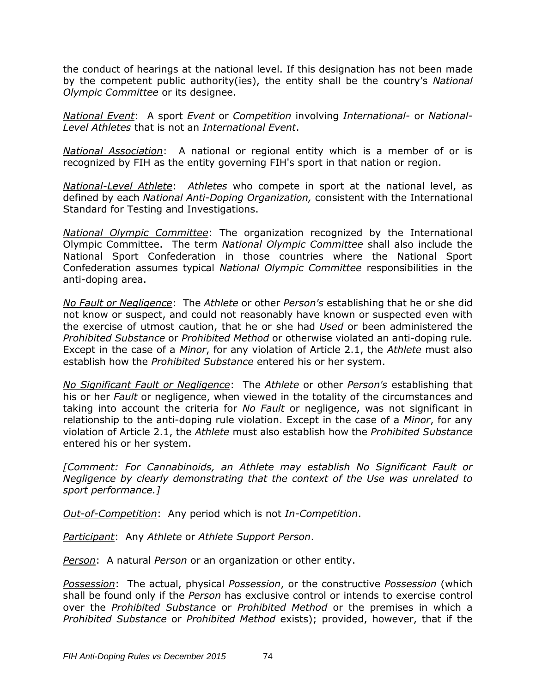the conduct of hearings at the national level. If this designation has not been made by the competent public authority(ies), the entity shall be the country's *National Olympic Committee* or its designee.

*National Event*: A sport *Event* or *Competition* involving *International-* or *National-Level Athletes* that is not an *International Event*.

*National Association*: A national or regional entity which is a member of or is recognized by FIH as the entity governing FIH's sport in that nation or region.

*National-Level Athlete*: *Athletes* who compete in sport at the national level, as defined by each *National Anti-Doping Organization,* consistent with the International Standard for Testing and Investigations.

*National Olympic Committee*: The organization recognized by the International Olympic Committee. The term *National Olympic Committee* shall also include the National Sport Confederation in those countries where the National Sport Confederation assumes typical *National Olympic Committee* responsibilities in the anti-doping area.

*No Fault or Negligence*: The *Athlete* or other *Person's* establishing that he or she did not know or suspect, and could not reasonably have known or suspected even with the exercise of utmost caution, that he or she had *Used* or been administered the *Prohibited Substance* or *Prohibited Method* or otherwise violated an anti-doping rule*.* Except in the case of a *Minor*, for any violation of Article 2.1, the *Athlete* must also establish how the *Prohibited Substance* entered his or her system.

*No Significant Fault or Negligence*: The *Athlete* or other *Person's* establishing that his or her *Fault* or negligence, when viewed in the totality of the circumstances and taking into account the criteria for *No Fault* or negligence, was not significant in relationship to the anti-doping rule violation. Except in the case of a *Minor*, for any violation of Article 2.1, the *Athlete* must also establish how the *Prohibited Substance* entered his or her system.

*[Comment: For Cannabinoids, an Athlete may establish No Significant Fault or Negligence by clearly demonstrating that the context of the Use was unrelated to sport performance.]*

*Out-of-Competition*: Any period which is not *In-Competition*.

*Participant*: Any *Athlete* or *Athlete Support Person*.

*Person*: A natural *Person* or an organization or other entity.

*Possession*: The actual, physical *Possession*, or the constructive *Possession* (which shall be found only if the *Person* has exclusive control or intends to exercise control over the *Prohibited Substance* or *Prohibited Method* or the premises in which a *Prohibited Substance* or *Prohibited Method* exists); provided, however, that if the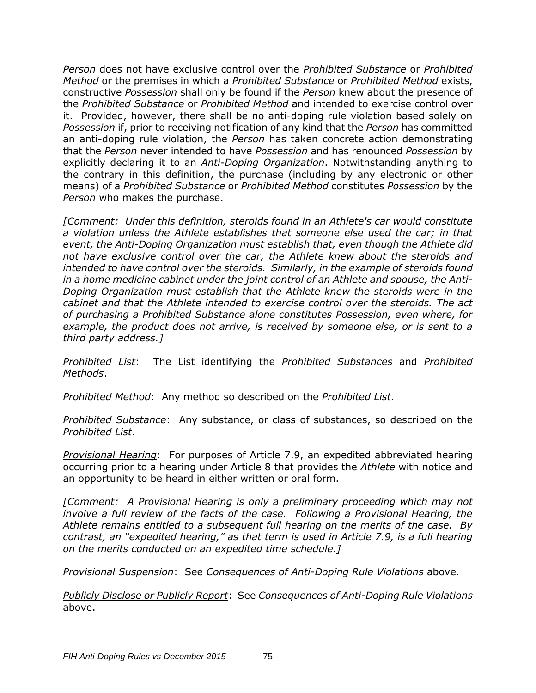*Person* does not have exclusive control over the *Prohibited Substance* or *Prohibited Method* or the premises in which a *Prohibited Substance* or *Prohibited Method* exists, constructive *Possession* shall only be found if the *Person* knew about the presence of the *Prohibited Substance* or *Prohibited Method* and intended to exercise control over it. Provided, however, there shall be no anti-doping rule violation based solely on *Possession* if, prior to receiving notification of any kind that the *Person* has committed an anti-doping rule violation, the *Person* has taken concrete action demonstrating that the *Person* never intended to have *Possession* and has renounced *Possession* by explicitly declaring it to an *Anti-Doping Organization*. Notwithstanding anything to the contrary in this definition, the purchase (including by any electronic or other means) of a *Prohibited Substance* or *Prohibited Method* constitutes *Possession* by the *Person* who makes the purchase.

*[Comment: Under this definition, steroids found in an Athlete's car would constitute a violation unless the Athlete establishes that someone else used the car; in that event, the Anti-Doping Organization must establish that, even though the Athlete did not have exclusive control over the car, the Athlete knew about the steroids and intended to have control over the steroids. Similarly, in the example of steroids found in a home medicine cabinet under the joint control of an Athlete and spouse, the Anti-Doping Organization must establish that the Athlete knew the steroids were in the cabinet and that the Athlete intended to exercise control over the steroids. The act of purchasing a Prohibited Substance alone constitutes Possession, even where, for example, the product does not arrive, is received by someone else, or is sent to a third party address.]*

*Prohibited List*: The List identifying the *Prohibited Substances* and *Prohibited Methods*.

*Prohibited Method*: Any method so described on the *Prohibited List*.

*Prohibited Substance*: Any substance, or class of substances, so described on the *Prohibited List*.

*Provisional Hearing*: For purposes of Article 7.9, an expedited abbreviated hearing occurring prior to a hearing under Article 8 that provides the *Athlete* with notice and an opportunity to be heard in either written or oral form.

*[Comment: A Provisional Hearing is only a preliminary proceeding which may not involve a full review of the facts of the case. Following a Provisional Hearing, the Athlete remains entitled to a subsequent full hearing on the merits of the case. By contrast, an "expedited hearing," as that term is used in Article 7.9, is a full hearing on the merits conducted on an expedited time schedule.]*

*Provisional Suspension*: See *Consequences of Anti-Doping Rule Violations* above.

*Publicly Disclose or Publicly Report*: See *Consequences of Anti-Doping Rule Violations* above.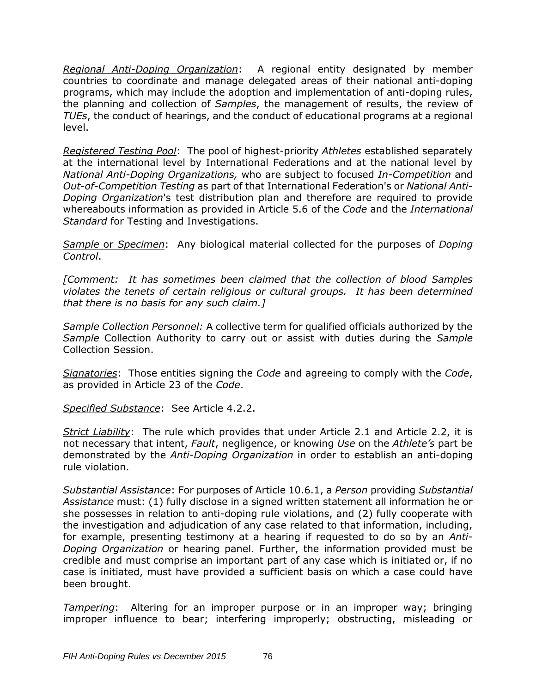*Regional Anti-Doping Organization*:A regional entity designated by member countries to coordinate and manage delegated areas of their national anti-doping programs, which may include the adoption and implementation of anti-doping rules, the planning and collection of *Samples*, the management of results, the review of *TUEs*, the conduct of hearings, and the conduct of educational programs at a regional level.

*Registered Testing Pool*: The pool of highest-priority *Athletes* established separately at the international level by International Federations and at the national level by *National Anti-Doping Organizations,* who are subject to focused *In-Competition* and *Out-of-Competition Testing* as part of that International Federation's or *National Anti-Doping Organization*'s test distribution plan and therefore are required to provide whereabouts information as provided in Article 5.6 of the *Code* and the *International Standard* for Testing and Investigations.

*Sample* or *Specimen*: Any biological material collected for the purposes of *Doping Control*.

*[Comment: It has sometimes been claimed that the collection of blood Samples violates the tenets of certain religious or cultural groups. It has been determined that there is no basis for any such claim.]*

*Sample Collection Personnel:* A collective term for qualified officials authorized by the *Sample* Collection Authority to carry out or assist with duties during the *Sample* Collection Session.

*Signatories*: Those entities signing the *Code* and agreeing to comply with the *Code*, as provided in Article 23 of the *Code*.

*Specified Substance*:See Article 4.2.2.

*Strict Liability*: The rule which provides that under Article 2.1 and Article 2.2, it is not necessary that intent, *Fault*, negligence, or knowing *Use* on the *Athlete's* part be demonstrated by the *Anti-Doping Organization* in order to establish an anti-doping rule violation.

*Substantial Assistance*: For purposes of Article 10.6.1, a *Person* providing *Substantial Assistance* must: (1) fully disclose in a signed written statement all information he or she possesses in relation to anti-doping rule violations, and (2) fully cooperate with the investigation and adjudication of any case related to that information, including, for example, presenting testimony at a hearing if requested to do so by an *Anti-Doping Organization* or hearing panel. Further, the information provided must be credible and must comprise an important part of any case which is initiated or, if no case is initiated, must have provided a sufficient basis on which a case could have been brought.

*Tampering*:Altering for an improper purpose or in an improper way; bringing improper influence to bear; interfering improperly; obstructing, misleading or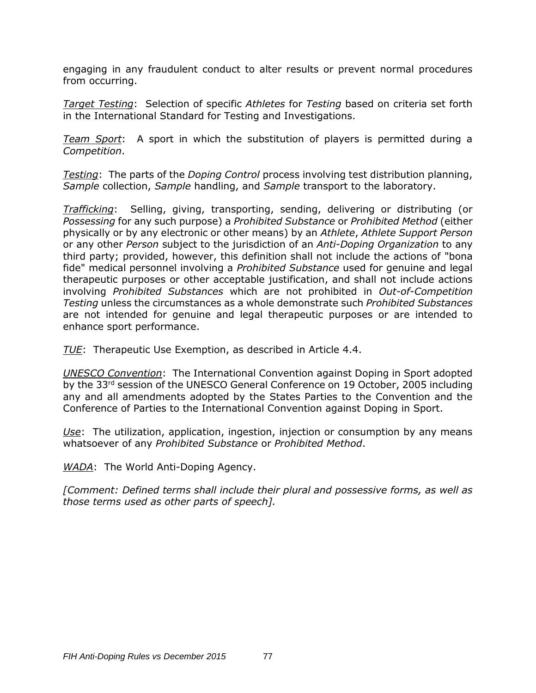engaging in any fraudulent conduct to alter results or prevent normal procedures from occurring.

*Target Testing*: Selection of specific *Athletes* for *Testing* based on criteria set forth in the International Standard for Testing and Investigations.

*Team Sport*: A sport in which the substitution of players is permitted during a *Competition*.

*Testing*: The parts of the *Doping Control* process involving test distribution planning, *Sample* collection, *Sample* handling, and *Sample* transport to the laboratory.

*Trafficking*: Selling, giving, transporting, sending, delivering or distributing (or *Possessing* for any such purpose) a *Prohibited Substance* or *Prohibited Method* (either physically or by any electronic or other means) by an *Athlete*, *Athlete Support Person* or any other *Person* subject to the jurisdiction of an *Anti-Doping Organization* to any third party; provided, however, this definition shall not include the actions of "bona fide" medical personnel involving a *Prohibited Substance* used for genuine and legal therapeutic purposes or other acceptable justification, and shall not include actions involving *Prohibited Substances* which are not prohibited in *Out-of-Competition Testing* unless the circumstances as a whole demonstrate such *Prohibited Substances* are not intended for genuine and legal therapeutic purposes or are intended to enhance sport performance.

*TUE*:Therapeutic Use Exemption, as described in Article 4.4.

*UNESCO Convention*: The International Convention against Doping in Sport adopted by the 33rd session of the UNESCO General Conference on 19 October, 2005 including any and all amendments adopted by the States Parties to the Convention and the Conference of Parties to the International Convention against Doping in Sport.

*Use*: The utilization, application, ingestion, injection or consumption by any means whatsoever of any *Prohibited Substance* or *Prohibited Method*.

*WADA*: The World Anti-Doping Agency.

*[Comment: Defined terms shall include their plural and possessive forms, as well as those terms used as other parts of speech].*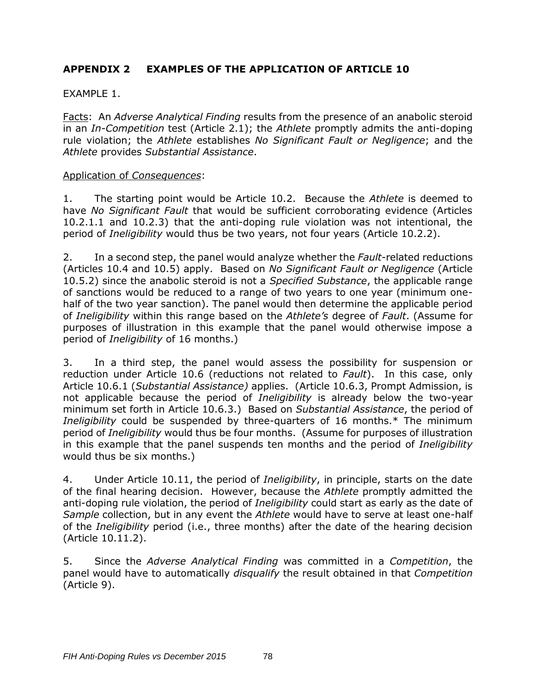# **APPENDIX 2 EXAMPLES OF THE APPLICATION OF ARTICLE 10**

### EXAMPLE 1.

Facts: An *Adverse Analytical Finding* results from the presence of an anabolic steroid in an *In-Competition* test (Article 2.1); the *Athlete* promptly admits the anti-doping rule violation; the *Athlete* establishes *No Significant Fault or Negligence*; and the *Athlete* provides *Substantial Assistance*.

#### Application of *Consequences*:

1. The starting point would be Article 10.2. Because the *Athlete* is deemed to have *No Significant Fault* that would be sufficient corroborating evidence (Articles 10.2.1.1 and 10.2.3) that the anti-doping rule violation was not intentional, the period of *Ineligibility* would thus be two years, not four years (Article 10.2.2).

2. In a second step, the panel would analyze whether the *Fault*-related reductions (Articles 10.4 and 10.5) apply. Based on *No Significant Fault or Negligence* (Article 10.5.2) since the anabolic steroid is not a *Specified Substance*, the applicable range of sanctions would be reduced to a range of two years to one year (minimum onehalf of the two year sanction). The panel would then determine the applicable period of *Ineligibility* within this range based on the *Athlete's* degree of *Fault*. (Assume for purposes of illustration in this example that the panel would otherwise impose a period of *Ineligibility* of 16 months.)

3. In a third step, the panel would assess the possibility for suspension or reduction under Article 10.6 (reductions not related to *Fault*). In this case, only Article 10.6.1 (*Substantial Assistance)* applies. (Article 10.6.3, Prompt Admission, is not applicable because the period of *Ineligibility* is already below the two-year minimum set forth in Article 10.6.3.) Based on *Substantial Assistance*, the period of *Ineligibility* could be suspended by three-quarters of 16 months.\* The minimum period of *Ineligibility* would thus be four months. (Assume for purposes of illustration in this example that the panel suspends ten months and the period of *Ineligibility* would thus be six months.)

4. Under Article 10.11, the period of *Ineligibility*, in principle, starts on the date of the final hearing decision. However, because the *Athlete* promptly admitted the anti-doping rule violation, the period of *Ineligibility* could start as early as the date of *Sample* collection, but in any event the *Athlete* would have to serve at least one-half of the *Ineligibility* period (i.e., three months) after the date of the hearing decision (Article 10.11.2).

5. Since the *Adverse Analytical Finding* was committed in a *Competition*, the panel would have to automatically *disqualify* the result obtained in that *Competition* (Article 9).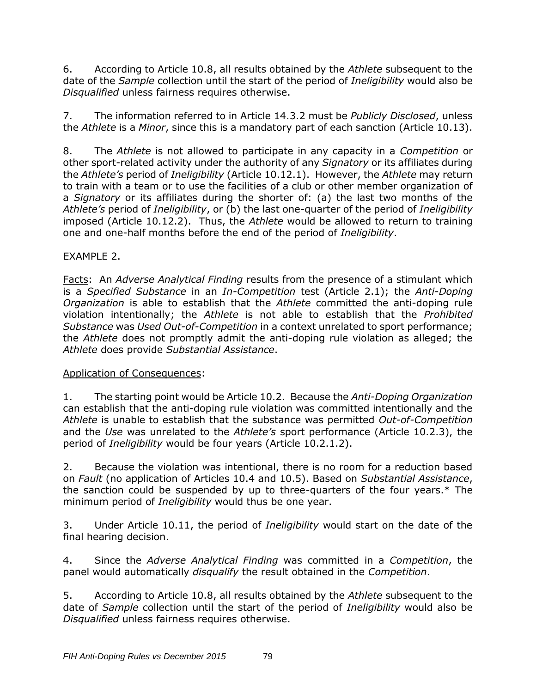6. According to Article 10.8, all results obtained by the *Athlete* subsequent to the date of the *Sample* collection until the start of the period of *Ineligibility* would also be *Disqualified* unless fairness requires otherwise.

7. The information referred to in Article 14.3.2 must be *Publicly Disclosed*, unless the *Athlete* is a *Minor*, since this is a mandatory part of each sanction (Article 10.13).

8. The *Athlete* is not allowed to participate in any capacity in a *Competition* or other sport-related activity under the authority of any *Signatory* or its affiliates during the *Athlete's* period of *Ineligibility* (Article 10.12.1). However, the *Athlete* may return to train with a team or to use the facilities of a club or other member organization of a *Signatory* or its affiliates during the shorter of: (a) the last two months of the *Athlete's* period of *Ineligibility*, or (b) the last one-quarter of the period of *Ineligibility* imposed (Article 10.12.2). Thus, the *Athlete* would be allowed to return to training one and one-half months before the end of the period of *Ineligibility*.

## EXAMPLE 2.

Facts: An *Adverse Analytical Finding* results from the presence of a stimulant which is a *Specified Substance* in an *In-Competition* test (Article 2.1); the *Anti-Doping Organization* is able to establish that the *Athlete* committed the anti-doping rule violation intentionally; the *Athlete* is not able to establish that the *Prohibited Substance* was *Used Out-of-Competition* in a context unrelated to sport performance; the *Athlete* does not promptly admit the anti-doping rule violation as alleged; the *Athlete* does provide *Substantial Assistance*.

## Application of Consequences:

1. The starting point would be Article 10.2. Because the *Anti-Doping Organization* can establish that the anti-doping rule violation was committed intentionally and the *Athlete* is unable to establish that the substance was permitted *Out-of-Competition* and the *Use* was unrelated to the *Athlete's* sport performance (Article 10.2.3), the period of *Ineligibility* would be four years (Article 10.2.1.2).

2. Because the violation was intentional, there is no room for a reduction based on *Fault* (no application of Articles 10.4 and 10.5). Based on *Substantial Assistance*, the sanction could be suspended by up to three-quarters of the four years.\* The minimum period of *Ineligibility* would thus be one year.

3. Under Article 10.11, the period of *Ineligibility* would start on the date of the final hearing decision.

4. Since the *Adverse Analytical Finding* was committed in a *Competition*, the panel would automatically *disqualify* the result obtained in the *Competition*.

5. According to Article 10.8, all results obtained by the *Athlete* subsequent to the date of *Sample* collection until the start of the period of *Ineligibility* would also be *Disqualified* unless fairness requires otherwise.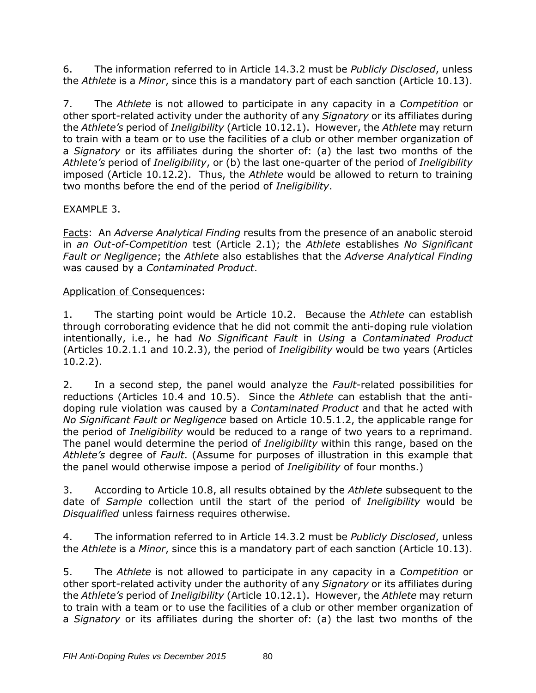6. The information referred to in Article 14.3.2 must be *Publicly Disclosed*, unless the *Athlete* is a *Minor*, since this is a mandatory part of each sanction (Article 10.13).

7. The *Athlete* is not allowed to participate in any capacity in a *Competition* or other sport-related activity under the authority of any *Signatory* or its affiliates during the *Athlete's* period of *Ineligibility* (Article 10.12.1). However, the *Athlete* may return to train with a team or to use the facilities of a club or other member organization of a *Signatory* or its affiliates during the shorter of: (a) the last two months of the *Athlete's* period of *Ineligibility*, or (b) the last one-quarter of the period of *Ineligibility* imposed (Article 10.12.2). Thus, the *Athlete* would be allowed to return to training two months before the end of the period of *Ineligibility*.

### EXAMPLE 3.

Facts: An *Adverse Analytical Finding* results from the presence of an anabolic steroid in *an Out-of-Competition* test (Article 2.1); the *Athlete* establishes *No Significant Fault or Negligence*; the *Athlete* also establishes that the *Adverse Analytical Finding* was caused by a *Contaminated Product*.

### Application of Consequences:

1. The starting point would be Article 10.2. Because the *Athlete* can establish through corroborating evidence that he did not commit the anti-doping rule violation intentionally, i.e., he had *No Significant Fault* in *Using* a *Contaminated Product* (Articles 10.2.1.1 and 10.2.3), the period of *Ineligibility* would be two years (Articles 10.2.2).

2. In a second step, the panel would analyze the *Fault*-related possibilities for reductions (Articles 10.4 and 10.5). Since the *Athlete* can establish that the antidoping rule violation was caused by a *Contaminated Product* and that he acted with *No Significant Fault or Negligence* based on Article 10.5.1.2, the applicable range for the period of *Ineligibility* would be reduced to a range of two years to a reprimand. The panel would determine the period of *Ineligibility* within this range, based on the *Athlete's* degree of *Fault*. (Assume for purposes of illustration in this example that the panel would otherwise impose a period of *Ineligibility* of four months.)

3. According to Article 10.8, all results obtained by the *Athlete* subsequent to the date of *Sample* collection until the start of the period of *Ineligibility* would be *Disqualified* unless fairness requires otherwise.

4. The information referred to in Article 14.3.2 must be *Publicly Disclosed*, unless the *Athlete* is a *Minor*, since this is a mandatory part of each sanction (Article 10.13).

5. The *Athlete* is not allowed to participate in any capacity in a *Competition* or other sport-related activity under the authority of any *Signatory* or its affiliates during the *Athlete's* period of *Ineligibility* (Article 10.12.1). However, the *Athlete* may return to train with a team or to use the facilities of a club or other member organization of a *Signatory* or its affiliates during the shorter of: (a) the last two months of the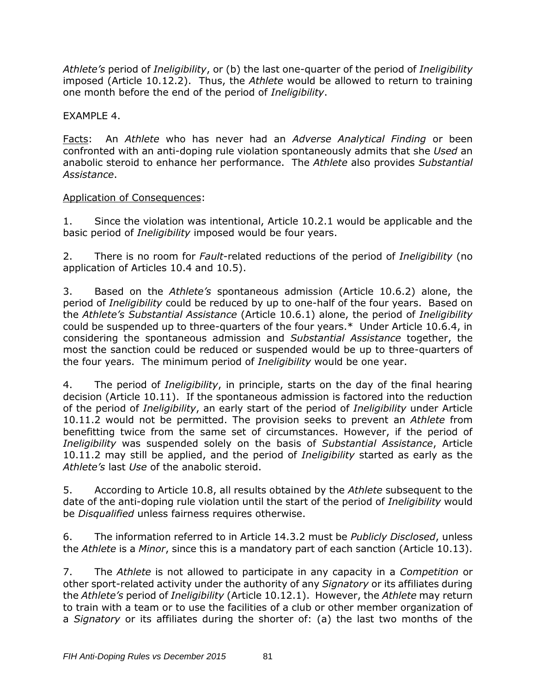*Athlete's* period of *Ineligibility*, or (b) the last one-quarter of the period of *Ineligibility* imposed (Article 10.12.2). Thus, the *Athlete* would be allowed to return to training one month before the end of the period of *Ineligibility*.

EXAMPLE 4.

Facts: An *Athlete* who has never had an *Adverse Analytical Finding* or been confronted with an anti-doping rule violation spontaneously admits that she *Used* an anabolic steroid to enhance her performance. The *Athlete* also provides *Substantial Assistance*.

## Application of Consequences:

1. Since the violation was intentional, Article 10.2.1 would be applicable and the basic period of *Ineligibility* imposed would be four years.

2. There is no room for *Fault*-related reductions of the period of *Ineligibility* (no application of Articles 10.4 and 10.5).

3. Based on the *Athlete's* spontaneous admission (Article 10.6.2) alone, the period of *Ineligibility* could be reduced by up to one-half of the four years. Based on the *Athlete's Substantial Assistance* (Article 10.6.1) alone, the period of *Ineligibility* could be suspended up to three-quarters of the four years.\* Under Article 10.6.4, in considering the spontaneous admission and *Substantial Assistance* together, the most the sanction could be reduced or suspended would be up to three-quarters of the four years. The minimum period of *Ineligibility* would be one year.

4. The period of *Ineligibility*, in principle, starts on the day of the final hearing decision (Article 10.11). If the spontaneous admission is factored into the reduction of the period of *Ineligibility*, an early start of the period of *Ineligibility* under Article 10.11.2 would not be permitted. The provision seeks to prevent an *Athlete* from benefitting twice from the same set of circumstances. However, if the period of *Ineligibility* was suspended solely on the basis of *Substantial Assistance*, Article 10.11.2 may still be applied, and the period of *Ineligibility* started as early as the *Athlete's* last *Use* of the anabolic steroid.

5. According to Article 10.8, all results obtained by the *Athlete* subsequent to the date of the anti-doping rule violation until the start of the period of *Ineligibility* would be *Disqualified* unless fairness requires otherwise.

6. The information referred to in Article 14.3.2 must be *Publicly Disclosed*, unless the *Athlete* is a *Minor*, since this is a mandatory part of each sanction (Article 10.13).

7. The *Athlete* is not allowed to participate in any capacity in a *Competition* or other sport-related activity under the authority of any *Signatory* or its affiliates during the *Athlete's* period of *Ineligibility* (Article 10.12.1). However, the *Athlete* may return to train with a team or to use the facilities of a club or other member organization of a *Signatory* or its affiliates during the shorter of: (a) the last two months of the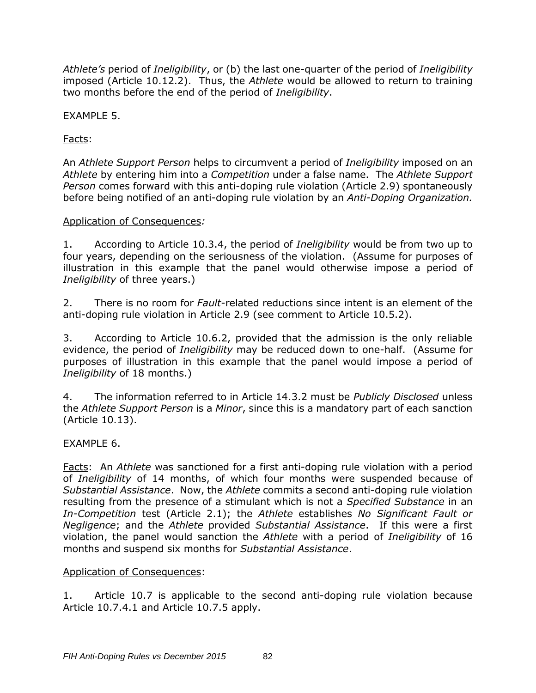*Athlete's* period of *Ineligibility*, or (b) the last one-quarter of the period of *Ineligibility* imposed (Article 10.12.2). Thus, the *Athlete* would be allowed to return to training two months before the end of the period of *Ineligibility*.

EXAMPLE 5.

Facts:

An *Athlete Support Person* helps to circumvent a period of *Ineligibility* imposed on an *Athlete* by entering him into a *Competition* under a false name. The *Athlete Support Person* comes forward with this anti-doping rule violation (Article 2.9) spontaneously before being notified of an anti-doping rule violation by an *Anti-Doping Organization.*

### Application of Consequences*:*

1. According to Article 10.3.4, the period of *Ineligibility* would be from two up to four years, depending on the seriousness of the violation. (Assume for purposes of illustration in this example that the panel would otherwise impose a period of *Ineligibility* of three years.)

2. There is no room for *Fault*-related reductions since intent is an element of the anti-doping rule violation in Article 2.9 (see comment to Article 10.5.2).

3. According to Article 10.6.2, provided that the admission is the only reliable evidence, the period of *Ineligibility* may be reduced down to one-half. (Assume for purposes of illustration in this example that the panel would impose a period of *Ineligibility* of 18 months.)

4. The information referred to in Article 14.3.2 must be *Publicly Disclosed* unless the *Athlete Support Person* is a *Minor*, since this is a mandatory part of each sanction (Article 10.13).

### EXAMPLE 6.

Facts: An *Athlete* was sanctioned for a first anti-doping rule violation with a period of *Ineligibility* of 14 months, of which four months were suspended because of *Substantial Assistance*. Now, the *Athlete* commits a second anti-doping rule violation resulting from the presence of a stimulant which is not a *Specified Substance* in an *In-Competition* test (Article 2.1); the *Athlete* establishes *No Significant Fault or Negligence*; and the *Athlete* provided *Substantial Assistance*. If this were a first violation, the panel would sanction the *Athlete* with a period of *Ineligibility* of 16 months and suspend six months for *Substantial Assistance*.

### Application of Consequences:

1. Article 10.7 is applicable to the second anti-doping rule violation because Article 10.7.4.1 and Article 10.7.5 apply.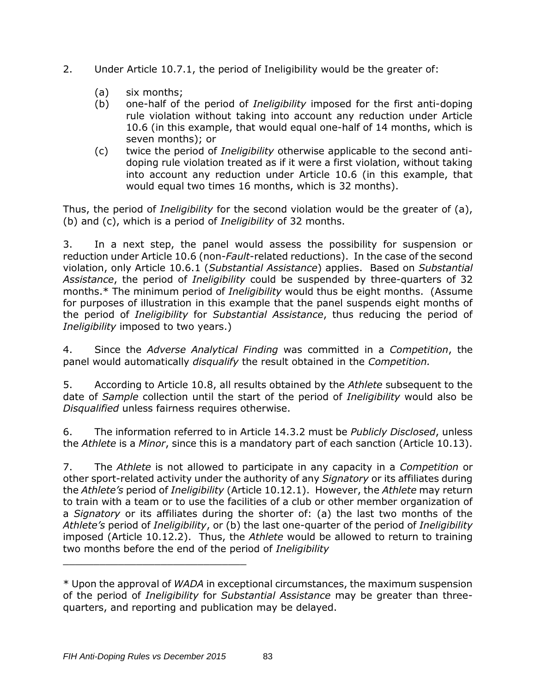- 2. Under Article 10.7.1, the period of Ineligibility would be the greater of:
	- (a) six months;
	- (b) one-half of the period of *Ineligibility* imposed for the first anti-doping rule violation without taking into account any reduction under Article 10.6 (in this example, that would equal one-half of 14 months, which is seven months); or
	- (c) twice the period of *Ineligibility* otherwise applicable to the second antidoping rule violation treated as if it were a first violation, without taking into account any reduction under Article 10.6 (in this example, that would equal two times 16 months, which is 32 months).

Thus, the period of *Ineligibility* for the second violation would be the greater of (a), (b) and (c), which is a period of *Ineligibility* of 32 months.

3. In a next step, the panel would assess the possibility for suspension or reduction under Article 10.6 (non-*Fault*-related reductions). In the case of the second violation, only Article 10.6.1 (*Substantial Assistance*) applies. Based on *Substantial Assistance*, the period of *Ineligibility* could be suspended by three-quarters of 32 months.\* The minimum period of *Ineligibility* would thus be eight months. (Assume for purposes of illustration in this example that the panel suspends eight months of the period of *Ineligibility* for *Substantial Assistance*, thus reducing the period of *Ineligibility* imposed to two years.)

4. Since the *Adverse Analytical Finding* was committed in a *Competition*, the panel would automatically *disqualify* the result obtained in the *Competition.*

5. According to Article 10.8, all results obtained by the *Athlete* subsequent to the date of *Sample* collection until the start of the period of *Ineligibility* would also be *Disqualified* unless fairness requires otherwise.

6. The information referred to in Article 14.3.2 must be *Publicly Disclosed*, unless the *Athlete* is a *Minor*, since this is a mandatory part of each sanction (Article 10.13).

7. The *Athlete* is not allowed to participate in any capacity in a *Competition* or other sport-related activity under the authority of any *Signatory* or its affiliates during the *Athlete's* period of *Ineligibility* (Article 10.12.1). However, the *Athlete* may return to train with a team or to use the facilities of a club or other member organization of a *Signatory* or its affiliates during the shorter of: (a) the last two months of the *Athlete's* period of *Ineligibility*, or (b) the last one-quarter of the period of *Ineligibility*  imposed (Article 10.12.2). Thus, the *Athlete* would be allowed to return to training two months before the end of the period of *Ineligibility*

\_\_\_\_\_\_\_\_\_\_\_\_\_\_\_\_\_\_\_\_\_\_\_\_\_\_\_\_\_\_

<sup>\*</sup> Upon the approval of *WADA* in exceptional circumstances, the maximum suspension of the period of *Ineligibility* for *Substantial Assistance* may be greater than threequarters, and reporting and publication may be delayed.